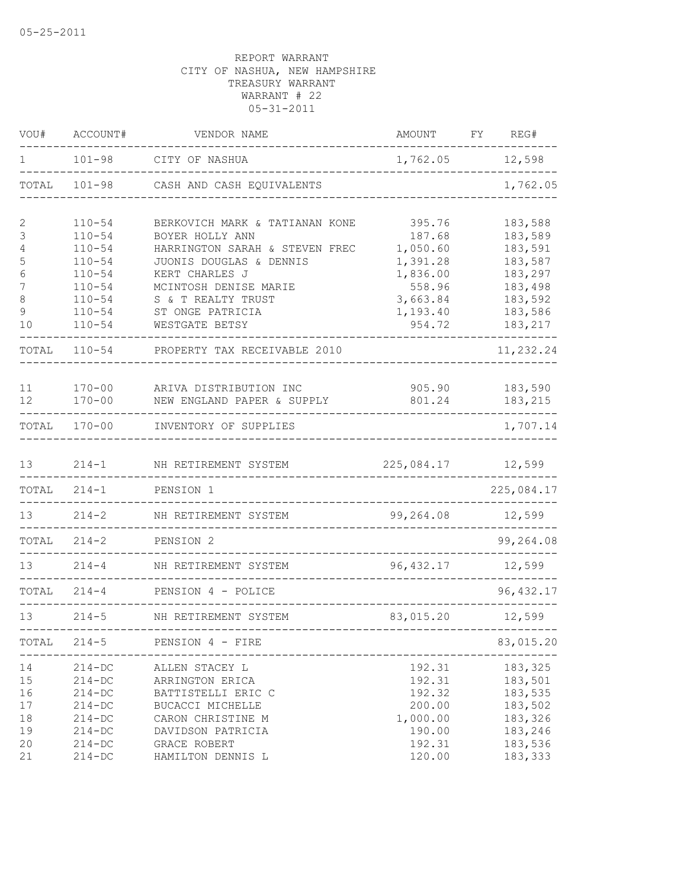| VOU#                                             | ACCOUNT#                                                                                                                   | VENDOR NAME                                                                                                                                                                                                           | AMOUNT                                                                                           | FY. | REG#                                                                                            |
|--------------------------------------------------|----------------------------------------------------------------------------------------------------------------------------|-----------------------------------------------------------------------------------------------------------------------------------------------------------------------------------------------------------------------|--------------------------------------------------------------------------------------------------|-----|-------------------------------------------------------------------------------------------------|
| 1                                                | $101 - 98$                                                                                                                 | CITY OF NASHUA                                                                                                                                                                                                        | 1,762.05                                                                                         |     | 12,598                                                                                          |
| TOTAL                                            | $101 - 98$                                                                                                                 | CASH AND CASH EQUIVALENTS                                                                                                                                                                                             |                                                                                                  |     | 1,762.05                                                                                        |
| 2<br>3<br>4<br>5<br>6<br>7<br>$\,8\,$<br>9<br>10 | $110 - 54$<br>$110 - 54$<br>$110 - 54$<br>$110 - 54$<br>$110 - 54$<br>$110 - 54$<br>$110 - 54$<br>$110 - 54$<br>$110 - 54$ | BERKOVICH MARK & TATIANAN KONE<br>BOYER HOLLY ANN<br>HARRINGTON SARAH & STEVEN FREC<br>JUONIS DOUGLAS & DENNIS<br>KERT CHARLES J<br>MCINTOSH DENISE MARIE<br>S & T REALTY TRUST<br>ST ONGE PATRICIA<br>WESTGATE BETSY | 395.76<br>187.68<br>1,050.60<br>1,391.28<br>1,836.00<br>558.96<br>3,663.84<br>1,193.40<br>954.72 |     | 183,588<br>183,589<br>183,591<br>183,587<br>183,297<br>183,498<br>183,592<br>183,586<br>183,217 |
| TOTAL                                            | $110 - 54$                                                                                                                 | PROPERTY TAX RECEIVABLE 2010                                                                                                                                                                                          |                                                                                                  |     | 11,232.24                                                                                       |
| 11<br>12                                         | $170 - 00$<br>$170 - 00$                                                                                                   | ARIVA DISTRIBUTION INC<br>NEW ENGLAND PAPER & SUPPLY                                                                                                                                                                  | 905.90<br>801.24                                                                                 |     | 183,590<br>183,215                                                                              |
| TOTAL                                            | $170 - 00$                                                                                                                 | INVENTORY OF SUPPLIES                                                                                                                                                                                                 |                                                                                                  |     | 1,707.14                                                                                        |
| 13<br>TOTAL                                      | $214 - 1$<br>$214 - 1$                                                                                                     | NH RETIREMENT SYSTEM<br>PENSION 1                                                                                                                                                                                     | 225,084.17                                                                                       |     | 12,599<br>225,084.17                                                                            |
| 13                                               | $214 - 2$                                                                                                                  | NH RETIREMENT SYSTEM                                                                                                                                                                                                  | 99,264.08                                                                                        |     | 12,599                                                                                          |
| TOTAL                                            | $214 - 2$                                                                                                                  | PENSION 2                                                                                                                                                                                                             |                                                                                                  |     | 99,264.08                                                                                       |
| 13                                               | $214 - 4$                                                                                                                  | NH RETIREMENT SYSTEM                                                                                                                                                                                                  | 96, 432.17                                                                                       |     | 12,599                                                                                          |
| TOTAL                                            | $214 - 4$                                                                                                                  | PENSION 4 - POLICE                                                                                                                                                                                                    |                                                                                                  |     | 96, 432.17                                                                                      |
| 13                                               | $214 - 5$                                                                                                                  | NH RETIREMENT SYSTEM                                                                                                                                                                                                  | 83,015.20                                                                                        |     | 12,599                                                                                          |
| TOTAL                                            | $214 - 5$                                                                                                                  | PENSION 4 - FIRE                                                                                                                                                                                                      |                                                                                                  |     | 83,015.20                                                                                       |
| 14<br>15<br>16<br>17<br>18<br>19<br>20<br>21     | $214 - DC$<br>$214-DC$<br>$214 - DC$<br>$214 - DC$<br>$214-DC$<br>$214-DC$<br>$214 - DC$<br>$214 - DC$                     | ALLEN STACEY L<br>ARRINGTON ERICA<br>BATTISTELLI ERIC C<br>BUCACCI MICHELLE<br>CARON CHRISTINE M<br>DAVIDSON PATRICIA<br>GRACE ROBERT<br>HAMILTON DENNIS L                                                            | 192.31<br>192.31<br>192.32<br>200.00<br>1,000.00<br>190.00<br>192.31<br>120.00                   |     | 183,325<br>183,501<br>183,535<br>183,502<br>183,326<br>183,246<br>183,536<br>183,333            |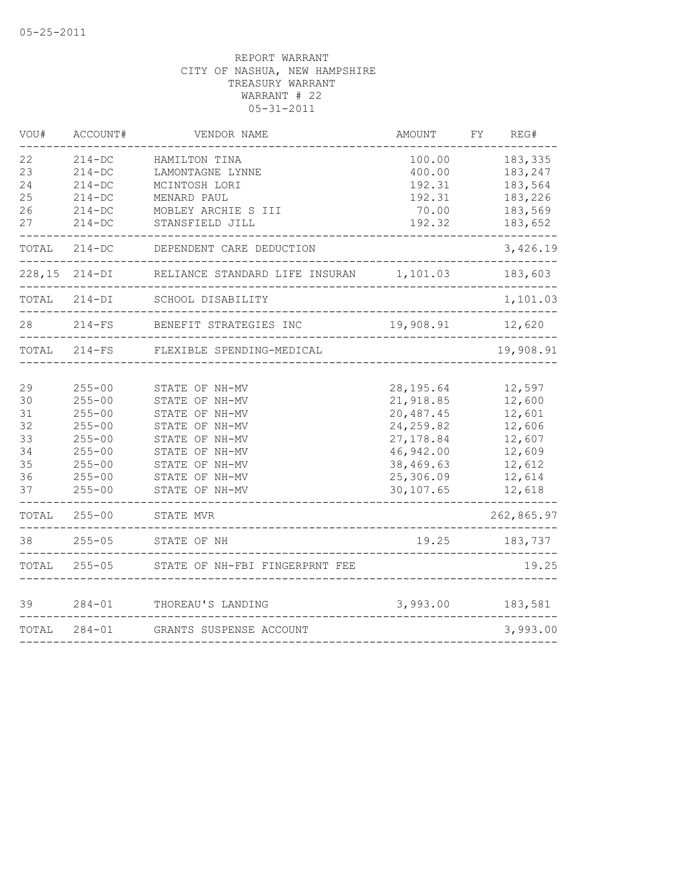| VOU#  | ACCOUNT#          | VENDOR NAME                               | AMOUNT     | FΥ | REG#       |
|-------|-------------------|-------------------------------------------|------------|----|------------|
| 22    | $214 - DC$        | HAMILTON TINA                             | 100.00     |    | 183,335    |
| 23    | $214 - DC$        | LAMONTAGNE LYNNE                          | 400.00     |    | 183,247    |
| 24    | $214-DC$          | MCINTOSH LORI                             | 192.31     |    | 183,564    |
| 25    | $214-DC$          | MENARD PAUL                               | 192.31     |    | 183,226    |
| 26    | $214-DC$          | MOBLEY ARCHIE S III                       | 70.00      |    | 183,569    |
| 27    | $214 - DC$        | STANSFIELD JILL                           | 192.32     |    | 183,652    |
| TOTAL | $214-DC$          | DEPENDENT CARE DEDUCTION                  |            |    | 3,426.19   |
|       | $228,15$ $214-DI$ | RELIANCE STANDARD LIFE INSURAN 1,101.03   |            |    | 183,603    |
|       | TOTAL 214-DI      | SCHOOL DISABILITY                         |            |    | 1,101.03   |
| 28    | $214-FS$          | BENEFIT STRATEGIES INC                    | 19,908.91  |    | 12,620     |
| TOTAL | $214-FS$          | FLEXIBLE SPENDING-MEDICAL                 |            |    | 19,908.91  |
| 29    | $255 - 00$        | STATE OF NH-MV                            | 28, 195.64 |    | 12,597     |
| 30    | $255 - 00$        | STATE OF NH-MV                            | 21,918.85  |    | 12,600     |
| 31    | $255 - 00$        | STATE OF NH-MV                            | 20,487.45  |    | 12,601     |
| 32    | $255 - 00$        | STATE OF NH-MV                            | 24, 259.82 |    | 12,606     |
| 33    | $255 - 00$        | STATE OF NH-MV                            | 27, 178.84 |    | 12,607     |
| 34    | $255 - 00$        | STATE OF NH-MV                            | 46,942.00  |    | 12,609     |
| 35    | $255 - 00$        | STATE OF NH-MV                            | 38,469.63  |    | 12,612     |
| 36    | $255 - 00$        | STATE OF NH-MV                            | 25,306.09  |    | 12,614     |
| 37    | $255 - 00$        | STATE OF NH-MV                            | 30,107.65  |    | 12,618     |
| TOTAL | $255 - 00$        | STATE MVR<br>---------------------------- |            |    | 262,865.97 |
| 38    | $255 - 05$        | STATE OF NH                               | 19.25      |    | 183,737    |
| TOTAL | $255 - 05$        | STATE OF NH-FBI FINGERPRNT FEE            |            |    | 19.25      |
| 39    | $284 - 01$        | THOREAU'S LANDING                         | 3,993.00   |    | 183,581    |
| TOTAL | $284 - 01$        | GRANTS SUSPENSE ACCOUNT                   |            |    | 3,993.00   |
|       |                   |                                           |            |    |            |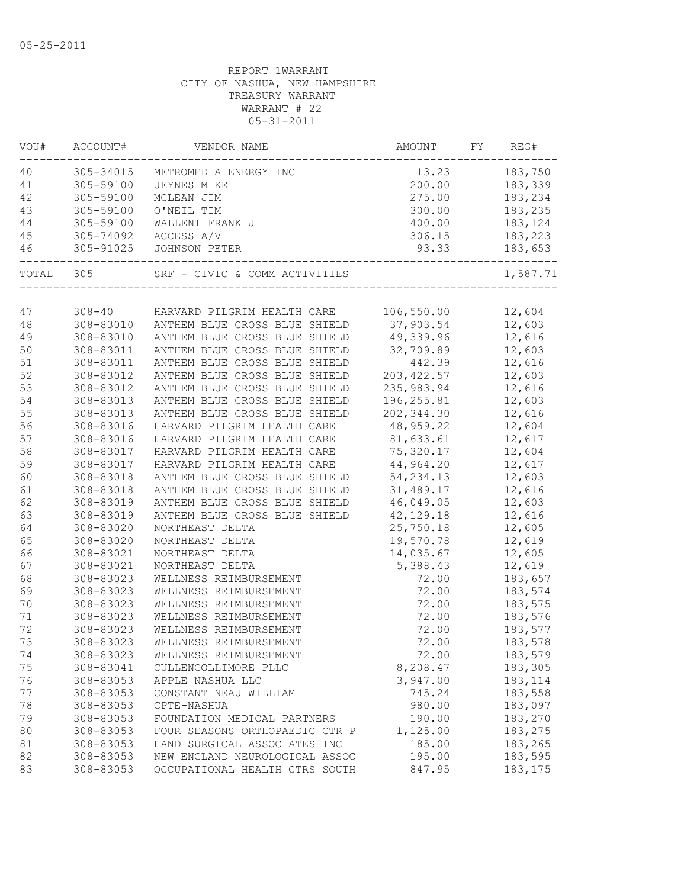| VOU#    | ACCOUNT#   | VENDOR NAME                    | AMOUNT      | FY. | REG#     |
|---------|------------|--------------------------------|-------------|-----|----------|
| 40      | 305-34015  | METROMEDIA ENERGY INC          | 13.23       |     | 183,750  |
| 41      | 305-59100  | JEYNES MIKE                    | 200.00      |     | 183,339  |
| 42      | 305-59100  | MCLEAN JIM                     | 275.00      |     | 183,234  |
| 43      | 305-59100  | O'NEIL TIM                     | 300.00      |     | 183,235  |
| 44      | 305-59100  | WALLENT FRANK J                | 400.00      |     | 183,124  |
| 45      | 305-74092  | ACCESS A/V                     | 306.15      |     | 183,223  |
| 46      | 305-91025  | JOHNSON PETER                  | 93.33       |     | 183,653  |
| TOTAL   | 305        | SRF - CIVIC & COMM ACTIVITIES  |             |     | 1,587.71 |
|         |            |                                |             |     |          |
| 47      | $308 - 40$ | HARVARD PILGRIM HEALTH CARE    | 106,550.00  |     | 12,604   |
| 48      | 308-83010  | ANTHEM BLUE CROSS BLUE SHIELD  | 37,903.54   |     | 12,603   |
| 49      | 308-83010  | ANTHEM BLUE CROSS BLUE SHIELD  | 49,339.96   |     | 12,616   |
| 50      | 308-83011  | ANTHEM BLUE CROSS BLUE SHIELD  | 32,709.89   |     | 12,603   |
| 51      | 308-83011  | ANTHEM BLUE CROSS BLUE SHIELD  | 442.39      |     | 12,616   |
| 52      | 308-83012  | ANTHEM BLUE CROSS BLUE SHIELD  | 203, 422.57 |     | 12,603   |
| 53      | 308-83012  | ANTHEM BLUE CROSS BLUE SHIELD  | 235,983.94  |     | 12,616   |
| 54      | 308-83013  | ANTHEM BLUE CROSS BLUE SHIELD  | 196, 255.81 |     | 12,603   |
| 55      | 308-83013  | ANTHEM BLUE CROSS BLUE SHIELD  | 202, 344.30 |     | 12,616   |
| 56      | 308-83016  | HARVARD PILGRIM HEALTH CARE    | 48,959.22   |     | 12,604   |
| 57      | 308-83016  | HARVARD PILGRIM HEALTH CARE    | 81,633.61   |     | 12,617   |
| 58      | 308-83017  | HARVARD PILGRIM HEALTH CARE    | 75,320.17   |     | 12,604   |
| 59      | 308-83017  | HARVARD PILGRIM HEALTH CARE    | 44,964.20   |     | 12,617   |
| 60      | 308-83018  | ANTHEM BLUE CROSS BLUE SHIELD  | 54, 234.13  |     | 12,603   |
| 61      | 308-83018  | ANTHEM BLUE CROSS BLUE SHIELD  | 31,489.17   |     | 12,616   |
| 62      | 308-83019  | ANTHEM BLUE CROSS BLUE SHIELD  | 46,049.05   |     | 12,603   |
| 63      | 308-83019  | ANTHEM BLUE CROSS BLUE SHIELD  | 42, 129. 18 |     | 12,616   |
| 64      | 308-83020  | NORTHEAST DELTA                | 25,750.18   |     | 12,605   |
| 65      | 308-83020  | NORTHEAST DELTA                | 19,570.78   |     | 12,619   |
| 66      | 308-83021  | NORTHEAST DELTA                | 14,035.67   |     | 12,605   |
| 67      | 308-83021  | NORTHEAST DELTA                | 5,388.43    |     | 12,619   |
| 68      | 308-83023  | WELLNESS REIMBURSEMENT         | 72.00       |     | 183,657  |
| 69      | 308-83023  | WELLNESS REIMBURSEMENT         | 72.00       |     | 183,574  |
| 70      | 308-83023  | WELLNESS REIMBURSEMENT         | 72.00       |     | 183,575  |
| $71 \,$ | 308-83023  | WELLNESS REIMBURSEMENT         | 72.00       |     | 183,576  |
| 72      | 308-83023  | WELLNESS REIMBURSEMENT         | 72.00       |     | 183,577  |
| 73      | 308-83023  | WELLNESS REIMBURSEMENT         | 72.00       |     | 183,578  |
| 74      | 308-83023  | WELLNESS REIMBURSEMENT         | 72.00       |     | 183,579  |
| 75      | 308-83041  | CULLENCOLLIMORE PLLC           | 8,208.47    |     | 183,305  |
| 76      | 308-83053  | APPLE NASHUA LLC               | 3,947.00    |     | 183, 114 |
| 77      | 308-83053  | CONSTANTINEAU WILLIAM          | 745.24      |     | 183,558  |
| 78      | 308-83053  | CPTE-NASHUA                    | 980.00      |     | 183,097  |
| 79      | 308-83053  | FOUNDATION MEDICAL PARTNERS    | 190.00      |     | 183,270  |
| 80      | 308-83053  | FOUR SEASONS ORTHOPAEDIC CTR P | 1,125.00    |     | 183,275  |
| 81      | 308-83053  | HAND SURGICAL ASSOCIATES INC   | 185.00      |     | 183,265  |
| 82      | 308-83053  | NEW ENGLAND NEUROLOGICAL ASSOC | 195.00      |     | 183,595  |
| 83      | 308-83053  | OCCUPATIONAL HEALTH CTRS SOUTH | 847.95      |     | 183, 175 |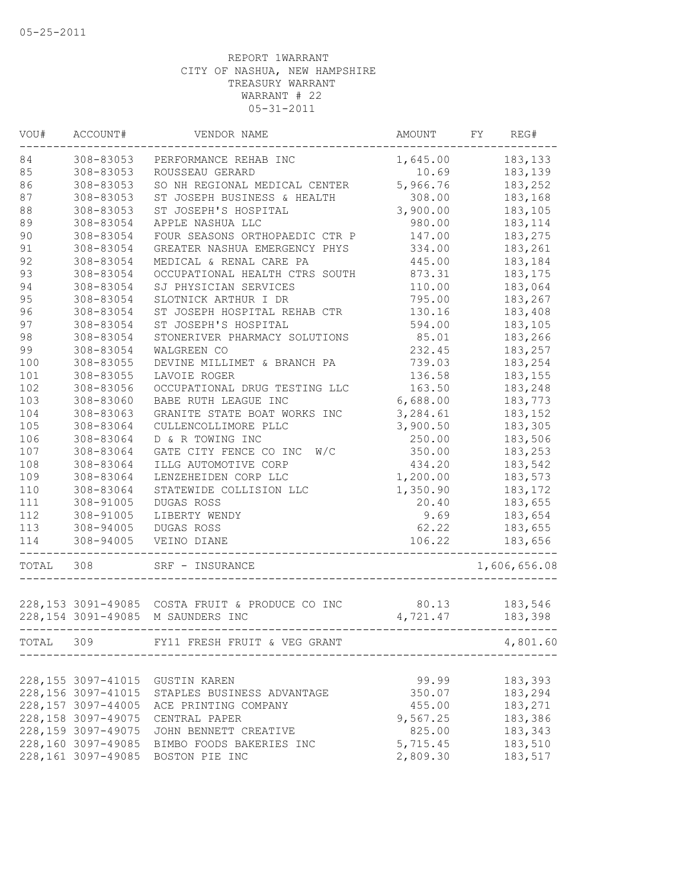| VOU#  | ACCOUNT#                                   | VENDOR NAME                                                       | AMOUNT            | FY. | REG#               |
|-------|--------------------------------------------|-------------------------------------------------------------------|-------------------|-----|--------------------|
| 84    | 308-83053                                  | PERFORMANCE REHAB INC                                             | 1,645.00          |     | 183,133            |
| 85    | 308-83053                                  | ROUSSEAU GERARD                                                   | 10.69             |     | 183,139            |
| 86    | 308-83053                                  | SO NH REGIONAL MEDICAL CENTER                                     | 5,966.76          |     | 183,252            |
| 87    | 308-83053                                  | ST JOSEPH BUSINESS & HEALTH                                       | 308.00            |     | 183,168            |
| 88    | 308-83053                                  | ST JOSEPH'S HOSPITAL                                              | 3,900.00          |     | 183,105            |
| 89    | 308-83054                                  | APPLE NASHUA LLC                                                  | 980.00            |     | 183, 114           |
| 90    | 308-83054                                  | FOUR SEASONS ORTHOPAEDIC CTR P                                    | 147.00            |     | 183,275            |
| 91    | 308-83054                                  | GREATER NASHUA EMERGENCY PHYS                                     | 334.00            |     | 183,261            |
| 92    | 308-83054                                  | MEDICAL & RENAL CARE PA                                           | 445.00            |     | 183,184            |
| 93    | 308-83054                                  | OCCUPATIONAL HEALTH CTRS SOUTH                                    | 873.31            |     | 183, 175           |
| 94    | 308-83054                                  | SJ PHYSICIAN SERVICES                                             | 110.00            |     | 183,064            |
| 95    | 308-83054                                  | SLOTNICK ARTHUR I DR                                              | 795.00            |     | 183,267            |
| 96    | 308-83054                                  | ST JOSEPH HOSPITAL REHAB CTR                                      | 130.16            |     | 183,408            |
| 97    | 308-83054                                  | ST JOSEPH'S HOSPITAL                                              | 594.00            |     | 183,105            |
| 98    | 308-83054                                  | STONERIVER PHARMACY SOLUTIONS                                     | 85.01             |     | 183,266            |
| 99    | 308-83054                                  | WALGREEN CO                                                       | 232.45            |     | 183,257            |
| 100   | 308-83055                                  | DEVINE MILLIMET & BRANCH PA                                       | 739.03            |     | 183,254            |
| 101   | 308-83055                                  | LAVOIE ROGER                                                      | 136.58            |     | 183,155            |
| 102   | 308-83056                                  | OCCUPATIONAL DRUG TESTING LLC                                     | 163.50            |     | 183,248            |
| 103   | 308-83060                                  | BABE RUTH LEAGUE INC                                              | 6,688.00          |     | 183,773            |
| 104   | 308-83063                                  | GRANITE STATE BOAT WORKS INC                                      | 3,284.61          |     | 183, 152           |
| 105   | 308-83064                                  | CULLENCOLLIMORE PLLC                                              | 3,900.50          |     | 183,305            |
| 106   | 308-83064                                  | D & R TOWING INC                                                  | 250.00            |     | 183,506            |
| 107   | 308-83064                                  | GATE CITY FENCE CO INC<br>W/C                                     | 350.00            |     | 183,253            |
| 108   | 308-83064                                  | ILLG AUTOMOTIVE CORP                                              | 434.20            |     | 183,542            |
| 109   | 308-83064                                  | LENZEHEIDEN CORP LLC                                              | 1,200.00          |     | 183,573            |
| 110   | 308-83064                                  | STATEWIDE COLLISION LLC                                           | 1,350.90          |     | 183, 172           |
| 111   | 308-91005                                  | DUGAS ROSS                                                        | 20.40             |     | 183,655            |
| 112   | 308-91005                                  | LIBERTY WENDY                                                     | 9.69              |     | 183,654            |
| 113   | 308-94005                                  | DUGAS ROSS                                                        | 62.22             |     | 183,655            |
| 114   | 308-94005                                  | VEINO DIANE                                                       | 106.22            |     | 183,656            |
|       |                                            |                                                                   |                   |     |                    |
| TOTAL | 308                                        | SRF - INSURANCE                                                   |                   |     | 1,606,656.08       |
|       |                                            |                                                                   |                   |     |                    |
|       | 228, 154 3091-49085                        | 228,153 3091-49085 COSTA FRUIT & PRODUCE CO INC<br>M SAUNDERS INC | 80.13<br>4,721.47 |     | 183,546<br>183,398 |
|       |                                            |                                                                   |                   |     |                    |
| TOTAL | 309                                        | FY11 FRESH FRUIT & VEG GRANT                                      |                   |     | 4,801.60           |
|       |                                            |                                                                   |                   |     |                    |
|       | 228, 155 3097-41015<br>228, 156 3097-41015 | <b>GUSTIN KAREN</b>                                               | 99.99             |     | 183,393<br>183,294 |
|       |                                            | STAPLES BUSINESS ADVANTAGE                                        | 350.07            |     |                    |
|       | 228,157 3097-44005                         | ACE PRINTING COMPANY                                              | 455.00            |     | 183,271            |
|       | 228, 158 3097-49075                        | CENTRAL PAPER                                                     | 9,567.25          |     | 183,386            |
|       | 228, 159 3097-49075                        | JOHN BENNETT CREATIVE                                             | 825.00            |     | 183,343            |
|       | 228,160 3097-49085                         | BIMBO FOODS BAKERIES INC                                          | 5,715.45          |     | 183,510            |
|       | 228,161 3097-49085                         | BOSTON PIE INC                                                    | 2,809.30          |     | 183,517            |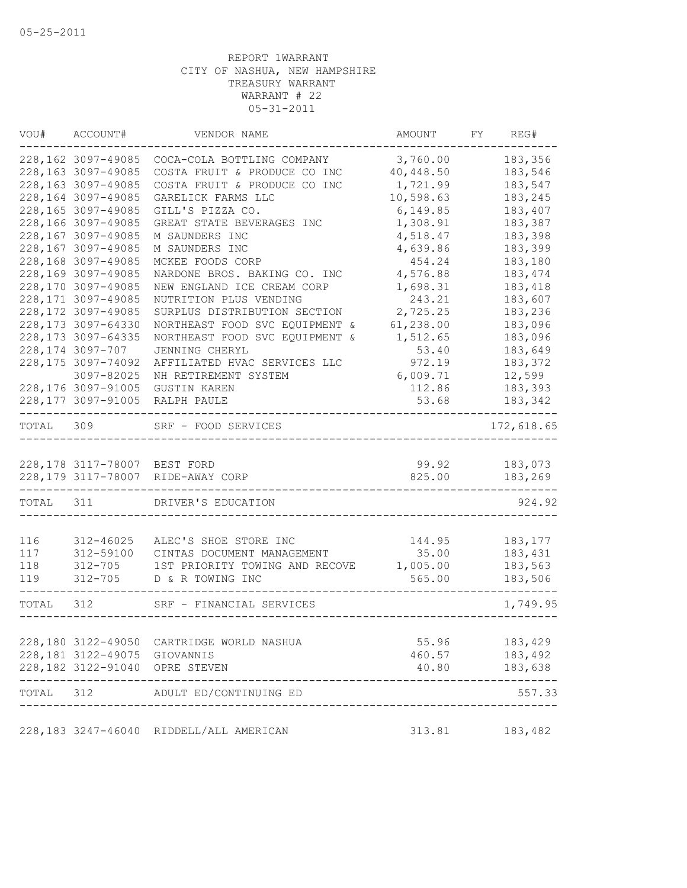| WOU#      | ACCOUNT#                     | VENDOR NAME                             | AMOUNT    | FY | REG#       |
|-----------|------------------------------|-----------------------------------------|-----------|----|------------|
|           | 228,162 3097-49085           | COCA-COLA BOTTLING COMPANY              | 3,760.00  |    | 183,356    |
|           | 228,163 3097-49085           | COSTA FRUIT & PRODUCE CO INC            | 40,448.50 |    | 183,546    |
|           | 228,163 3097-49085           | COSTA FRUIT & PRODUCE CO INC            | 1,721.99  |    | 183,547    |
|           | 228,164 3097-49085           | GARELICK FARMS LLC                      | 10,598.63 |    | 183,245    |
|           | 228,165 3097-49085           | GILL'S PIZZA CO.                        | 6,149.85  |    | 183,407    |
|           | 228,166 3097-49085           | GREAT STATE BEVERAGES INC               | 1,308.91  |    | 183,387    |
|           | 228,167 3097-49085           | M SAUNDERS INC                          | 4,518.47  |    | 183,398    |
|           | 228,167 3097-49085           | M SAUNDERS INC                          | 4,639.86  |    | 183,399    |
|           | 228,168 3097-49085           | MCKEE FOODS CORP                        | 454.24    |    | 183,180    |
|           | 228,169 3097-49085           | NARDONE BROS. BAKING CO. INC            | 4,576.88  |    | 183, 474   |
|           | 228,170 3097-49085           | NEW ENGLAND ICE CREAM CORP              | 1,698.31  |    | 183,418    |
|           | 228, 171 3097-49085          | NUTRITION PLUS VENDING                  | 243.21    |    | 183,607    |
|           | 228, 172 3097-49085          | SURPLUS DISTRIBUTION SECTION            | 2,725.25  |    | 183,236    |
|           | 228,173 3097-64330           | NORTHEAST FOOD SVC EQUIPMENT &          | 61,238.00 |    | 183,096    |
|           | 228, 173 3097-64335          | NORTHEAST FOOD SVC EQUIPMENT &          | 1,512.65  |    | 183,096    |
|           | 228,174 3097-707             | JENNING CHERYL                          | 53.40     |    | 183,649    |
|           | 228, 175 3097-74092          | AFFILIATED HVAC SERVICES LLC            | 972.19    |    | 183,372    |
|           | 3097-82025                   | NH RETIREMENT SYSTEM                    | 6,009.71  |    | 12,599     |
|           | 228,176 3097-91005           | <b>GUSTIN KAREN</b>                     | 112.86    |    | 183,393    |
|           | 228,177 3097-91005           | RALPH PAULE                             | 53.68     |    | 183,342    |
| TOTAL     | 309                          | SRF - FOOD SERVICES                     |           |    | 172,618.65 |
|           |                              |                                         |           |    |            |
|           | 228,178 3117-78007 BEST FORD |                                         | 99.92     |    | 183,073    |
|           |                              | 228,179 3117-78007 RIDE-AWAY CORP       | 825.00    |    | 183,269    |
| TOTAL 311 |                              | DRIVER'S EDUCATION                      |           |    | 924.92     |
| 116       | 312-46025                    | ALEC'S SHOE STORE INC                   | 144.95    |    | 183, 177   |
| 117       | 312-59100                    | CINTAS DOCUMENT MANAGEMENT              | 35.00     |    | 183,431    |
| 118       | $312 - 705$                  | 1ST PRIORITY TOWING AND RECOVE          | 1,005.00  |    | 183,563    |
| 119       | $312 - 705$                  | D & R TOWING INC                        | 565.00    |    | 183,506    |
|           |                              |                                         |           |    |            |
| TOTAL     | 312                          | SRF - FINANCIAL SERVICES                |           |    | 1,749.95   |
|           |                              |                                         |           |    |            |
|           | 228,180 3122-49050           | CARTRIDGE WORLD NASHUA                  | 55.96     |    | 183,429    |
|           | 228, 181 3122-49075          | GIOVANNIS                               | 460.57    |    | 183,492    |
|           |                              | 228,182 3122-91040 OPRE STEVEN          | 40.80     |    | 183,638    |
| TOTAL 312 |                              | ADULT ED/CONTINUING ED                  |           |    | 557.33     |
|           |                              | 228,183 3247-46040 RIDDELL/ALL AMERICAN | 313.81    |    | 183,482    |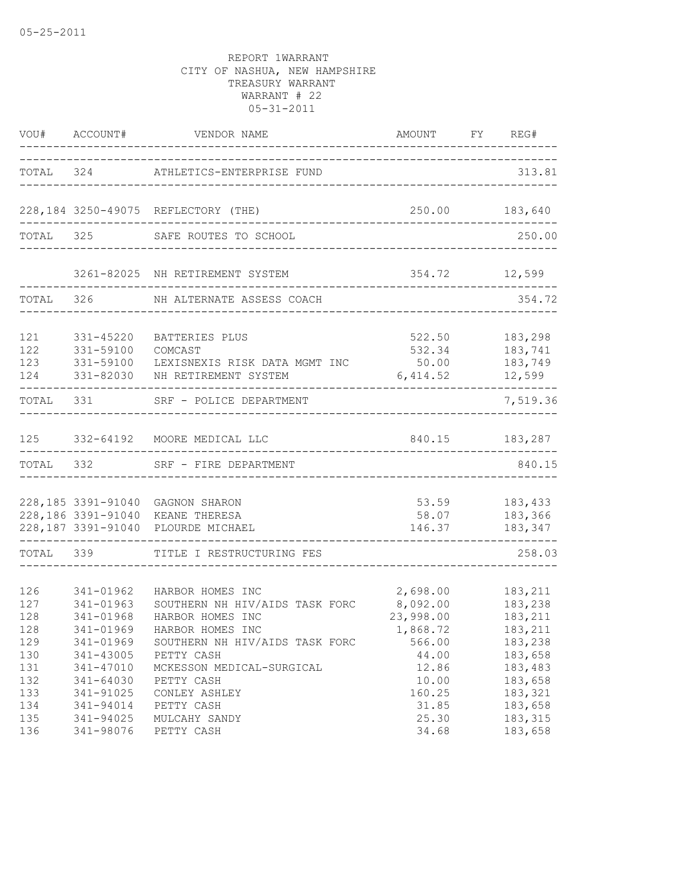|                                        |                                                                            | VOU# ACCOUNT# VENDOR NAME<br>-----------------------------------                                                                                     | AMOUNT FY REG#                                                   |                                                                 |
|----------------------------------------|----------------------------------------------------------------------------|------------------------------------------------------------------------------------------------------------------------------------------------------|------------------------------------------------------------------|-----------------------------------------------------------------|
|                                        |                                                                            | TOTAL 324 ATHLETICS-ENTERPRISE FUND                                                                                                                  |                                                                  | 313.81                                                          |
|                                        |                                                                            | 228,184 3250-49075 REFLECTORY (THE)                                                                                                                  | 250.00 183,640                                                   | . _ _ _ _ _ _ _ _ _ _ _ _ _ _ _                                 |
|                                        |                                                                            | TOTAL 325 SAFE ROUTES TO SCHOOL                                                                                                                      |                                                                  | 250.00                                                          |
|                                        |                                                                            | 3261-82025 NH RETIREMENT SYSTEM                                                                                                                      |                                                                  | 354.72 12,599                                                   |
|                                        |                                                                            | TOTAL 326 NH ALTERNATE ASSESS COACH                                                                                                                  |                                                                  | 354.72                                                          |
| 121<br>122<br>123<br>124               | 331-45220<br>331-59100<br>331-59100<br>331-82030                           | BATTERIES PLUS<br>COMCAST<br>LEXISNEXIS RISK DATA MGMT INC 50.00<br>NH RETIREMENT SYSTEM                                                             | 522.50<br>532.34 183,741<br>6,414.52                             | 183,298<br>183,749<br>12,599                                    |
| TOTAL 331                              |                                                                            | SRF - POLICE DEPARTMENT                                                                                                                              |                                                                  | 7,519.36                                                        |
|                                        |                                                                            | 125 332-64192 MOORE MEDICAL LLC                                                                                                                      | 840.15 183,287                                                   |                                                                 |
|                                        |                                                                            | TOTAL 332 SRF - FIRE DEPARTMENT<br>__________________________                                                                                        |                                                                  | 840.15                                                          |
|                                        |                                                                            | 228,185 3391-91040 GAGNON SHARON<br>228,186 3391-91040 KEANE THERESA<br>228,187 3391-91040 PLOURDE MICHAEL                                           | 58.07<br>146.37                                                  | 53.59 183,433<br>183,366<br>183,347                             |
|                                        |                                                                            | TOTAL 339 TITLE I RESTRUCTURING FES                                                                                                                  |                                                                  | 258.03                                                          |
| 126<br>127<br>128<br>128<br>129<br>130 | 341-01962<br>341-01963<br>341-01968<br>341-01969<br>341-43005              | HARBOR HOMES INC<br>SOUTHERN NH HIV/AIDS TASK FORC<br>HARBOR HOMES INC<br>341-01969 HARBOR HOMES INC<br>SOUTHERN NH HIV/AIDS TASK FORC<br>PETTY CASH | 2,698.00<br>8,092.00<br>23,998.00<br>1,868.72<br>566.00<br>44.00 | 183,211<br>183,238<br>183,211<br>183,211<br>183,238<br>183,658  |
| 131<br>132<br>133<br>134<br>135<br>136 | 341-47010<br>341-64030<br>341-91025<br>341-94014<br>341-94025<br>341-98076 | MCKESSON MEDICAL-SURGICAL<br>PETTY CASH<br>CONLEY ASHLEY<br>PETTY CASH<br>MULCAHY SANDY<br>PETTY CASH                                                | 12.86<br>10.00<br>160.25<br>31.85<br>25.30<br>34.68              | 183,483<br>183,658<br>183,321<br>183,658<br>183, 315<br>183,658 |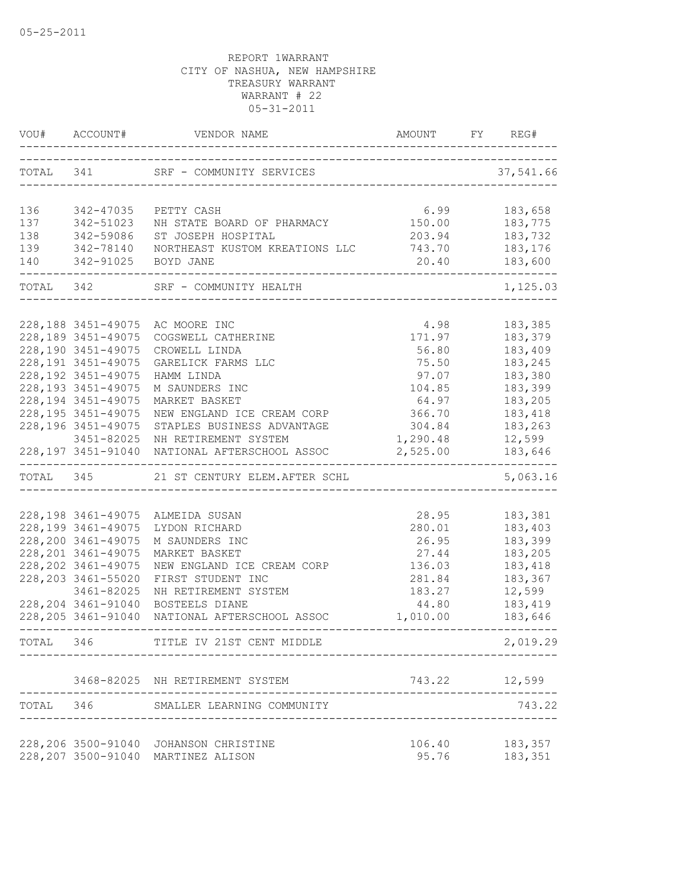|           |                                                                   | VOU# ACCOUNT# VENDOR NAME AMOUNT FY R                                           |                | FY REG#                        |
|-----------|-------------------------------------------------------------------|---------------------------------------------------------------------------------|----------------|--------------------------------|
|           |                                                                   | TOTAL 341 SRF - COMMUNITY SERVICES                                              |                | 37,541.66                      |
|           |                                                                   |                                                                                 |                |                                |
| 136       | 342-47035                                                         | PETTY CASH                                                                      | 6.99           | 183,658                        |
| 137       | 342-51023                                                         | NH STATE BOARD OF PHARMACY                                                      | 150.00 183,775 |                                |
| 138       |                                                                   | ST JOSEPH HOSPITAL                                                              | 203.94         | 183,732                        |
| 139       |                                                                   | NORTHEAST KUSTOM KREATIONS LLC                                                  | 743.70         | 183,176                        |
| 140       | 342-59086 ST JOSEPH<br>342-78140 NORTHEAST<br>342-91025 BOYD JANE |                                                                                 | 20.40          | 183,600                        |
|           |                                                                   | TOTAL 342 SRF - COMMUNITY HEALTH                                                |                | 1,125.03                       |
|           |                                                                   |                                                                                 |                |                                |
|           | 228, 188 3451-49075                                               | AC MOORE INC                                                                    | 4.98           | 183,385                        |
|           | 228,189 3451-49075                                                | COGSWELL CATHERINE                                                              | 171.97         | 183,379                        |
|           | 228,190 3451-49075                                                | CROWELL LINDA                                                                   | 56.80          | 183,409                        |
|           | 228, 191 3451-49075                                               | GARELICK FARMS LLC                                                              | 75.50          | 183,245                        |
|           | 228, 192 3451-49075                                               | HAMM LINDA                                                                      | 97.07          | 183,380                        |
|           | 228, 193 3451-49075                                               | M SAUNDERS INC                                                                  | 104.85         | 183,399                        |
|           | 228, 194 3451-49075                                               | MARKET BASKET                                                                   | 64.97          | 183,205                        |
|           | 228, 195 3451-49075                                               | NEW ENGLAND ICE CREAM CORP                                                      | 366.70         | 183,418                        |
|           | 228, 196 3451-49075                                               | STAPLES BUSINESS ADVANTAGE                                                      | 304.84         | 183,263                        |
|           | 3451-82025                                                        | NH RETIREMENT SYSTEM                                                            | 1,290.48       | 12,599                         |
|           |                                                                   | 228,197 3451-91040 NATIONAL AFTERSCHOOL ASSOC<br>------------------------------ | 2,525.00       | 183,646<br>. _ _ _ _ _ _ _ _ . |
|           |                                                                   | TOTAL 345 21 ST CENTURY ELEM.AFTER SCHL                                         |                | 5,063.16                       |
|           |                                                                   |                                                                                 |                |                                |
|           |                                                                   | 228,198 3461-49075 ALMEIDA SUSAN                                                | 28.95          | 183,381                        |
|           | 228,199 3461-49075                                                | LYDON RICHARD                                                                   | 280.01         | 183,403                        |
|           | 228,200 3461-49075                                                | M SAUNDERS INC                                                                  | 26.95          | 183,399                        |
|           | 228, 201 3461-49075                                               | MARKET BASKET                                                                   | 27.44          | 183,205                        |
|           | 228, 202 3461-49075                                               | NEW ENGLAND ICE CREAM CORP                                                      | 136.03         | 183,418                        |
|           | 228, 203 3461-55020                                               | FIRST STUDENT INC                                                               | 281.84         | 183,367                        |
|           | 3461-82025                                                        | NH RETIREMENT SYSTEM                                                            | 183.27         | 12,599                         |
|           | 228, 204 3461-91040                                               | BOSTEELS DIANE                                                                  | 44.80          | 183,419                        |
|           |                                                                   | 228,205 3461-91040 NATIONAL AFTERSCHOOL ASSOC                                   | 1,010.00       | 183,646                        |
| TOTAL 346 |                                                                   | TITLE IV 21ST CENT MIDDLE                                                       |                | 2,019.29                       |
|           |                                                                   | 3468-82025 NH RETIREMENT SYSTEM                                                 |                | 743.22 12,599                  |
| TOTAL 346 |                                                                   | SMALLER LEARNING COMMUNITY                                                      |                | 743.22                         |
|           |                                                                   |                                                                                 |                |                                |
|           |                                                                   | 228, 206 3500-91040 JOHANSON CHRISTINE                                          | 106.40         | 183,357                        |
|           |                                                                   | 228, 207 3500-91040 MARTINEZ ALISON                                             | 95.76          | 183,351                        |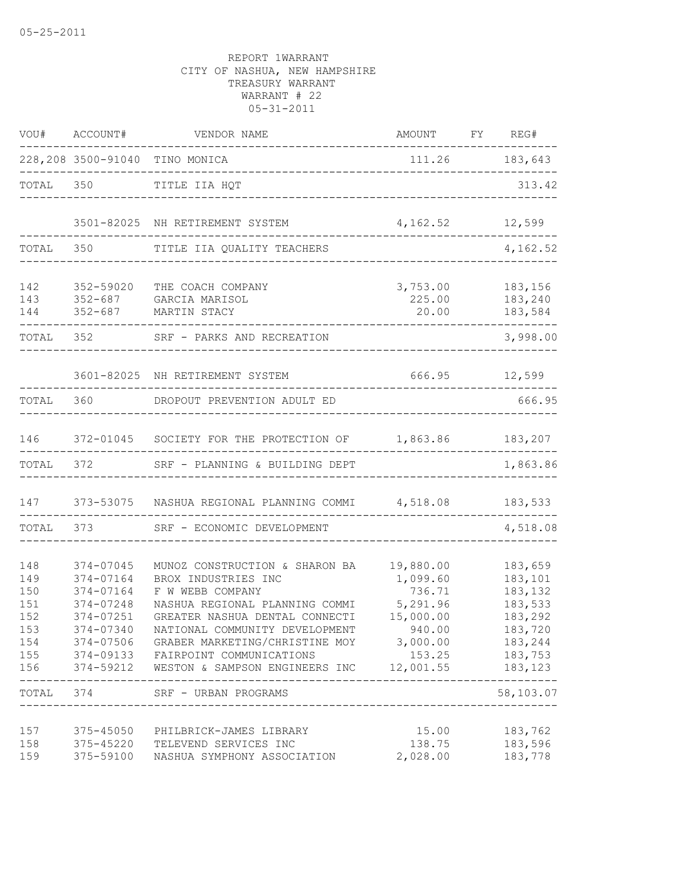|                                                      |                                                                                         | VOU# ACCOUNT# VENDOR NAME                                                                                                                                                                                                                                                                                                                                    | AMOUNT FY REG#                                                               |                                                                                                                             |
|------------------------------------------------------|-----------------------------------------------------------------------------------------|--------------------------------------------------------------------------------------------------------------------------------------------------------------------------------------------------------------------------------------------------------------------------------------------------------------------------------------------------------------|------------------------------------------------------------------------------|-----------------------------------------------------------------------------------------------------------------------------|
|                                                      |                                                                                         | 228,208 3500-91040 TINO MONICA<br>-------------------------------                                                                                                                                                                                                                                                                                            | 111.26 183,643                                                               |                                                                                                                             |
| TOTAL 350                                            |                                                                                         | TITLE IIA HQT                                                                                                                                                                                                                                                                                                                                                |                                                                              | 313.42                                                                                                                      |
|                                                      |                                                                                         | 3501-82025 NH RETIREMENT SYSTEM                                                                                                                                                                                                                                                                                                                              | 4, 162.52 12, 599                                                            |                                                                                                                             |
| TOTAL 350                                            |                                                                                         | TITLE IIA QUALITY TEACHERS                                                                                                                                                                                                                                                                                                                                   |                                                                              | 4,162.52                                                                                                                    |
| 142<br>143<br>144                                    | 352-59020                                                                               | THE COACH COMPANY<br>352-687 GARCIA MARISOL<br>352-687 MARTIN STACY                                                                                                                                                                                                                                                                                          | 3,753.00<br>225.00<br>20.00                                                  | 183,156<br>183,240<br>183,584                                                                                               |
|                                                      | TOTAL 352                                                                               | SRF - PARKS AND RECREATION                                                                                                                                                                                                                                                                                                                                   |                                                                              | 3,998.00                                                                                                                    |
|                                                      |                                                                                         | 3601-82025 NH RETIREMENT SYSTEM                                                                                                                                                                                                                                                                                                                              | 666.95 12,599                                                                |                                                                                                                             |
| TOTAL                                                | 360                                                                                     | DROPOUT PREVENTION ADULT ED                                                                                                                                                                                                                                                                                                                                  |                                                                              | 666.95                                                                                                                      |
| 146                                                  |                                                                                         | 372-01045 SOCIETY FOR THE PROTECTION OF 1,863.86 183,207                                                                                                                                                                                                                                                                                                     |                                                                              |                                                                                                                             |
| TOTAL                                                | 372                                                                                     | SRF - PLANNING & BUILDING DEPT                                                                                                                                                                                                                                                                                                                               |                                                                              | 1,863.86                                                                                                                    |
| 147                                                  |                                                                                         | 373-53075 NASHUA REGIONAL PLANNING COMMI 4,518.08 183,533                                                                                                                                                                                                                                                                                                    |                                                                              |                                                                                                                             |
| TOTAL                                                | 373 — 100                                                                               | SRF - ECONOMIC DEVELOPMENT                                                                                                                                                                                                                                                                                                                                   |                                                                              | 4,518.08                                                                                                                    |
| 148<br>149<br>150<br>151<br>152<br>153<br>154<br>156 | 374-07045<br>374-07164<br>374-07164<br>374-07248<br>374-07251<br>374-07340<br>TOTAL 374 | MUNOZ CONSTRUCTION & SHARON BA<br>BROX INDUSTRIES INC<br>F W WEBB COMPANY<br>NASHUA REGIONAL PLANNING COMMI<br>GREATER NASHUA DENTAL CONNECTI<br>NATIONAL COMMUNITY DEVELOPMENT<br>374-07506 GRABER MARKETING/CHRISTINE MOY 3,000.00<br>155 374-09133 FAIRPOINT COMMUNICATIONS<br>374-59212 WESTON & SAMPSON ENGINEERS INC 12,001.55<br>SRF - URBAN PROGRAMS | 19,880.00<br>1,099.60<br>736.71<br>5,291.96<br>15,000.00<br>940.00<br>153.25 | 183,659<br>183,101<br>183,132<br>183,533<br>183,292<br>183,720<br>183,244<br>183,753<br>183,123<br>$- - - - -$<br>58,103.07 |
|                                                      |                                                                                         | -----------------------                                                                                                                                                                                                                                                                                                                                      |                                                                              |                                                                                                                             |
| 157<br>158<br>159                                    | 375-59100                                                                               | 375-45050 PHILBRICK-JAMES LIBRARY<br>375-45220 TELEVEND SERVICES INC<br>NASHUA SYMPHONY ASSOCIATION                                                                                                                                                                                                                                                          | 15.00<br>138.75<br>2,028.00                                                  | 183,762<br>183,596<br>183,778                                                                                               |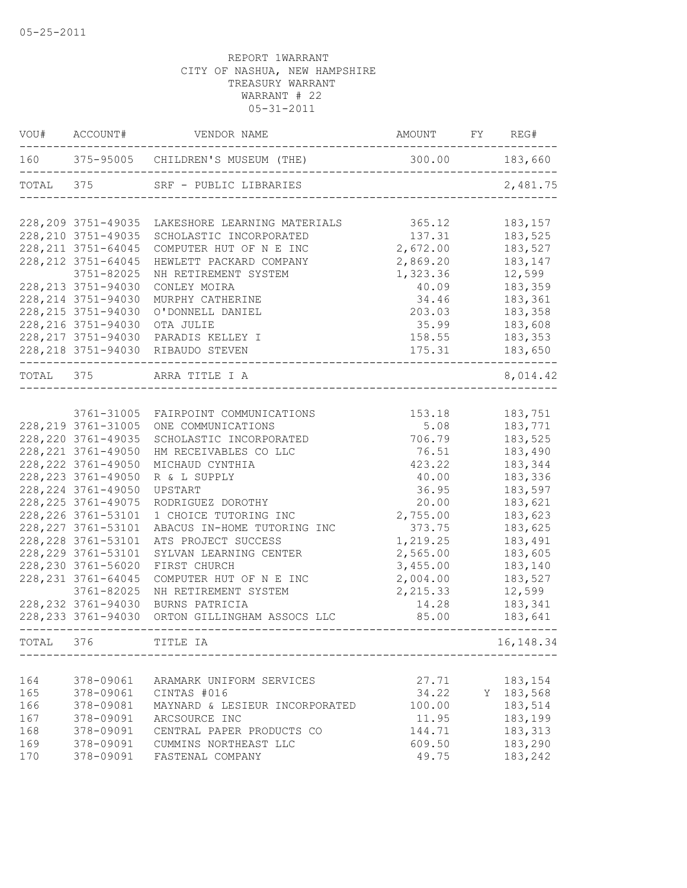|       | VOU# ACCOUNT#       | AMOUNT FY REG#<br>VENDOR NAME            |           |             |
|-------|---------------------|------------------------------------------|-----------|-------------|
|       |                     |                                          |           |             |
|       |                     | TOTAL 375 SRF - PUBLIC LIBRARIES         |           | 2,481.75    |
|       | 228, 209 3751-49035 | LAKESHORE LEARNING MATERIALS             | 365.12    | 183,157     |
|       | 228, 210 3751-49035 | SCHOLASTIC INCORPORATED                  | 137.31    | 183,525     |
|       | 228, 211 3751-64045 | COMPUTER HUT OF N E INC                  | 2,672.00  | 183,527     |
|       | 228, 212 3751-64045 | HEWLETT PACKARD COMPANY                  | 2,869.20  | 183,147     |
|       | 3751-82025          | NH RETIREMENT SYSTEM                     | 1,323.36  | 12,599      |
|       | 228, 213 3751-94030 | CONLEY MOIRA                             | 40.09     | 183,359     |
|       | 228, 214 3751-94030 | MURPHY CATHERINE                         | 34.46     | 183,361     |
|       | 228, 215 3751-94030 | O'DONNELL DANIEL                         | 203.03    | 183,358     |
|       | 228, 216 3751-94030 | OTA JULIE                                | 35.99     | 183,608     |
|       | 228, 217 3751-94030 | PARADIS KELLEY I                         | 158.55    | 183,353     |
|       |                     | 228, 218 3751-94030 RIBAUDO STEVEN       | 175.31    | 183,650     |
|       |                     | TOTAL 375 ARRA TITLE I A                 |           | 8,014.42    |
|       |                     |                                          |           |             |
|       | 3761-31005          | FAIRPOINT COMMUNICATIONS                 | 153.18    | 183,751     |
|       | 228, 219 3761-31005 | ONE COMMUNICATIONS                       | 5.08      | 183,771     |
|       | 228, 220 3761-49035 | SCHOLASTIC INCORPORATED                  | 706.79    | 183,525     |
|       | 228, 221 3761-49050 | HM RECEIVABLES CO LLC                    | 76.51     | 183,490     |
|       | 228, 222 3761-49050 | MICHAUD CYNTHIA                          | 423.22    | 183,344     |
|       | 228, 223 3761-49050 | R & L SUPPLY                             | 40.00     | 183,336     |
|       | 228, 224 3761-49050 | UPSTART                                  | 36.95     | 183,597     |
|       | 228, 225 3761-49075 | RODRIGUEZ DOROTHY                        | 20.00     | 183,621     |
|       | 228, 226 3761-53101 | 1 CHOICE TUTORING INC                    | 2,755.00  | 183,623     |
|       | 228, 227 3761-53101 | ABACUS IN-HOME TUTORING INC              | 373.75    | 183,625     |
|       | 228, 228 3761-53101 | ATS PROJECT SUCCESS                      | 1,219.25  | 183,491     |
|       | 228, 229 3761-53101 | SYLVAN LEARNING CENTER                   | 2,565.00  | 183,605     |
|       | 228, 230 3761-56020 | FIRST CHURCH                             | 3,455.00  | 183,140     |
|       | 228, 231 3761-64045 | COMPUTER HUT OF N E INC                  | 2,004.00  | 183,527     |
|       | 3761-82025          | NH RETIREMENT SYSTEM                     | 2, 215.33 | 12,599      |
|       | 228, 232 3761-94030 | BURNS PATRICIA                           | 14.28     | 183,341     |
|       | 228, 233 3761-94030 | ORTON GILLINGHAM ASSOCS LLC              | 85.00     | 183,641     |
| TOTAL | 376                 | ----------------------------<br>TITLE IA |           | 16, 148. 34 |
|       |                     |                                          |           |             |
| 164   | 378-09061           | ARAMARK UNIFORM SERVICES                 | 27.71     | 183,154     |
| 165   | 378-09061           | CINTAS #016                              | 34.22     | Y 183,568   |
| 166   | 378-09081           | MAYNARD & LESIEUR INCORPORATED           | 100.00    | 183,514     |
| 167   | 378-09091           | ARCSOURCE INC                            | 11.95     | 183,199     |
| 168   | 378-09091           | CENTRAL PAPER PRODUCTS CO                | 144.71    | 183, 313    |
| 169   | 378-09091           | CUMMINS NORTHEAST LLC                    | 609.50    | 183,290     |
| 170   | 378-09091           | FASTENAL COMPANY                         | 49.75     | 183,242     |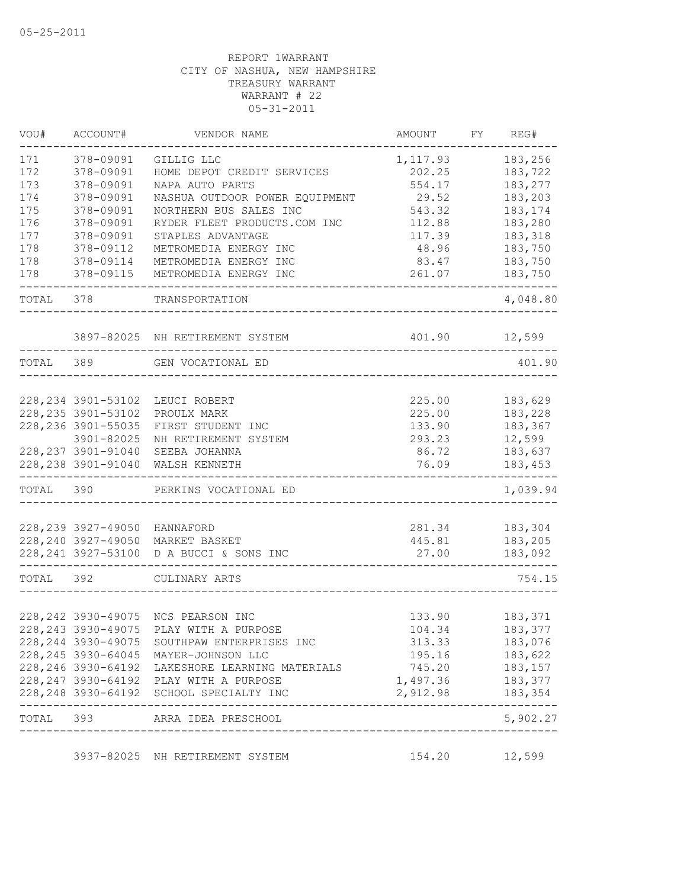| 171<br>378-09091<br>GILLIG LLC<br>1,117.93<br>172<br>378-09091<br>HOME DEPOT CREDIT SERVICES<br>202.25<br>173<br>378-09091<br>NAPA AUTO PARTS<br>554.17<br>174<br>NASHUA OUTDOOR POWER EQUIPMENT<br>378-09091<br>29.52<br>175<br>378-09091<br>NORTHERN BUS SALES INC<br>183,174<br>543.32<br>176<br>378-09091<br>RYDER FLEET PRODUCTS.COM INC<br>183,280<br>112.88<br>177<br>378-09091<br>117.39<br>183,318<br>STAPLES ADVANTAGE<br>178<br>378-09112<br>METROMEDIA ENERGY INC<br>48.96<br>183,750<br>178<br>378-09114<br>183,750<br>METROMEDIA ENERGY INC<br>83.47<br>178<br>378-09115<br>261.07<br>183,750<br>METROMEDIA ENERGY INC<br>TOTAL<br>378<br>TRANSPORTATION<br>401.90<br>3897-82025 NH RETIREMENT SYSTEM<br>12,599<br>389<br>401.90<br>TOTAL<br>GEN VOCATIONAL ED<br>228, 234 3901-53102<br>183,629<br>LEUCI ROBERT<br>225.00<br>228, 235 3901-53102<br>183,228<br>225.00<br>PROULX MARK<br>228, 236 3901-55035<br>133.90<br>183,367<br>FIRST STUDENT INC<br>3901-82025<br>293.23<br>12,599<br>NH RETIREMENT SYSTEM<br>228, 237 3901-91040<br>86.72<br>183,637<br>SEEBA JOHANNA<br>228, 238 3901-91040<br>76.09<br>WALSH KENNETH<br>TOTAL<br>390<br>PERKINS VOCATIONAL ED<br>228, 239 3927-49050<br>281.34<br>183,304<br>HANNAFORD<br>228, 240 3927-49050<br>MARKET BASKET<br>445.81<br>183,205<br>228, 241 3927-53100<br>27.00<br>183,092<br>D A BUCCI & SONS INC<br>392<br>TOTAL<br>CULINARY ARTS<br>228, 242 3930-49075<br>NCS PEARSON INC<br>133.90<br>183,371<br>228, 243 3930-49075 PLAY WITH A PURPOSE<br>104.34<br>183,377<br>228, 244 3930-49075 SOUTHPAW ENTERPRISES INC<br>183,076<br>313.33<br>195.16 183,622<br>745.20 183,157<br>1,497.36 183,377<br>228, 248 3930-64192 SCHOOL SPECIALTY INC<br>2,912.98 183,354<br>. _ _ _ _ _ _ _ _ _ _ _ _ _<br>TOTAL 393 ARRA IDEA PRESCHOOL<br>154.20 12,599<br>3937-82025 NH RETIREMENT SYSTEM | VOU# | ACCOUNT# | VENDOR NAME | AMOUNT | FY | REG#     |
|----------------------------------------------------------------------------------------------------------------------------------------------------------------------------------------------------------------------------------------------------------------------------------------------------------------------------------------------------------------------------------------------------------------------------------------------------------------------------------------------------------------------------------------------------------------------------------------------------------------------------------------------------------------------------------------------------------------------------------------------------------------------------------------------------------------------------------------------------------------------------------------------------------------------------------------------------------------------------------------------------------------------------------------------------------------------------------------------------------------------------------------------------------------------------------------------------------------------------------------------------------------------------------------------------------------------------------------------------------------------------------------------------------------------------------------------------------------------------------------------------------------------------------------------------------------------------------------------------------------------------------------------------------------------------------------------------------------------------------------------------------------------------------------------------------------------------------------------------------------|------|----------|-------------|--------|----|----------|
|                                                                                                                                                                                                                                                                                                                                                                                                                                                                                                                                                                                                                                                                                                                                                                                                                                                                                                                                                                                                                                                                                                                                                                                                                                                                                                                                                                                                                                                                                                                                                                                                                                                                                                                                                                                                                                                                |      |          |             |        |    | 183,256  |
| 228, 245 3930-64045 MAYER-JOHNSON LLC<br>228, 246 3930-64192 LAKESHORE LEARNING MATERIALS<br>228, 247 3930-64192 PLAY WITH A PURPOSE                                                                                                                                                                                                                                                                                                                                                                                                                                                                                                                                                                                                                                                                                                                                                                                                                                                                                                                                                                                                                                                                                                                                                                                                                                                                                                                                                                                                                                                                                                                                                                                                                                                                                                                           |      |          |             |        |    | 183,722  |
|                                                                                                                                                                                                                                                                                                                                                                                                                                                                                                                                                                                                                                                                                                                                                                                                                                                                                                                                                                                                                                                                                                                                                                                                                                                                                                                                                                                                                                                                                                                                                                                                                                                                                                                                                                                                                                                                |      |          |             |        |    | 183,277  |
|                                                                                                                                                                                                                                                                                                                                                                                                                                                                                                                                                                                                                                                                                                                                                                                                                                                                                                                                                                                                                                                                                                                                                                                                                                                                                                                                                                                                                                                                                                                                                                                                                                                                                                                                                                                                                                                                |      |          |             |        |    | 183,203  |
|                                                                                                                                                                                                                                                                                                                                                                                                                                                                                                                                                                                                                                                                                                                                                                                                                                                                                                                                                                                                                                                                                                                                                                                                                                                                                                                                                                                                                                                                                                                                                                                                                                                                                                                                                                                                                                                                |      |          |             |        |    |          |
|                                                                                                                                                                                                                                                                                                                                                                                                                                                                                                                                                                                                                                                                                                                                                                                                                                                                                                                                                                                                                                                                                                                                                                                                                                                                                                                                                                                                                                                                                                                                                                                                                                                                                                                                                                                                                                                                |      |          |             |        |    |          |
|                                                                                                                                                                                                                                                                                                                                                                                                                                                                                                                                                                                                                                                                                                                                                                                                                                                                                                                                                                                                                                                                                                                                                                                                                                                                                                                                                                                                                                                                                                                                                                                                                                                                                                                                                                                                                                                                |      |          |             |        |    |          |
|                                                                                                                                                                                                                                                                                                                                                                                                                                                                                                                                                                                                                                                                                                                                                                                                                                                                                                                                                                                                                                                                                                                                                                                                                                                                                                                                                                                                                                                                                                                                                                                                                                                                                                                                                                                                                                                                |      |          |             |        |    |          |
|                                                                                                                                                                                                                                                                                                                                                                                                                                                                                                                                                                                                                                                                                                                                                                                                                                                                                                                                                                                                                                                                                                                                                                                                                                                                                                                                                                                                                                                                                                                                                                                                                                                                                                                                                                                                                                                                |      |          |             |        |    |          |
|                                                                                                                                                                                                                                                                                                                                                                                                                                                                                                                                                                                                                                                                                                                                                                                                                                                                                                                                                                                                                                                                                                                                                                                                                                                                                                                                                                                                                                                                                                                                                                                                                                                                                                                                                                                                                                                                |      |          |             |        |    |          |
|                                                                                                                                                                                                                                                                                                                                                                                                                                                                                                                                                                                                                                                                                                                                                                                                                                                                                                                                                                                                                                                                                                                                                                                                                                                                                                                                                                                                                                                                                                                                                                                                                                                                                                                                                                                                                                                                |      |          |             |        |    | 4,048.80 |
|                                                                                                                                                                                                                                                                                                                                                                                                                                                                                                                                                                                                                                                                                                                                                                                                                                                                                                                                                                                                                                                                                                                                                                                                                                                                                                                                                                                                                                                                                                                                                                                                                                                                                                                                                                                                                                                                |      |          |             |        |    |          |
|                                                                                                                                                                                                                                                                                                                                                                                                                                                                                                                                                                                                                                                                                                                                                                                                                                                                                                                                                                                                                                                                                                                                                                                                                                                                                                                                                                                                                                                                                                                                                                                                                                                                                                                                                                                                                                                                |      |          |             |        |    |          |
|                                                                                                                                                                                                                                                                                                                                                                                                                                                                                                                                                                                                                                                                                                                                                                                                                                                                                                                                                                                                                                                                                                                                                                                                                                                                                                                                                                                                                                                                                                                                                                                                                                                                                                                                                                                                                                                                |      |          |             |        |    |          |
|                                                                                                                                                                                                                                                                                                                                                                                                                                                                                                                                                                                                                                                                                                                                                                                                                                                                                                                                                                                                                                                                                                                                                                                                                                                                                                                                                                                                                                                                                                                                                                                                                                                                                                                                                                                                                                                                |      |          |             |        |    |          |
|                                                                                                                                                                                                                                                                                                                                                                                                                                                                                                                                                                                                                                                                                                                                                                                                                                                                                                                                                                                                                                                                                                                                                                                                                                                                                                                                                                                                                                                                                                                                                                                                                                                                                                                                                                                                                                                                |      |          |             |        |    |          |
|                                                                                                                                                                                                                                                                                                                                                                                                                                                                                                                                                                                                                                                                                                                                                                                                                                                                                                                                                                                                                                                                                                                                                                                                                                                                                                                                                                                                                                                                                                                                                                                                                                                                                                                                                                                                                                                                |      |          |             |        |    |          |
|                                                                                                                                                                                                                                                                                                                                                                                                                                                                                                                                                                                                                                                                                                                                                                                                                                                                                                                                                                                                                                                                                                                                                                                                                                                                                                                                                                                                                                                                                                                                                                                                                                                                                                                                                                                                                                                                |      |          |             |        |    |          |
|                                                                                                                                                                                                                                                                                                                                                                                                                                                                                                                                                                                                                                                                                                                                                                                                                                                                                                                                                                                                                                                                                                                                                                                                                                                                                                                                                                                                                                                                                                                                                                                                                                                                                                                                                                                                                                                                |      |          |             |        |    |          |
|                                                                                                                                                                                                                                                                                                                                                                                                                                                                                                                                                                                                                                                                                                                                                                                                                                                                                                                                                                                                                                                                                                                                                                                                                                                                                                                                                                                                                                                                                                                                                                                                                                                                                                                                                                                                                                                                |      |          |             |        |    | 183,453  |
|                                                                                                                                                                                                                                                                                                                                                                                                                                                                                                                                                                                                                                                                                                                                                                                                                                                                                                                                                                                                                                                                                                                                                                                                                                                                                                                                                                                                                                                                                                                                                                                                                                                                                                                                                                                                                                                                |      |          |             |        |    | 1,039.94 |
|                                                                                                                                                                                                                                                                                                                                                                                                                                                                                                                                                                                                                                                                                                                                                                                                                                                                                                                                                                                                                                                                                                                                                                                                                                                                                                                                                                                                                                                                                                                                                                                                                                                                                                                                                                                                                                                                |      |          |             |        |    |          |
|                                                                                                                                                                                                                                                                                                                                                                                                                                                                                                                                                                                                                                                                                                                                                                                                                                                                                                                                                                                                                                                                                                                                                                                                                                                                                                                                                                                                                                                                                                                                                                                                                                                                                                                                                                                                                                                                |      |          |             |        |    |          |
|                                                                                                                                                                                                                                                                                                                                                                                                                                                                                                                                                                                                                                                                                                                                                                                                                                                                                                                                                                                                                                                                                                                                                                                                                                                                                                                                                                                                                                                                                                                                                                                                                                                                                                                                                                                                                                                                |      |          |             |        |    |          |
|                                                                                                                                                                                                                                                                                                                                                                                                                                                                                                                                                                                                                                                                                                                                                                                                                                                                                                                                                                                                                                                                                                                                                                                                                                                                                                                                                                                                                                                                                                                                                                                                                                                                                                                                                                                                                                                                |      |          |             |        |    |          |
|                                                                                                                                                                                                                                                                                                                                                                                                                                                                                                                                                                                                                                                                                                                                                                                                                                                                                                                                                                                                                                                                                                                                                                                                                                                                                                                                                                                                                                                                                                                                                                                                                                                                                                                                                                                                                                                                |      |          |             |        |    | 754.15   |
|                                                                                                                                                                                                                                                                                                                                                                                                                                                                                                                                                                                                                                                                                                                                                                                                                                                                                                                                                                                                                                                                                                                                                                                                                                                                                                                                                                                                                                                                                                                                                                                                                                                                                                                                                                                                                                                                |      |          |             |        |    |          |
|                                                                                                                                                                                                                                                                                                                                                                                                                                                                                                                                                                                                                                                                                                                                                                                                                                                                                                                                                                                                                                                                                                                                                                                                                                                                                                                                                                                                                                                                                                                                                                                                                                                                                                                                                                                                                                                                |      |          |             |        |    |          |
|                                                                                                                                                                                                                                                                                                                                                                                                                                                                                                                                                                                                                                                                                                                                                                                                                                                                                                                                                                                                                                                                                                                                                                                                                                                                                                                                                                                                                                                                                                                                                                                                                                                                                                                                                                                                                                                                |      |          |             |        |    |          |
|                                                                                                                                                                                                                                                                                                                                                                                                                                                                                                                                                                                                                                                                                                                                                                                                                                                                                                                                                                                                                                                                                                                                                                                                                                                                                                                                                                                                                                                                                                                                                                                                                                                                                                                                                                                                                                                                |      |          |             |        |    |          |
|                                                                                                                                                                                                                                                                                                                                                                                                                                                                                                                                                                                                                                                                                                                                                                                                                                                                                                                                                                                                                                                                                                                                                                                                                                                                                                                                                                                                                                                                                                                                                                                                                                                                                                                                                                                                                                                                |      |          |             |        |    |          |
|                                                                                                                                                                                                                                                                                                                                                                                                                                                                                                                                                                                                                                                                                                                                                                                                                                                                                                                                                                                                                                                                                                                                                                                                                                                                                                                                                                                                                                                                                                                                                                                                                                                                                                                                                                                                                                                                |      |          |             |        |    |          |
|                                                                                                                                                                                                                                                                                                                                                                                                                                                                                                                                                                                                                                                                                                                                                                                                                                                                                                                                                                                                                                                                                                                                                                                                                                                                                                                                                                                                                                                                                                                                                                                                                                                                                                                                                                                                                                                                |      |          |             |        |    |          |
|                                                                                                                                                                                                                                                                                                                                                                                                                                                                                                                                                                                                                                                                                                                                                                                                                                                                                                                                                                                                                                                                                                                                                                                                                                                                                                                                                                                                                                                                                                                                                                                                                                                                                                                                                                                                                                                                |      |          |             |        |    |          |
|                                                                                                                                                                                                                                                                                                                                                                                                                                                                                                                                                                                                                                                                                                                                                                                                                                                                                                                                                                                                                                                                                                                                                                                                                                                                                                                                                                                                                                                                                                                                                                                                                                                                                                                                                                                                                                                                |      |          |             |        |    | 5,902.27 |
|                                                                                                                                                                                                                                                                                                                                                                                                                                                                                                                                                                                                                                                                                                                                                                                                                                                                                                                                                                                                                                                                                                                                                                                                                                                                                                                                                                                                                                                                                                                                                                                                                                                                                                                                                                                                                                                                |      |          |             |        |    |          |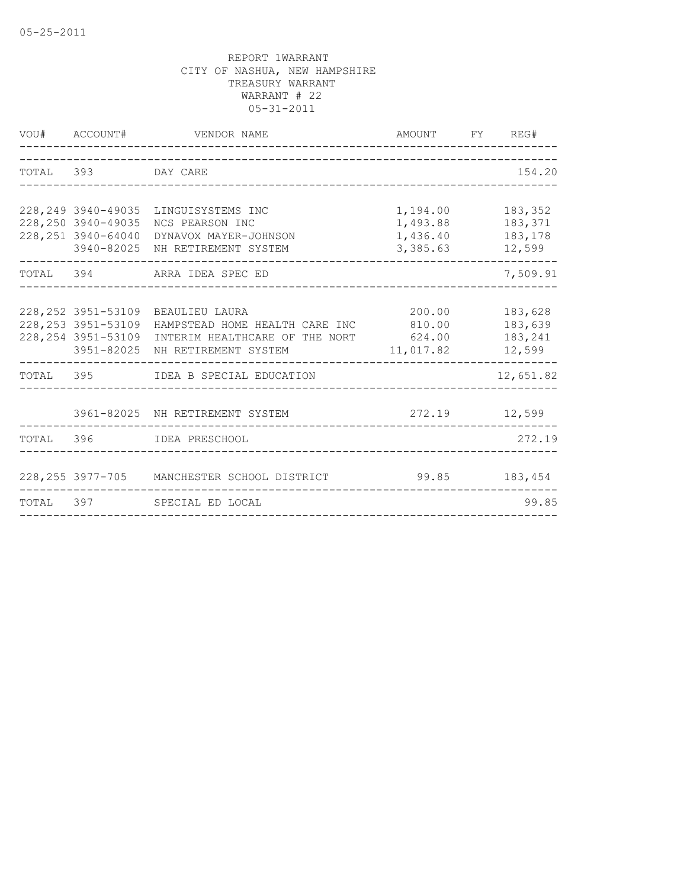| VOU# ACCOUNT#                                                                   | VENDOR NAME<br>_________________                                                                                         | AMOUNT FY REG#<br>-----------                |                                         |
|---------------------------------------------------------------------------------|--------------------------------------------------------------------------------------------------------------------------|----------------------------------------------|-----------------------------------------|
| TOTAL 393 DAY CARE                                                              |                                                                                                                          |                                              | 154.20                                  |
| 228, 249 3940-49035<br>228, 250 3940-49035<br>228, 251 3940-64040<br>3940-82025 | LINGUISYSTEMS INC<br>NCS PEARSON INC<br>DYNAVOX MAYER-JOHNSON<br>NH RETIREMENT SYSTEM                                    | 1,194.00<br>1,493.88<br>1,436.40<br>3,385.63 | 183,352<br>183,371<br>183,178<br>12,599 |
|                                                                                 | TOTAL 394 ARRA IDEA SPEC ED                                                                                              |                                              | 7,509.91                                |
| 228, 252 3951-53109<br>228, 253 3951-53109<br>228, 254 3951-53109<br>3951-82025 | BEAULIEU LAURA<br>HAMPSTEAD HOME HEALTH CARE INC 810.00<br>INTERIM HEALTHCARE OF THE NORT 624.00<br>NH RETIREMENT SYSTEM | 200.00<br>11,017.82                          | 183,628<br>183,639<br>183,241<br>12,599 |
|                                                                                 | TOTAL 395 IDEA B SPECIAL EDUCATION                                                                                       |                                              | 12,651.82                               |
|                                                                                 | 3961-82025 NH RETIREMENT SYSTEM                                                                                          | 272.19 12,599                                |                                         |
|                                                                                 | TOTAL 396 IDEA PRESCHOOL                                                                                                 |                                              | 272.19                                  |
|                                                                                 | 228, 255 3977-705 MANCHESTER SCHOOL DISTRICT                                                                             | 99.85                                        | 183,454                                 |
|                                                                                 | TOTAL 397 SPECIAL ED LOCAL                                                                                               |                                              | 99.85                                   |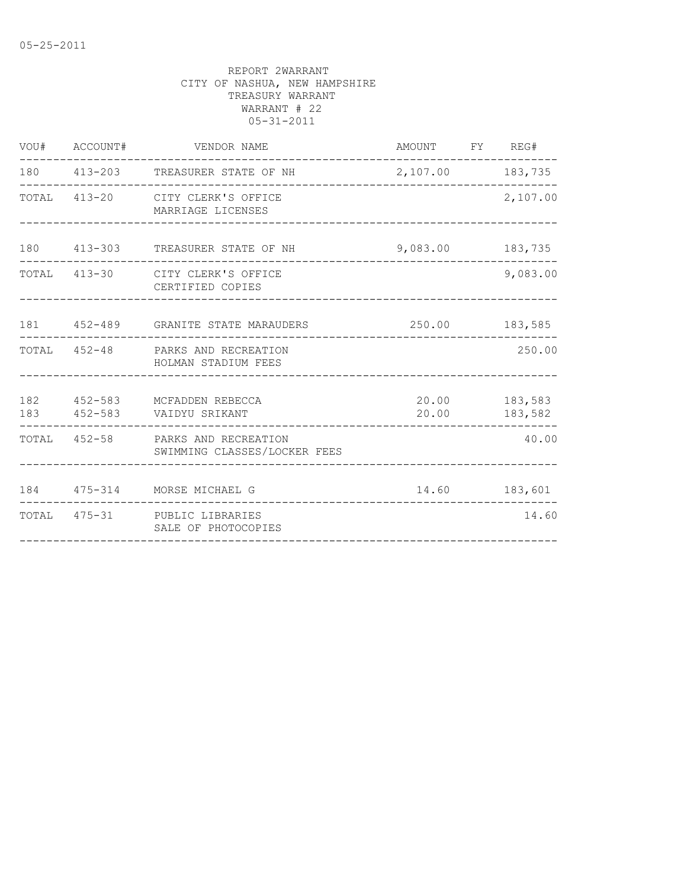| VOU# ACCOUNT# | VENDOR NAME                                                       | AMOUNT FY REG#   |                                |
|---------------|-------------------------------------------------------------------|------------------|--------------------------------|
|               | 180 413-203 TREASURER STATE OF NH                                 | 2,107.00 183,735 |                                |
|               | TOTAL 413-20 CITY CLERK'S OFFICE<br>MARRIAGE LICENSES             |                  | 2,107.00                       |
|               | 180 413-303 TREASURER STATE OF NH                                 | 9,083.00 183,735 |                                |
|               | TOTAL 413-30 CITY CLERK'S OFFICE<br>CERTIFIED COPIES              |                  | 9,083.00                       |
|               | 181   452-489   GRANITE STATE MARAUDERS                           |                  | 250.00 183,585                 |
|               | TOTAL 452-48 PARKS AND RECREATION<br>HOLMAN STADIUM FEES          |                  | 250.00                         |
|               | 182 452-583 MCFADDEN REBECCA<br>183 452-583 VAIDYU SRIKANT        |                  | 20.00 183,583<br>20.00 183,582 |
|               | TOTAL 452-58 PARKS AND RECREATION<br>SWIMMING CLASSES/LOCKER FEES |                  | 40.00                          |
|               | 184 475-314 MORSE MICHAEL G                                       | 14.60 183,601    |                                |
|               | TOTAL 475-31 PUBLIC LIBRARIES<br>SALE OF PHOTOCOPIES              |                  | 14.60                          |
|               |                                                                   |                  |                                |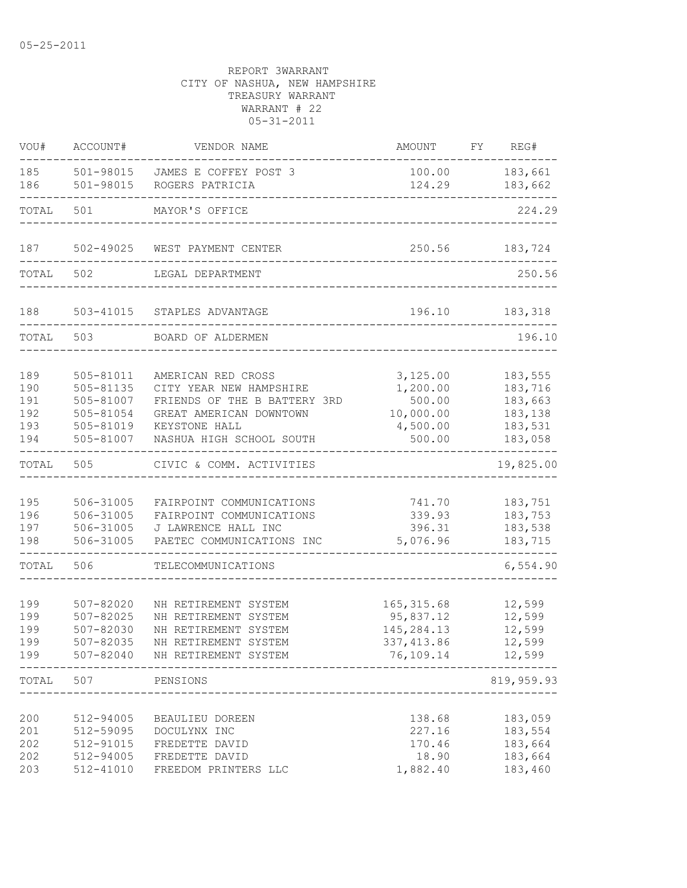| VOU#                                   | ACCOUNT#                                                                   | VENDOR NAME                                                                                                                                           | AMOUNT                                                               | FY REG#                                                        |
|----------------------------------------|----------------------------------------------------------------------------|-------------------------------------------------------------------------------------------------------------------------------------------------------|----------------------------------------------------------------------|----------------------------------------------------------------|
| 185<br>186                             | 501-98015<br>501-98015                                                     | JAMES E COFFEY POST 3<br>ROGERS PATRICIA                                                                                                              | 100.00<br>124.29                                                     | 183,661<br>183,662                                             |
| TOTAL                                  | 501                                                                        | MAYOR'S OFFICE                                                                                                                                        |                                                                      | 224.29                                                         |
| 187                                    | 502-49025                                                                  | WEST PAYMENT CENTER                                                                                                                                   | 250.56                                                               | 183,724                                                        |
| TOTAL                                  | 502                                                                        | LEGAL DEPARTMENT                                                                                                                                      |                                                                      | 250.56                                                         |
| 188                                    | 503-41015                                                                  | STAPLES ADVANTAGE                                                                                                                                     | 196.10                                                               | 183,318                                                        |
| TOTAL                                  | 503                                                                        | BOARD OF ALDERMEN                                                                                                                                     |                                                                      | 196.10                                                         |
| 189<br>190<br>191<br>192<br>193<br>194 | 505-81011<br>505-81135<br>505-81007<br>505-81054<br>505-81019<br>505-81007 | AMERICAN RED CROSS<br>CITY YEAR NEW HAMPSHIRE<br>FRIENDS OF THE B BATTERY 3RD<br>GREAT AMERICAN DOWNTOWN<br>KEYSTONE HALL<br>NASHUA HIGH SCHOOL SOUTH | 3,125.00<br>1,200.00<br>500.00<br>10,000.00<br>4,500.00<br>500.00    | 183,555<br>183,716<br>183,663<br>183,138<br>183,531<br>183,058 |
| TOTAL                                  | 505                                                                        | CIVIC & COMM. ACTIVITIES                                                                                                                              |                                                                      | 19,825.00                                                      |
| 195<br>196<br>197<br>198               | 506-31005<br>506-31005<br>506-31005<br>506-31005                           | FAIRPOINT COMMUNICATIONS<br>FAIRPOINT COMMUNICATIONS<br>J LAWRENCE HALL INC<br>PAETEC COMMUNICATIONS INC                                              | 741.70<br>339.93<br>396.31<br>5,076.96                               | 183,751<br>183,753<br>183,538<br>183,715                       |
| TOTAL                                  | 506                                                                        | TELECOMMUNICATIONS                                                                                                                                    |                                                                      | 6,554.90                                                       |
| 199<br>199<br>199<br>199<br>199        | $507 - 82020$<br>$507 - 82025$<br>507-82030<br>507-82035<br>507-82040      | NH RETIREMENT SYSTEM<br>NH RETIREMENT SYSTEM<br>NH RETIREMENT SYSTEM<br>NH RETIREMENT SYSTEM<br>NH RETIREMENT SYSTEM                                  | 165, 315.68<br>95,837.12<br>145, 284. 13<br>337, 413.86<br>76,109.14 | 12,599<br>12,599<br>12,599<br>12,599<br>12,599                 |
| TOTAL                                  | 507                                                                        | -----------------------------<br>PENSIONS                                                                                                             |                                                                      | 819,959.93                                                     |
| 200<br>201<br>202<br>202<br>203        | 512-94005<br>512-59095<br>512-91015<br>512-94005<br>512-41010              | BEAULIEU DOREEN<br>DOCULYNX INC<br>FREDETTE DAVID<br>FREDETTE DAVID<br>FREEDOM PRINTERS LLC                                                           | 138.68<br>227.16<br>170.46<br>18.90<br>1,882.40                      | 183,059<br>183,554<br>183,664<br>183,664<br>183,460            |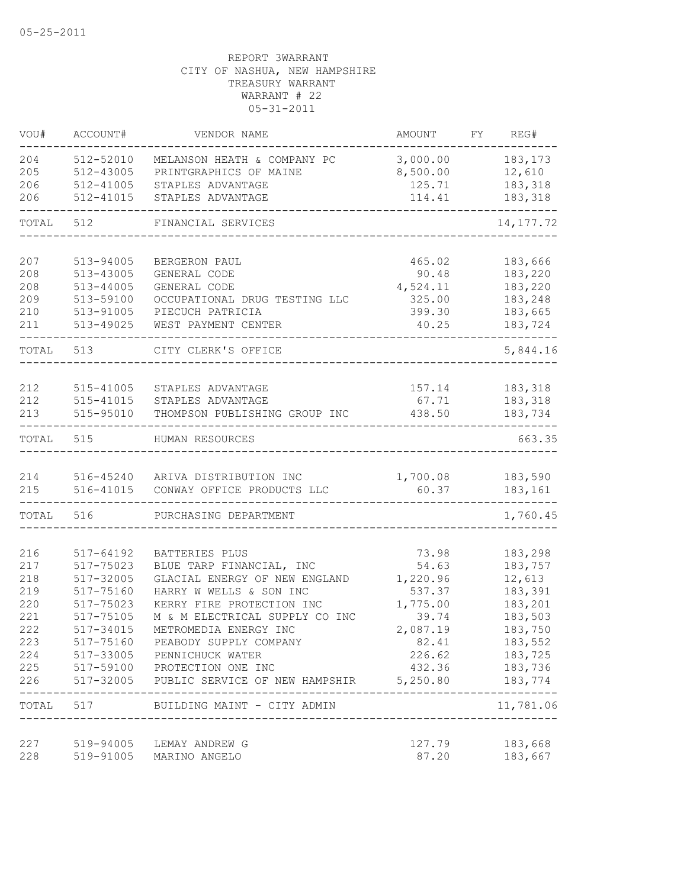| VOU#      | ACCOUNT#                   | VENDOR NAME                             | AMOUNT   | FY. | REG#       |
|-----------|----------------------------|-----------------------------------------|----------|-----|------------|
| 204       | 512-52010                  | MELANSON HEATH & COMPANY PC             | 3,000.00 |     | 183, 173   |
| 205       | 512-43005                  | PRINTGRAPHICS OF MAINE                  | 8,500.00 |     | 12,610     |
| 206       | 512-41005                  | STAPLES ADVANTAGE                       | 125.71   |     | 183,318    |
| 206       | 512-41015                  | STAPLES ADVANTAGE                       | 114.41   |     | 183,318    |
| TOTAL     | 512                        | FINANCIAL SERVICES                      |          |     | 14, 177.72 |
| 207       | 513-94005                  | BERGERON PAUL                           | 465.02   |     | 183,666    |
| 208       | 513-43005                  | GENERAL CODE                            | 90.48    |     | 183,220    |
| 208       | 513-44005                  | GENERAL CODE                            | 4,524.11 |     | 183,220    |
| 209       | 513-59100                  | OCCUPATIONAL DRUG TESTING LLC           | 325.00   |     | 183,248    |
| 210       | 513-91005                  | PIECUCH PATRICIA                        | 399.30   |     | 183,665    |
| 211       | 513-49025                  | WEST PAYMENT CENTER                     | 40.25    |     | 183,724    |
| TOTAL     | 513                        | CITY CLERK'S OFFICE                     |          |     | 5,844.16   |
|           |                            |                                         |          |     |            |
| 212       | 515-41005                  | STAPLES ADVANTAGE                       | 157.14   |     | 183,318    |
| 212       | 515-41015                  | STAPLES ADVANTAGE                       | 67.71    |     | 183,318    |
| 213       | 515-95010                  | THOMPSON PUBLISHING GROUP INC           | 438.50   |     | 183,734    |
| TOTAL     | 515                        | HUMAN RESOURCES                         |          |     | 663.35     |
| 214       |                            | 516-45240 ARIVA DISTRIBUTION INC        | 1,700.08 |     | 183,590    |
| 215       | 516-41015                  | CONWAY OFFICE PRODUCTS LLC              | 60.37    |     | 183,161    |
| TOTAL     | 516                        | PURCHASING DEPARTMENT                   |          |     | 1,760.45   |
| 216       | 517-64192                  | BATTERIES PLUS                          | 73.98    |     | 183,298    |
| 217       | 517-75023                  | BLUE TARP FINANCIAL, INC                | 54.63    |     | 183,757    |
| 218       | 517-32005                  | GLACIAL ENERGY OF NEW ENGLAND           | 1,220.96 |     | 12,613     |
| 219       | 517-75160                  | HARRY W WELLS & SON INC                 | 537.37   |     | 183,391    |
| 220       | 517-75023                  | KERRY FIRE PROTECTION INC               | 1,775.00 |     | 183,201    |
| 221       | 517-75105                  | M & M ELECTRICAL SUPPLY CO INC          | 39.74    |     | 183,503    |
| 222       | 517-34015                  | METROMEDIA ENERGY INC                   | 2,087.19 |     | 183,750    |
| 223       | 517-75160                  | PEABODY SUPPLY COMPANY                  | 82.41    |     | 183,552    |
| 224       | 517-33005                  | PENNICHUCK WATER                        | 226.62   |     | 183,725    |
| 225       |                            | 517-59100 PROTECTION ONE INC            | 432.36   |     | 183,736    |
| 226       | 517-32005<br>------------- | PUBLIC SERVICE OF NEW HAMPSHIR 5,250.80 |          |     | 183,774    |
| TOTAL 517 |                            | BUILDING MAINT - CITY ADMIN             |          |     | 11,781.06  |
| 227       |                            | 519-94005 LEMAY ANDREW G                | 127.79   |     | 183,668    |
| 228       |                            | 519-91005 MARINO ANGELO                 | 87.20    |     | 183,667    |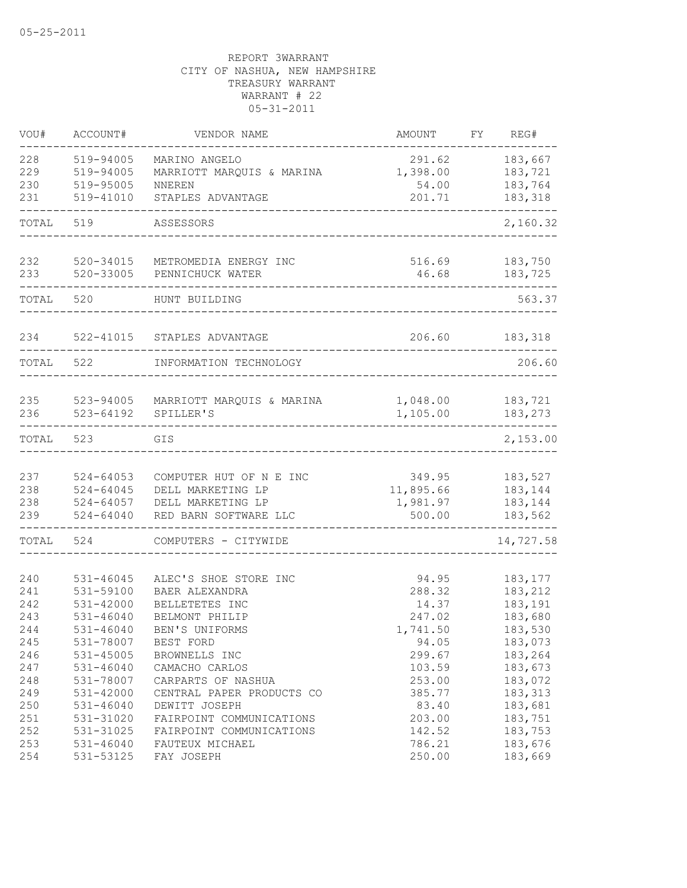| VOU#                                                                             | ACCOUNT#                                                                                                                                                                 | VENDOR NAME                                                                                                                                                                                                                                   | AMOUNT                                                                                                             | REG#<br>FY.                                                                                                                       |
|----------------------------------------------------------------------------------|--------------------------------------------------------------------------------------------------------------------------------------------------------------------------|-----------------------------------------------------------------------------------------------------------------------------------------------------------------------------------------------------------------------------------------------|--------------------------------------------------------------------------------------------------------------------|-----------------------------------------------------------------------------------------------------------------------------------|
| 228<br>229<br>230<br>231                                                         | 519-94005<br>519-94005<br>519-95005<br>519-41010                                                                                                                         | MARINO ANGELO<br>MARRIOTT MARQUIS & MARINA<br>NNEREN<br>STAPLES ADVANTAGE                                                                                                                                                                     | 291.62<br>1,398.00<br>54.00<br>201.71                                                                              | 183,667<br>183,721<br>183,764<br>183,318                                                                                          |
| TOTAL                                                                            | 519                                                                                                                                                                      | ASSESSORS                                                                                                                                                                                                                                     |                                                                                                                    | 2,160.32                                                                                                                          |
| 232<br>233                                                                       | 520-34015<br>520-33005                                                                                                                                                   | METROMEDIA ENERGY INC<br>PENNICHUCK WATER                                                                                                                                                                                                     | 516.69<br>46.68                                                                                                    | 183,750<br>183,725                                                                                                                |
| TOTAL                                                                            | 520                                                                                                                                                                      | HUNT BUILDING                                                                                                                                                                                                                                 |                                                                                                                    | 563.37                                                                                                                            |
| 234                                                                              | $522 - 41015$                                                                                                                                                            | STAPLES ADVANTAGE                                                                                                                                                                                                                             | 206.60                                                                                                             | 183,318                                                                                                                           |
| TOTAL                                                                            | 522                                                                                                                                                                      | INFORMATION TECHNOLOGY                                                                                                                                                                                                                        |                                                                                                                    | 206.60                                                                                                                            |
| 235<br>236                                                                       | 523-94005<br>$523 - 64192$                                                                                                                                               | MARRIOTT MARQUIS & MARINA<br>SPILLER'S                                                                                                                                                                                                        | 1,048.00<br>1,105.00                                                                                               | 183,721<br>183,273                                                                                                                |
| TOTAL                                                                            | 523                                                                                                                                                                      | GIS                                                                                                                                                                                                                                           |                                                                                                                    | 2,153.00                                                                                                                          |
| 237<br>238<br>238<br>239                                                         | $524 - 64053$<br>$524 - 64045$<br>$524 - 64057$<br>$524 - 64040$                                                                                                         | COMPUTER HUT OF N E INC<br>DELL MARKETING LP<br>DELL MARKETING LP<br>RED BARN SOFTWARE LLC                                                                                                                                                    | 349.95<br>11,895.66<br>1,981.97<br>500.00                                                                          | 183,527<br>183,144<br>183,144<br>183,562                                                                                          |
| TOTAL                                                                            | 524                                                                                                                                                                      | COMPUTERS - CITYWIDE                                                                                                                                                                                                                          |                                                                                                                    | 14,727.58                                                                                                                         |
| 240<br>241<br>242<br>243<br>244<br>245<br>246<br>247<br>248<br>249<br>250<br>251 | 531-46045<br>531-59100<br>531-42000<br>$531 - 46040$<br>531-46040<br>531-78007<br>$531 - 45005$<br>$531 - 46040$<br>531-78007<br>531-42000<br>$531 - 46040$<br>531-31020 | ALEC'S SHOE STORE INC<br>BAER ALEXANDRA<br>BELLETETES INC<br>BELMONT PHILIP<br>BEN'S UNIFORMS<br>BEST FORD<br>BROWNELLS INC<br>CAMACHO CARLOS<br>CARPARTS OF NASHUA<br>CENTRAL PAPER PRODUCTS CO<br>DEWITT JOSEPH<br>FAIRPOINT COMMUNICATIONS | 94.95<br>288.32<br>14.37<br>247.02<br>1,741.50<br>94.05<br>299.67<br>103.59<br>253.00<br>385.77<br>83.40<br>203.00 | 183, 177<br>183,212<br>183,191<br>183,680<br>183,530<br>183,073<br>183,264<br>183,673<br>183,072<br>183,313<br>183,681<br>183,751 |
| 252<br>253<br>254                                                                | 531-31025<br>$531 - 46040$<br>531-53125                                                                                                                                  | FAIRPOINT COMMUNICATIONS<br>FAUTEUX MICHAEL<br>FAY JOSEPH                                                                                                                                                                                     | 142.52<br>786.21<br>250.00                                                                                         | 183,753<br>183,676<br>183,669                                                                                                     |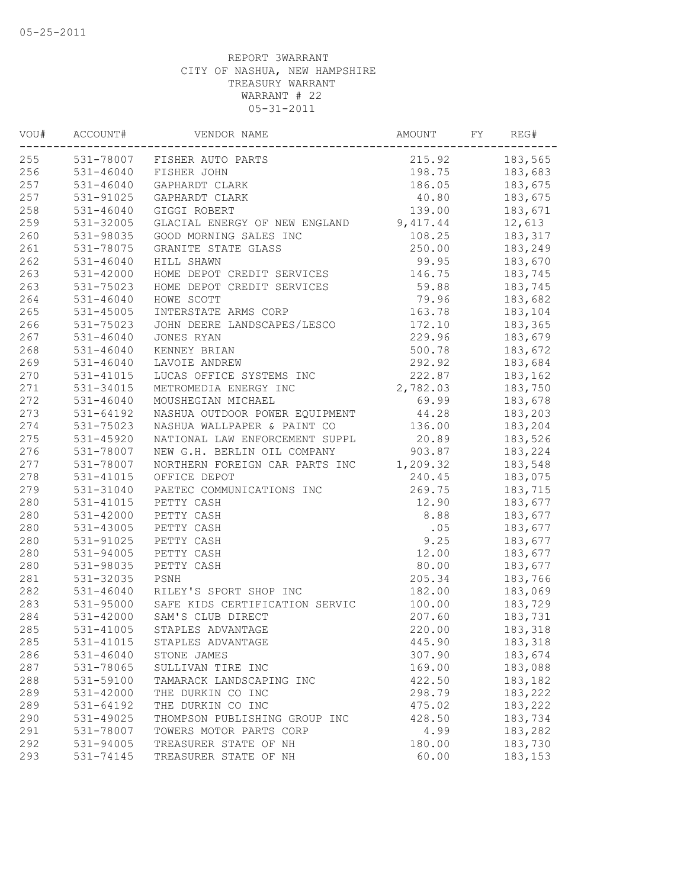| VOU# | ACCOUNT#      | VENDOR NAME                    | AMOUNT   | FY | REG#    |
|------|---------------|--------------------------------|----------|----|---------|
| 255  |               | 531-78007 FISHER AUTO PARTS    | 215.92   |    | 183,565 |
| 256  | 531-46040     | FISHER JOHN                    | 198.75   |    | 183,683 |
| 257  | $531 - 46040$ | GAPHARDT CLARK                 | 186.05   |    | 183,675 |
| 257  | 531-91025     | GAPHARDT CLARK                 | 40.80    |    | 183,675 |
| 258  | $531 - 46040$ | GIGGI ROBERT                   | 139.00   |    | 183,671 |
| 259  | 531-32005     | GLACIAL ENERGY OF NEW ENGLAND  | 9,417.44 |    | 12,613  |
| 260  | 531-98035     | GOOD MORNING SALES INC         | 108.25   |    | 183,317 |
| 261  | 531-78075     | GRANITE STATE GLASS            | 250.00   |    | 183,249 |
| 262  | $531 - 46040$ | HILL SHAWN                     | 99.95    |    | 183,670 |
| 263  | 531-42000     | HOME DEPOT CREDIT SERVICES     | 146.75   |    | 183,745 |
| 263  | 531-75023     | HOME DEPOT CREDIT SERVICES     | 59.88    |    | 183,745 |
| 264  | $531 - 46040$ | HOWE SCOTT                     | 79.96    |    | 183,682 |
| 265  | $531 - 45005$ | INTERSTATE ARMS CORP           | 163.78   |    | 183,104 |
| 266  | 531-75023     | JOHN DEERE LANDSCAPES/LESCO    | 172.10   |    | 183,365 |
| 267  | $531 - 46040$ | JONES RYAN                     | 229.96   |    | 183,679 |
| 268  | $531 - 46040$ | KENNEY BRIAN                   | 500.78   |    | 183,672 |
| 269  | 531-46040     | LAVOIE ANDREW                  | 292.92   |    | 183,684 |
| 270  | 531-41015     | LUCAS OFFICE SYSTEMS INC       | 222.87   |    | 183,162 |
| 271  | 531-34015     | METROMEDIA ENERGY INC          | 2,782.03 |    | 183,750 |
| 272  | $531 - 46040$ | MOUSHEGIAN MICHAEL             | 69.99    |    | 183,678 |
| 273  | 531-64192     | NASHUA OUTDOOR POWER EQUIPMENT | 44.28    |    | 183,203 |
| 274  | 531-75023     | NASHUA WALLPAPER & PAINT CO    | 136.00   |    | 183,204 |
| 275  | 531-45920     | NATIONAL LAW ENFORCEMENT SUPPL | 20.89    |    | 183,526 |
| 276  | 531-78007     | NEW G.H. BERLIN OIL COMPANY    | 903.87   |    | 183,224 |
| 277  | 531-78007     | NORTHERN FOREIGN CAR PARTS INC | 1,209.32 |    | 183,548 |
| 278  | 531-41015     | OFFICE DEPOT                   | 240.45   |    | 183,075 |
| 279  | 531-31040     | PAETEC COMMUNICATIONS INC      | 269.75   |    | 183,715 |
| 280  | 531-41015     | PETTY CASH                     | 12.90    |    | 183,677 |
| 280  | 531-42000     | PETTY CASH                     | 8.88     |    | 183,677 |
| 280  | 531-43005     | PETTY CASH                     |          |    |         |
|      |               |                                | .05      |    | 183,677 |
| 280  | 531-91025     | PETTY CASH                     | 9.25     |    | 183,677 |
| 280  | 531-94005     | PETTY CASH                     | 12.00    |    | 183,677 |
| 280  | 531-98035     | PETTY CASH                     | 80.00    |    | 183,677 |
| 281  | 531-32035     | PSNH                           | 205.34   |    | 183,766 |
| 282  | 531-46040     | RILEY'S SPORT SHOP INC         | 182.00   |    | 183,069 |
| 283  | 531-95000     | SAFE KIDS CERTIFICATION SERVIC | 100.00   |    | 183,729 |
| 284  | 531-42000     | SAM'S CLUB DIRECT              | 207.60   |    | 183,731 |
| 285  | 531-41005     | STAPLES ADVANTAGE              | 220.00   |    | 183,318 |
| 285  | 531-41015     | STAPLES ADVANTAGE              | 445.90   |    | 183,318 |
| 286  | $531 - 46040$ | STONE JAMES                    | 307.90   |    | 183,674 |
| 287  | 531-78065     | SULLIVAN TIRE INC              | 169.00   |    | 183,088 |
| 288  | 531-59100     | TAMARACK LANDSCAPING INC       | 422.50   |    | 183,182 |
| 289  | 531-42000     | THE DURKIN CO INC              | 298.79   |    | 183,222 |
| 289  | 531-64192     | THE DURKIN CO INC              | 475.02   |    | 183,222 |
| 290  | 531-49025     | THOMPSON PUBLISHING GROUP INC  | 428.50   |    | 183,734 |
| 291  | 531-78007     | TOWERS MOTOR PARTS CORP        | 4.99     |    | 183,282 |
| 292  | 531-94005     | TREASURER STATE OF NH          | 180.00   |    | 183,730 |
| 293  | 531-74145     | TREASURER STATE OF NH          | 60.00    |    | 183,153 |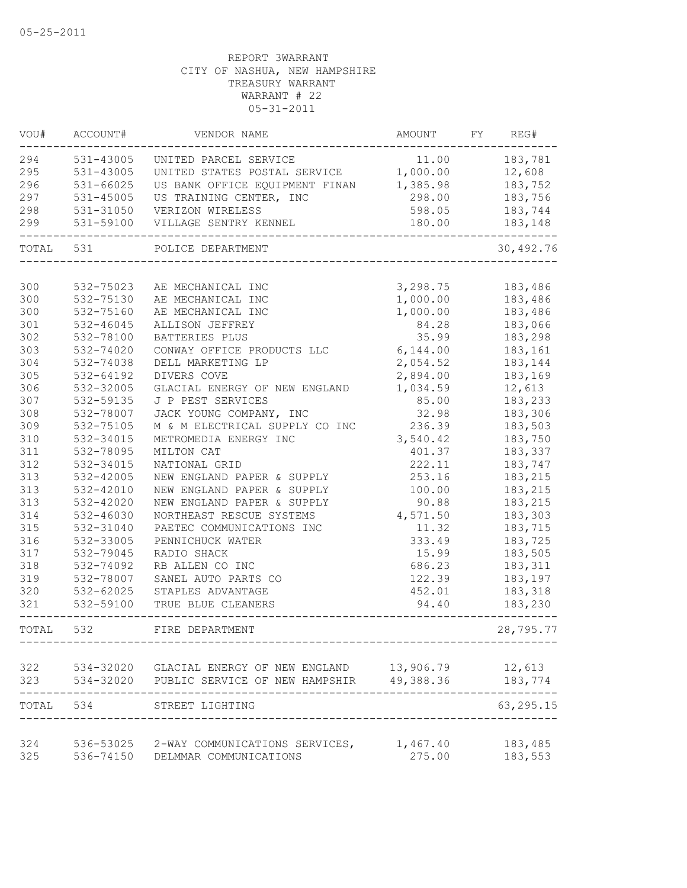| VOU#       | ACCOUNT#      | VENDOR NAME                                                                                             | AMOUNT   | FY REG#           |
|------------|---------------|---------------------------------------------------------------------------------------------------------|----------|-------------------|
| 294        | 531-43005     | UNITED PARCEL SERVICE                                                                                   | 11.00    | 183,781           |
| 295        | 531-43005     | UNITED STATES POSTAL SERVICE 1,000.00                                                                   |          | 12,608            |
| 296        | 531-66025     | US BANK OFFICE EQUIPMENT FINAN 1,385.98                                                                 |          | 183,752           |
| 297        | $531 - 45005$ | US TRAINING CENTER, INC                                                                                 | 298.00   | 183,756           |
| 298        | 531-31050     | VERIZON WIRELESS                                                                                        | 598.05   | 183,744           |
| 299        | 531-59100     | VILLAGE SENTRY KENNEL                                                                                   | 180.00   | 183,148           |
| TOTAL      | 531           | POLICE DEPARTMENT                                                                                       |          | 30,492.76         |
|            |               |                                                                                                         |          |                   |
| 300        | 532-75023     | AE MECHANICAL INC                                                                                       | 3,298.75 | 183,486           |
| 300        | 532-75130     | AE MECHANICAL INC                                                                                       | 1,000.00 | 183,486           |
| 300        | 532-75160     | AE MECHANICAL INC                                                                                       | 1,000.00 | 183,486           |
| 301        | 532-46045     | ALLISON JEFFREY                                                                                         | 84.28    | 183,066           |
| 302        | 532-78100     | BATTERIES PLUS                                                                                          | 35.99    | 183,298           |
| 303        | 532-74020     | CONWAY OFFICE PRODUCTS LLC                                                                              | 6,144.00 | 183,161           |
| 304        | 532-74038     | DELL MARKETING LP                                                                                       | 2,054.52 | 183,144           |
| 305        | 532-64192     | DIVERS COVE                                                                                             | 2,894.00 | 183,169           |
| 306        | 532-32005     | GLACIAL ENERGY OF NEW ENGLAND                                                                           | 1,034.59 | 12,613            |
| 307        | 532-59135     | J P PEST SERVICES                                                                                       | 85.00    | 183,233           |
| 308        | 532-78007     | JACK YOUNG COMPANY, INC                                                                                 | 32.98    | 183,306           |
| 309        | 532-75105     | M & M ELECTRICAL SUPPLY CO INC                                                                          | 236.39   | 183,503           |
| 310        | 532-34015     | METROMEDIA ENERGY INC                                                                                   | 3,540.42 | 183,750           |
| 311        | 532-78095     | MILTON CAT                                                                                              | 401.37   | 183,337           |
| 312        | 532-34015     | NATIONAL GRID                                                                                           | 222.11   | 183,747           |
| 313        | 532-42005     | NEW ENGLAND PAPER & SUPPLY                                                                              | 253.16   | 183,215           |
| 313        | 532-42010     | NEW ENGLAND PAPER & SUPPLY                                                                              | 100.00   | 183,215           |
| 313        | 532-42020     | NEW ENGLAND PAPER & SUPPLY                                                                              | 90.88    | 183,215           |
| 314        | 532-46030     | NORTHEAST RESCUE SYSTEMS                                                                                | 4,571.50 | 183,303           |
| 315        | 532-31040     | PAETEC COMMUNICATIONS INC                                                                               | 11.32    | 183,715           |
| 316        | 532-33005     | PENNICHUCK WATER                                                                                        | 333.49   | 183,725           |
| 317        | 532-79045     | RADIO SHACK                                                                                             | 15.99    | 183,505           |
| 318        | 532-74092     | RB ALLEN CO INC                                                                                         | 686.23   | 183,311           |
| 319        | 532-78007     | SANEL AUTO PARTS CO                                                                                     | 122.39   | 183,197           |
| 320        | 532-62025     | STAPLES ADVANTAGE                                                                                       | 452.01   | 183,318           |
| 321        | 532-59100     | TRUE BLUE CLEANERS                                                                                      | 94.40    | 183,230           |
| TOTAL      | 532           | FIRE DEPARTMENT                                                                                         |          | 28,795.77         |
|            |               |                                                                                                         |          |                   |
| 322<br>323 |               | 534-32020 GLACIAL ENERGY OF NEW ENGLAND 13,906.79<br>534-32020 PUBLIC SERVICE OF NEW HAMPSHIR 49,388.36 |          | 12,613<br>183,774 |
|            |               |                                                                                                         |          | -----             |
| TOTAL 534  |               | STREET LIGHTING                                                                                         |          | 63, 295. 15       |
| 324        |               | 536-53025 2-WAY COMMUNICATIONS SERVICES,                                                                | 1,467.40 | 183,485           |
| 325        | 536-74150     | DELMMAR COMMUNICATIONS                                                                                  | 275.00   | 183,553           |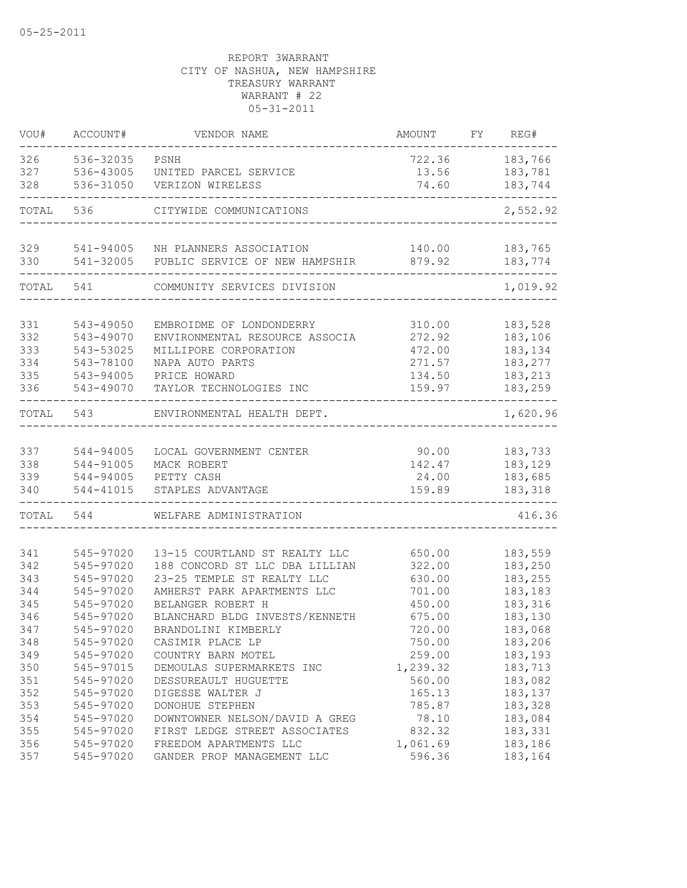| 536-32035<br>PSNH<br>722.36<br>183,766<br>536-43005<br>13.56<br>183,781<br>UNITED PARCEL SERVICE<br>536-31050<br>74.60<br>183,744<br>VERIZON WIRELESS<br>2,552.92<br>536<br>CITYWIDE COMMUNICATIONS<br>329<br>541-94005<br>NH PLANNERS ASSOCIATION<br>140.00<br>183,765<br>330<br>541-32005<br>879.92<br>183,774<br>PUBLIC SERVICE OF NEW HAMPSHIR<br>541<br>1,019.92<br>COMMUNITY SERVICES DIVISION<br>331<br>543-49050<br>EMBROIDME OF LONDONDERRY<br>310.00<br>183,528<br>332<br>543-49070<br>ENVIRONMENTAL RESOURCE ASSOCIA<br>272.92<br>183,106<br>333<br>543-53025<br>472.00<br>183,134<br>MILLIPORE CORPORATION<br>334<br>543-78100<br>NAPA AUTO PARTS<br>271.57<br>183,277<br>335<br>183,213<br>543-94005<br>PRICE HOWARD<br>134.50<br>336<br>543-49070<br>183,259<br>TAYLOR TECHNOLOGIES INC<br>159.97<br>543<br>ENVIRONMENTAL HEALTH DEPT.<br>544-94005<br>90.00<br>LOCAL GOVERNMENT CENTER<br>183,733<br>142.47<br>183,129<br>544-91005<br>MACK ROBERT<br>183,685<br>544-94005<br>PETTY CASH<br>24.00<br>544-41015<br>159.89<br>183,318<br>STAPLES ADVANTAGE<br>416.36<br>544<br>WELFARE ADMINISTRATION<br>545-97020<br>13-15 COURTLAND ST REALTY LLC<br>341<br>650.00<br>183,559<br>342<br>188 CONCORD ST LLC DBA LILLIAN<br>322.00<br>183,250<br>545-97020<br>343<br>545-97020<br>23-25 TEMPLE ST REALTY LLC<br>183,255<br>630.00<br>344<br>545-97020<br>AMHERST PARK APARTMENTS LLC<br>701.00<br>183,183<br>345<br>BELANGER ROBERT H<br>183,316<br>545-97020<br>450.00<br>346<br>BLANCHARD BLDG INVESTS/KENNETH<br>675.00<br>545-97020<br>183,130<br>545-97020<br>347<br>BRANDOLINI KIMBERLY<br>720.00<br>183,068<br>545-97020<br>183,206<br>348<br>CASIMIR PLACE LP<br>750.00<br>349<br>545-97020<br>259.00<br>183,193<br>COUNTRY BARN MOTEL<br>350<br>545-97015<br>DEMOULAS SUPERMARKETS INC<br>1,239.32<br>183,713<br>351<br>183,082<br>545-97020<br>DESSUREAULT HUGUETTE<br>560.00<br>352<br>545-97020<br>165.13<br>183,137<br>DIGESSE WALTER J<br>353<br>DONOHUE STEPHEN<br>183,328<br>545-97020<br>785.87<br>354<br>DOWNTOWNER NELSON/DAVID A GREG<br>183,084<br>545-97020<br>78.10<br>355<br>545-97020<br>FIRST LEDGE STREET ASSOCIATES<br>832.32<br>183,331<br>356<br>545-97020<br>FREEDOM APARTMENTS LLC<br>1,061.69<br>183,186<br>545-97020<br>GANDER PROP MANAGEMENT LLC<br>596.36<br>183,164 | VOU#  | ACCOUNT# | VENDOR NAME | AMOUNT | FY | REG#     |
|------------------------------------------------------------------------------------------------------------------------------------------------------------------------------------------------------------------------------------------------------------------------------------------------------------------------------------------------------------------------------------------------------------------------------------------------------------------------------------------------------------------------------------------------------------------------------------------------------------------------------------------------------------------------------------------------------------------------------------------------------------------------------------------------------------------------------------------------------------------------------------------------------------------------------------------------------------------------------------------------------------------------------------------------------------------------------------------------------------------------------------------------------------------------------------------------------------------------------------------------------------------------------------------------------------------------------------------------------------------------------------------------------------------------------------------------------------------------------------------------------------------------------------------------------------------------------------------------------------------------------------------------------------------------------------------------------------------------------------------------------------------------------------------------------------------------------------------------------------------------------------------------------------------------------------------------------------------------------------------------------------------------------------------------------------------------------------------------------------------------------------------------------------------------------------------------------------------------------------------------------------------------------------------------------------------------|-------|----------|-------------|--------|----|----------|
|                                                                                                                                                                                                                                                                                                                                                                                                                                                                                                                                                                                                                                                                                                                                                                                                                                                                                                                                                                                                                                                                                                                                                                                                                                                                                                                                                                                                                                                                                                                                                                                                                                                                                                                                                                                                                                                                                                                                                                                                                                                                                                                                                                                                                                                                                                                        | 326   |          |             |        |    |          |
|                                                                                                                                                                                                                                                                                                                                                                                                                                                                                                                                                                                                                                                                                                                                                                                                                                                                                                                                                                                                                                                                                                                                                                                                                                                                                                                                                                                                                                                                                                                                                                                                                                                                                                                                                                                                                                                                                                                                                                                                                                                                                                                                                                                                                                                                                                                        | 327   |          |             |        |    |          |
|                                                                                                                                                                                                                                                                                                                                                                                                                                                                                                                                                                                                                                                                                                                                                                                                                                                                                                                                                                                                                                                                                                                                                                                                                                                                                                                                                                                                                                                                                                                                                                                                                                                                                                                                                                                                                                                                                                                                                                                                                                                                                                                                                                                                                                                                                                                        | 328   |          |             |        |    |          |
|                                                                                                                                                                                                                                                                                                                                                                                                                                                                                                                                                                                                                                                                                                                                                                                                                                                                                                                                                                                                                                                                                                                                                                                                                                                                                                                                                                                                                                                                                                                                                                                                                                                                                                                                                                                                                                                                                                                                                                                                                                                                                                                                                                                                                                                                                                                        | TOTAL |          |             |        |    |          |
|                                                                                                                                                                                                                                                                                                                                                                                                                                                                                                                                                                                                                                                                                                                                                                                                                                                                                                                                                                                                                                                                                                                                                                                                                                                                                                                                                                                                                                                                                                                                                                                                                                                                                                                                                                                                                                                                                                                                                                                                                                                                                                                                                                                                                                                                                                                        |       |          |             |        |    |          |
|                                                                                                                                                                                                                                                                                                                                                                                                                                                                                                                                                                                                                                                                                                                                                                                                                                                                                                                                                                                                                                                                                                                                                                                                                                                                                                                                                                                                                                                                                                                                                                                                                                                                                                                                                                                                                                                                                                                                                                                                                                                                                                                                                                                                                                                                                                                        |       |          |             |        |    |          |
|                                                                                                                                                                                                                                                                                                                                                                                                                                                                                                                                                                                                                                                                                                                                                                                                                                                                                                                                                                                                                                                                                                                                                                                                                                                                                                                                                                                                                                                                                                                                                                                                                                                                                                                                                                                                                                                                                                                                                                                                                                                                                                                                                                                                                                                                                                                        |       |          |             |        |    |          |
|                                                                                                                                                                                                                                                                                                                                                                                                                                                                                                                                                                                                                                                                                                                                                                                                                                                                                                                                                                                                                                                                                                                                                                                                                                                                                                                                                                                                                                                                                                                                                                                                                                                                                                                                                                                                                                                                                                                                                                                                                                                                                                                                                                                                                                                                                                                        | TOTAL |          |             |        |    |          |
|                                                                                                                                                                                                                                                                                                                                                                                                                                                                                                                                                                                                                                                                                                                                                                                                                                                                                                                                                                                                                                                                                                                                                                                                                                                                                                                                                                                                                                                                                                                                                                                                                                                                                                                                                                                                                                                                                                                                                                                                                                                                                                                                                                                                                                                                                                                        |       |          |             |        |    |          |
|                                                                                                                                                                                                                                                                                                                                                                                                                                                                                                                                                                                                                                                                                                                                                                                                                                                                                                                                                                                                                                                                                                                                                                                                                                                                                                                                                                                                                                                                                                                                                                                                                                                                                                                                                                                                                                                                                                                                                                                                                                                                                                                                                                                                                                                                                                                        |       |          |             |        |    |          |
|                                                                                                                                                                                                                                                                                                                                                                                                                                                                                                                                                                                                                                                                                                                                                                                                                                                                                                                                                                                                                                                                                                                                                                                                                                                                                                                                                                                                                                                                                                                                                                                                                                                                                                                                                                                                                                                                                                                                                                                                                                                                                                                                                                                                                                                                                                                        |       |          |             |        |    |          |
|                                                                                                                                                                                                                                                                                                                                                                                                                                                                                                                                                                                                                                                                                                                                                                                                                                                                                                                                                                                                                                                                                                                                                                                                                                                                                                                                                                                                                                                                                                                                                                                                                                                                                                                                                                                                                                                                                                                                                                                                                                                                                                                                                                                                                                                                                                                        |       |          |             |        |    |          |
|                                                                                                                                                                                                                                                                                                                                                                                                                                                                                                                                                                                                                                                                                                                                                                                                                                                                                                                                                                                                                                                                                                                                                                                                                                                                                                                                                                                                                                                                                                                                                                                                                                                                                                                                                                                                                                                                                                                                                                                                                                                                                                                                                                                                                                                                                                                        |       |          |             |        |    |          |
|                                                                                                                                                                                                                                                                                                                                                                                                                                                                                                                                                                                                                                                                                                                                                                                                                                                                                                                                                                                                                                                                                                                                                                                                                                                                                                                                                                                                                                                                                                                                                                                                                                                                                                                                                                                                                                                                                                                                                                                                                                                                                                                                                                                                                                                                                                                        |       |          |             |        |    |          |
|                                                                                                                                                                                                                                                                                                                                                                                                                                                                                                                                                                                                                                                                                                                                                                                                                                                                                                                                                                                                                                                                                                                                                                                                                                                                                                                                                                                                                                                                                                                                                                                                                                                                                                                                                                                                                                                                                                                                                                                                                                                                                                                                                                                                                                                                                                                        |       |          |             |        |    |          |
|                                                                                                                                                                                                                                                                                                                                                                                                                                                                                                                                                                                                                                                                                                                                                                                                                                                                                                                                                                                                                                                                                                                                                                                                                                                                                                                                                                                                                                                                                                                                                                                                                                                                                                                                                                                                                                                                                                                                                                                                                                                                                                                                                                                                                                                                                                                        | TOTAL |          |             |        |    | 1,620.96 |
|                                                                                                                                                                                                                                                                                                                                                                                                                                                                                                                                                                                                                                                                                                                                                                                                                                                                                                                                                                                                                                                                                                                                                                                                                                                                                                                                                                                                                                                                                                                                                                                                                                                                                                                                                                                                                                                                                                                                                                                                                                                                                                                                                                                                                                                                                                                        |       |          |             |        |    |          |
|                                                                                                                                                                                                                                                                                                                                                                                                                                                                                                                                                                                                                                                                                                                                                                                                                                                                                                                                                                                                                                                                                                                                                                                                                                                                                                                                                                                                                                                                                                                                                                                                                                                                                                                                                                                                                                                                                                                                                                                                                                                                                                                                                                                                                                                                                                                        | 337   |          |             |        |    |          |
|                                                                                                                                                                                                                                                                                                                                                                                                                                                                                                                                                                                                                                                                                                                                                                                                                                                                                                                                                                                                                                                                                                                                                                                                                                                                                                                                                                                                                                                                                                                                                                                                                                                                                                                                                                                                                                                                                                                                                                                                                                                                                                                                                                                                                                                                                                                        | 338   |          |             |        |    |          |
|                                                                                                                                                                                                                                                                                                                                                                                                                                                                                                                                                                                                                                                                                                                                                                                                                                                                                                                                                                                                                                                                                                                                                                                                                                                                                                                                                                                                                                                                                                                                                                                                                                                                                                                                                                                                                                                                                                                                                                                                                                                                                                                                                                                                                                                                                                                        | 339   |          |             |        |    |          |
|                                                                                                                                                                                                                                                                                                                                                                                                                                                                                                                                                                                                                                                                                                                                                                                                                                                                                                                                                                                                                                                                                                                                                                                                                                                                                                                                                                                                                                                                                                                                                                                                                                                                                                                                                                                                                                                                                                                                                                                                                                                                                                                                                                                                                                                                                                                        | 340   |          |             |        |    |          |
|                                                                                                                                                                                                                                                                                                                                                                                                                                                                                                                                                                                                                                                                                                                                                                                                                                                                                                                                                                                                                                                                                                                                                                                                                                                                                                                                                                                                                                                                                                                                                                                                                                                                                                                                                                                                                                                                                                                                                                                                                                                                                                                                                                                                                                                                                                                        | TOTAL |          |             |        |    |          |
|                                                                                                                                                                                                                                                                                                                                                                                                                                                                                                                                                                                                                                                                                                                                                                                                                                                                                                                                                                                                                                                                                                                                                                                                                                                                                                                                                                                                                                                                                                                                                                                                                                                                                                                                                                                                                                                                                                                                                                                                                                                                                                                                                                                                                                                                                                                        |       |          |             |        |    |          |
|                                                                                                                                                                                                                                                                                                                                                                                                                                                                                                                                                                                                                                                                                                                                                                                                                                                                                                                                                                                                                                                                                                                                                                                                                                                                                                                                                                                                                                                                                                                                                                                                                                                                                                                                                                                                                                                                                                                                                                                                                                                                                                                                                                                                                                                                                                                        |       |          |             |        |    |          |
|                                                                                                                                                                                                                                                                                                                                                                                                                                                                                                                                                                                                                                                                                                                                                                                                                                                                                                                                                                                                                                                                                                                                                                                                                                                                                                                                                                                                                                                                                                                                                                                                                                                                                                                                                                                                                                                                                                                                                                                                                                                                                                                                                                                                                                                                                                                        |       |          |             |        |    |          |
|                                                                                                                                                                                                                                                                                                                                                                                                                                                                                                                                                                                                                                                                                                                                                                                                                                                                                                                                                                                                                                                                                                                                                                                                                                                                                                                                                                                                                                                                                                                                                                                                                                                                                                                                                                                                                                                                                                                                                                                                                                                                                                                                                                                                                                                                                                                        |       |          |             |        |    |          |
|                                                                                                                                                                                                                                                                                                                                                                                                                                                                                                                                                                                                                                                                                                                                                                                                                                                                                                                                                                                                                                                                                                                                                                                                                                                                                                                                                                                                                                                                                                                                                                                                                                                                                                                                                                                                                                                                                                                                                                                                                                                                                                                                                                                                                                                                                                                        |       |          |             |        |    |          |
|                                                                                                                                                                                                                                                                                                                                                                                                                                                                                                                                                                                                                                                                                                                                                                                                                                                                                                                                                                                                                                                                                                                                                                                                                                                                                                                                                                                                                                                                                                                                                                                                                                                                                                                                                                                                                                                                                                                                                                                                                                                                                                                                                                                                                                                                                                                        |       |          |             |        |    |          |
|                                                                                                                                                                                                                                                                                                                                                                                                                                                                                                                                                                                                                                                                                                                                                                                                                                                                                                                                                                                                                                                                                                                                                                                                                                                                                                                                                                                                                                                                                                                                                                                                                                                                                                                                                                                                                                                                                                                                                                                                                                                                                                                                                                                                                                                                                                                        |       |          |             |        |    |          |
|                                                                                                                                                                                                                                                                                                                                                                                                                                                                                                                                                                                                                                                                                                                                                                                                                                                                                                                                                                                                                                                                                                                                                                                                                                                                                                                                                                                                                                                                                                                                                                                                                                                                                                                                                                                                                                                                                                                                                                                                                                                                                                                                                                                                                                                                                                                        |       |          |             |        |    |          |
|                                                                                                                                                                                                                                                                                                                                                                                                                                                                                                                                                                                                                                                                                                                                                                                                                                                                                                                                                                                                                                                                                                                                                                                                                                                                                                                                                                                                                                                                                                                                                                                                                                                                                                                                                                                                                                                                                                                                                                                                                                                                                                                                                                                                                                                                                                                        |       |          |             |        |    |          |
|                                                                                                                                                                                                                                                                                                                                                                                                                                                                                                                                                                                                                                                                                                                                                                                                                                                                                                                                                                                                                                                                                                                                                                                                                                                                                                                                                                                                                                                                                                                                                                                                                                                                                                                                                                                                                                                                                                                                                                                                                                                                                                                                                                                                                                                                                                                        |       |          |             |        |    |          |
|                                                                                                                                                                                                                                                                                                                                                                                                                                                                                                                                                                                                                                                                                                                                                                                                                                                                                                                                                                                                                                                                                                                                                                                                                                                                                                                                                                                                                                                                                                                                                                                                                                                                                                                                                                                                                                                                                                                                                                                                                                                                                                                                                                                                                                                                                                                        |       |          |             |        |    |          |
|                                                                                                                                                                                                                                                                                                                                                                                                                                                                                                                                                                                                                                                                                                                                                                                                                                                                                                                                                                                                                                                                                                                                                                                                                                                                                                                                                                                                                                                                                                                                                                                                                                                                                                                                                                                                                                                                                                                                                                                                                                                                                                                                                                                                                                                                                                                        |       |          |             |        |    |          |
|                                                                                                                                                                                                                                                                                                                                                                                                                                                                                                                                                                                                                                                                                                                                                                                                                                                                                                                                                                                                                                                                                                                                                                                                                                                                                                                                                                                                                                                                                                                                                                                                                                                                                                                                                                                                                                                                                                                                                                                                                                                                                                                                                                                                                                                                                                                        |       |          |             |        |    |          |
|                                                                                                                                                                                                                                                                                                                                                                                                                                                                                                                                                                                                                                                                                                                                                                                                                                                                                                                                                                                                                                                                                                                                                                                                                                                                                                                                                                                                                                                                                                                                                                                                                                                                                                                                                                                                                                                                                                                                                                                                                                                                                                                                                                                                                                                                                                                        |       |          |             |        |    |          |
|                                                                                                                                                                                                                                                                                                                                                                                                                                                                                                                                                                                                                                                                                                                                                                                                                                                                                                                                                                                                                                                                                                                                                                                                                                                                                                                                                                                                                                                                                                                                                                                                                                                                                                                                                                                                                                                                                                                                                                                                                                                                                                                                                                                                                                                                                                                        |       |          |             |        |    |          |
|                                                                                                                                                                                                                                                                                                                                                                                                                                                                                                                                                                                                                                                                                                                                                                                                                                                                                                                                                                                                                                                                                                                                                                                                                                                                                                                                                                                                                                                                                                                                                                                                                                                                                                                                                                                                                                                                                                                                                                                                                                                                                                                                                                                                                                                                                                                        |       |          |             |        |    |          |
|                                                                                                                                                                                                                                                                                                                                                                                                                                                                                                                                                                                                                                                                                                                                                                                                                                                                                                                                                                                                                                                                                                                                                                                                                                                                                                                                                                                                                                                                                                                                                                                                                                                                                                                                                                                                                                                                                                                                                                                                                                                                                                                                                                                                                                                                                                                        | 357   |          |             |        |    |          |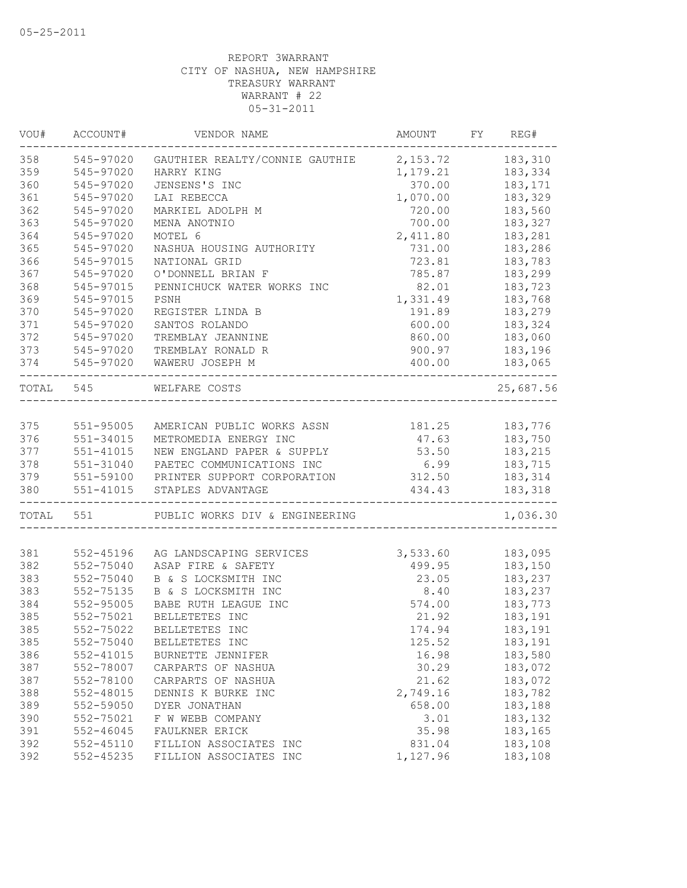| VOU#      | ACCOUNT#  | VENDOR NAME                           | AMOUNT FY REG# |                |
|-----------|-----------|---------------------------------------|----------------|----------------|
| 358       | 545-97020 | GAUTHIER REALTY/CONNIE GAUTHIE        | 2, 153.72      | 183,310        |
| 359       | 545-97020 | HARRY KING                            | 1,179.21       | 183,334        |
| 360       | 545-97020 | JENSENS'S INC                         | 370.00         | 183,171        |
| 361       | 545-97020 | LAI REBECCA                           | 1,070.00       | 183,329        |
| 362       | 545-97020 | MARKIEL ADOLPH M                      | 720.00         | 183,560        |
| 363       | 545-97020 | MENA ANOTNIO                          | 700.00         | 183,327        |
| 364       | 545-97020 | MOTEL 6                               | 2,411.80       | 183,281        |
| 365       | 545-97020 | NASHUA HOUSING AUTHORITY              | 731.00         | 183,286        |
| 366       | 545-97015 | NATIONAL GRID                         | 723.81         | 183,783        |
| 367       | 545-97020 | O'DONNELL BRIAN F                     | 785.87         | 183,299        |
| 368       | 545-97015 | PENNICHUCK WATER WORKS INC            | 82.01          | 183,723        |
| 369       | 545-97015 | PSNH                                  | 1,331.49       | 183,768        |
| 370       | 545-97020 | REGISTER LINDA B                      | 191.89         | 183,279        |
| 371       | 545-97020 | SANTOS ROLANDO                        | 600.00         | 183,324        |
| 372       | 545-97020 | TREMBLAY JEANNINE                     | 860.00         | 183,060        |
| 373       | 545-97020 | TREMBLAY RONALD R                     | 900.97         | 183,196        |
| 374       | 545-97020 | WAWERU JOSEPH M                       | 400.00         | 183,065        |
| TOTAL 545 |           | WELFARE COSTS                         |                | 25,687.56      |
|           |           |                                       |                |                |
| 375       | 551-95005 | AMERICAN PUBLIC WORKS ASSN            |                | 181.25 183,776 |
| 376       | 551-34015 | METROMEDIA ENERGY INC                 | 47.63          | 183,750        |
| 377       | 551-41015 | NEW ENGLAND PAPER & SUPPLY            | 53.50          | 183,215        |
| 378       | 551-31040 | PAETEC COMMUNICATIONS INC             | 6.99           | 183,715        |
| 379       |           | 551-59100 PRINTER SUPPORT CORPORATION | 312.50         | 183,314        |
| 380       | 551-41015 | STAPLES ADVANTAGE                     | 434.43         | 183,318        |
|           | TOTAL 551 | PUBLIC WORKS DIV & ENGINEERING        |                | 1,036.30       |
|           |           |                                       |                |                |
| 381       | 552-45196 | AG LANDSCAPING SERVICES               | 3,533.60       | 183,095        |
| 382       | 552-75040 | ASAP FIRE & SAFETY                    | 499.95         | 183,150        |
| 383       | 552-75040 | B & S LOCKSMITH INC                   | 23.05          | 183,237        |
| 383       | 552-75135 | B & S LOCKSMITH INC                   | 8.40           | 183,237        |
| 384       | 552-95005 | BABE RUTH LEAGUE INC                  | 574.00         | 183,773        |
| 385       | 552-75021 | BELLETETES INC                        | 21.92          | 183,191        |
| 385       | 552-75022 | BELLETETES INC                        | 174.94         | 183,191        |
| 385       | 552-75040 | BELLETETES INC                        | 125.52         | 183,191        |
| 386       | 552-41015 | BURNETTE JENNIFER                     | 16.98          | 183,580        |
| 387       | 552-78007 | CARPARTS OF NASHUA                    | 30.29          | 183,072        |
| 387       | 552-78100 | CARPARTS OF NASHUA                    | 21.62          | 183,072        |
| 388       | 552-48015 | DENNIS K BURKE INC                    | 2,749.16       | 183,782        |
| 389       | 552-59050 | DYER JONATHAN                         | 658.00         | 183,188        |
| 390       | 552-75021 | F W WEBB COMPANY                      | 3.01           | 183,132        |
| 391       | 552-46045 | FAULKNER ERICK                        | 35.98          | 183,165        |
| 392       | 552-45110 | FILLION ASSOCIATES INC                | 831.04         | 183,108        |
| 392       | 552-45235 | FILLION ASSOCIATES INC                | 1,127.96       | 183,108        |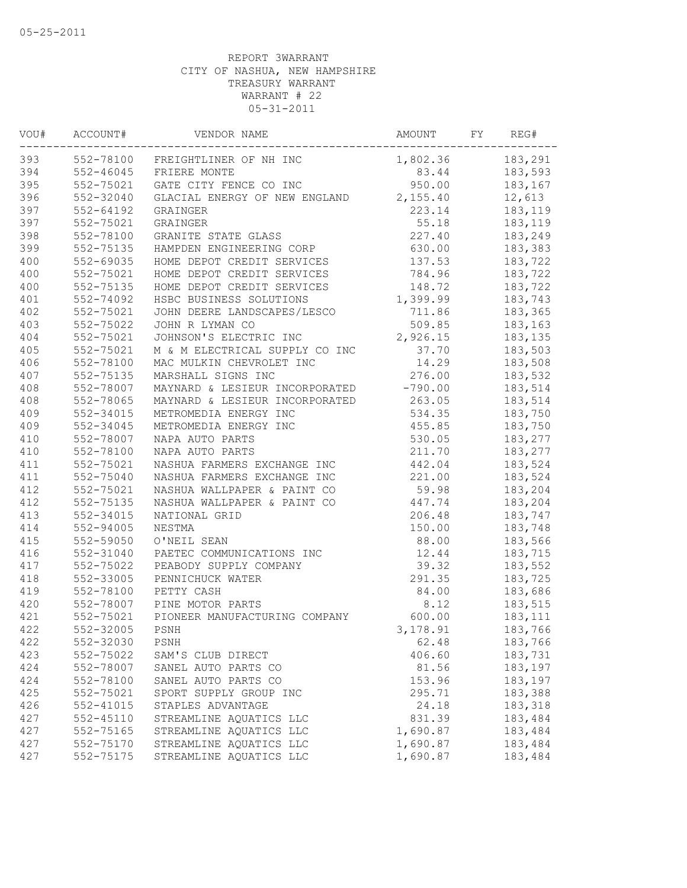| VOU# | ACCOUNT#      | VENDOR NAME                      | AMOUNT    | FΥ | REG#    |
|------|---------------|----------------------------------|-----------|----|---------|
| 393  |               | 552-78100 FREIGHTLINER OF NH INC | 1,802.36  |    | 183,291 |
| 394  | $552 - 46045$ | FRIERE MONTE                     | 83.44     |    | 183,593 |
| 395  | 552-75021     | GATE CITY FENCE CO INC           | 950.00    |    | 183,167 |
| 396  | 552-32040     | GLACIAL ENERGY OF NEW ENGLAND    | 2,155.40  |    | 12,613  |
| 397  | $552 - 64192$ | GRAINGER                         | 223.14    |    | 183,119 |
| 397  | 552-75021     | GRAINGER                         | 55.18     |    | 183,119 |
| 398  | 552-78100     | GRANITE STATE GLASS              | 227.40    |    | 183,249 |
| 399  | 552-75135     | HAMPDEN ENGINEERING CORP         | 630.00    |    | 183,383 |
| 400  | 552-69035     | HOME DEPOT CREDIT SERVICES       | 137.53    |    | 183,722 |
| 400  | 552-75021     | HOME DEPOT CREDIT SERVICES       | 784.96    |    | 183,722 |
| 400  | 552-75135     | HOME DEPOT CREDIT SERVICES       | 148.72    |    | 183,722 |
| 401  | 552-74092     | HSBC BUSINESS SOLUTIONS          | 1,399.99  |    | 183,743 |
| 402  | 552-75021     | JOHN DEERE LANDSCAPES/LESCO      | 711.86    |    | 183,365 |
| 403  | 552-75022     | JOHN R LYMAN CO                  | 509.85    |    | 183,163 |
| 404  | 552-75021     | JOHNSON'S ELECTRIC INC           | 2,926.15  |    | 183,135 |
| 405  | 552-75021     | M & M ELECTRICAL SUPPLY CO INC   | 37.70     |    | 183,503 |
| 406  | 552-78100     | MAC MULKIN CHEVROLET INC         | 14.29     |    | 183,508 |
| 407  | 552-75135     | MARSHALL SIGNS INC               | 276.00    |    | 183,532 |
| 408  | 552-78007     | MAYNARD & LESIEUR INCORPORATED   | $-790.00$ |    | 183,514 |
| 408  | 552-78065     | MAYNARD & LESIEUR INCORPORATED   | 263.05    |    | 183,514 |
| 409  | 552-34015     | METROMEDIA ENERGY INC            | 534.35    |    | 183,750 |
| 409  | 552-34045     | METROMEDIA ENERGY INC            | 455.85    |    | 183,750 |
| 410  | 552-78007     | NAPA AUTO PARTS                  | 530.05    |    | 183,277 |
| 410  | 552-78100     | NAPA AUTO PARTS                  | 211.70    |    | 183,277 |
| 411  | 552-75021     | NASHUA FARMERS EXCHANGE INC      | 442.04    |    | 183,524 |
| 411  | 552-75040     | NASHUA FARMERS EXCHANGE INC      | 221.00    |    | 183,524 |
| 412  | 552-75021     | NASHUA WALLPAPER & PAINT CO      | 59.98     |    | 183,204 |
| 412  | 552-75135     | NASHUA WALLPAPER & PAINT CO      | 447.74    |    | 183,204 |
| 413  | 552-34015     | NATIONAL GRID                    | 206.48    |    | 183,747 |
| 414  | 552-94005     | NESTMA                           | 150.00    |    | 183,748 |
| 415  | 552-59050     | O'NEIL SEAN                      | 88.00     |    | 183,566 |
| 416  | 552-31040     | PAETEC COMMUNICATIONS INC        | 12.44     |    | 183,715 |
| 417  | 552-75022     | PEABODY SUPPLY COMPANY           | 39.32     |    | 183,552 |
| 418  | 552-33005     | PENNICHUCK WATER                 | 291.35    |    | 183,725 |
| 419  | 552-78100     | PETTY CASH                       | 84.00     |    | 183,686 |
| 420  | 552-78007     | PINE MOTOR PARTS                 | 8.12      |    | 183,515 |
| 421  | 552-75021     | PIONEER MANUFACTURING COMPANY    | 600.00    |    | 183,111 |
| 422  | 552-32005     | PSNH                             | 3,178.91  |    | 183,766 |
| 422  | 552-32030     | PSNH                             | 62.48     |    | 183,766 |
| 423  | 552-75022     | SAM'S CLUB DIRECT                | 406.60    |    | 183,731 |
| 424  | 552-78007     | SANEL AUTO PARTS CO              | 81.56     |    | 183,197 |
| 424  | 552-78100     | SANEL AUTO PARTS CO              | 153.96    |    | 183,197 |
| 425  | 552-75021     | SPORT SUPPLY GROUP INC           | 295.71    |    | 183,388 |
| 426  | 552-41015     | STAPLES ADVANTAGE                | 24.18     |    | 183,318 |
| 427  | $552 - 45110$ | STREAMLINE AQUATICS LLC          | 831.39    |    | 183,484 |
| 427  | 552-75165     | STREAMLINE AQUATICS LLC          | 1,690.87  |    | 183,484 |
| 427  | 552-75170     | STREAMLINE AQUATICS LLC          | 1,690.87  |    | 183,484 |
| 427  | 552-75175     | STREAMLINE AQUATICS LLC          | 1,690.87  |    | 183,484 |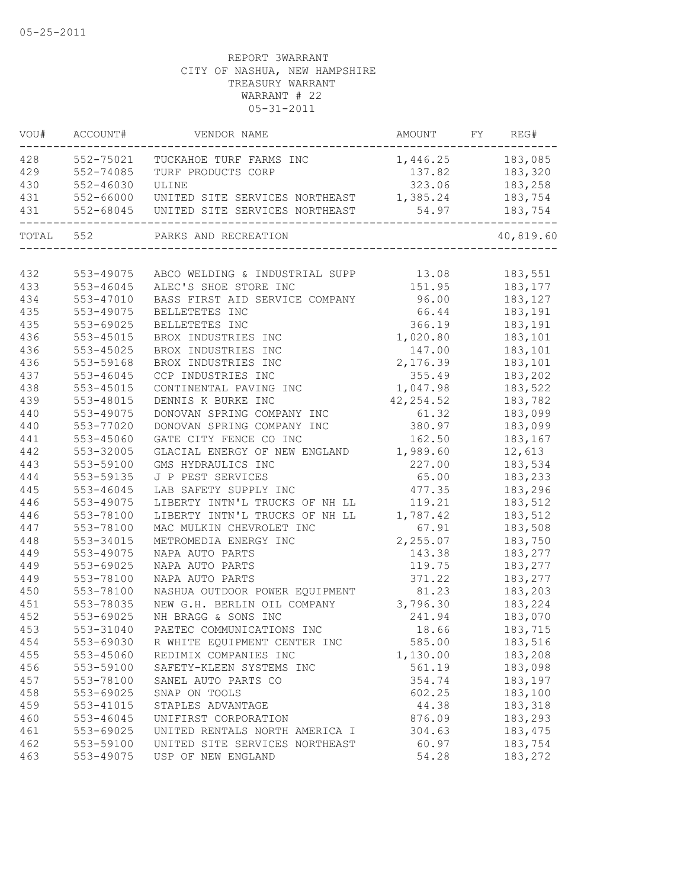| VOU#      | ACCOUNT#  | VENDOR NAME                              | AMOUNT           | FY. | REG#           |
|-----------|-----------|------------------------------------------|------------------|-----|----------------|
| 428       | 552-75021 | TUCKAHOE TURF FARMS INC                  | 1,446.25 183,085 |     |                |
| 429       | 552-74085 | TURF PRODUCTS CORP                       |                  |     | 137.82 183,320 |
| 430       | 552-46030 | ULINE                                    |                  |     | 323.06 183,258 |
| 431       | 552-66000 | UNITED SITE SERVICES NORTHEAST           | 1,385.24         |     | 183,754        |
| 431       |           | 552-68045 UNITED SITE SERVICES NORTHEAST | 54.97            |     | 183,754        |
| TOTAL 552 |           | PARKS AND RECREATION                     |                  |     | 40,819.60      |
|           |           |                                          |                  |     |                |
| 432       | 553-49075 | ABCO WELDING & INDUSTRIAL SUPP 13.08     |                  |     | 183,551        |
| 433       | 553-46045 | ALEC'S SHOE STORE INC                    | 151.95           |     | 183,177        |
| 434       | 553-47010 | BASS FIRST AID SERVICE COMPANY           | 96.00            |     | 183,127        |
| 435       | 553-49075 | BELLETETES INC                           | 66.44            |     | 183,191        |
| 435       | 553-69025 | BELLETETES INC                           | 366.19           |     | 183,191        |
| 436       | 553-45015 | BROX INDUSTRIES INC                      | 1,020.80         |     | 183,101        |
| 436       | 553-45025 | BROX INDUSTRIES INC                      | 147.00           |     | 183,101        |
| 436       | 553-59168 | BROX INDUSTRIES INC                      | 2,176.39         |     | 183,101        |
| 437       | 553-46045 | CCP INDUSTRIES INC                       | 355.49           |     | 183,202        |
| 438       | 553-45015 | CONTINENTAL PAVING INC                   | 1,047.98         |     | 183,522        |
| 439       | 553-48015 | DENNIS K BURKE INC                       | 42, 254.52       |     | 183,782        |
| 440       | 553-49075 | DONOVAN SPRING COMPANY INC               | 61.32            |     | 183,099        |
| 440       | 553-77020 | DONOVAN SPRING COMPANY INC               | 380.97           |     | 183,099        |
| 441       | 553-45060 | GATE CITY FENCE CO INC                   | 162.50           |     | 183,167        |
| 442       | 553-32005 | GLACIAL ENERGY OF NEW ENGLAND            | 1,989.60         |     | 12,613         |
| 443       | 553-59100 | GMS HYDRAULICS INC                       | 227.00           |     | 183,534        |
| 444       | 553-59135 | J P PEST SERVICES                        | 65.00            |     | 183,233        |
| 445       | 553-46045 | LAB SAFETY SUPPLY INC                    | 477.35           |     | 183,296        |
| 446       | 553-49075 | LIBERTY INTN'L TRUCKS OF NH LL           | 119.21           |     | 183,512        |
| 446       | 553-78100 | LIBERTY INTN'L TRUCKS OF NH LL           | 1,787.42         |     | 183,512        |
| 447       | 553-78100 | MAC MULKIN CHEVROLET INC                 | 67.91            |     | 183,508        |
| 448       | 553-34015 | METROMEDIA ENERGY INC                    | 2,255.07         |     | 183,750        |
| 449       | 553-49075 | NAPA AUTO PARTS                          | 143.38           |     | 183,277        |
| 449       | 553-69025 | NAPA AUTO PARTS                          | 119.75           |     | 183,277        |
| 449       | 553-78100 | NAPA AUTO PARTS                          | 371.22           |     | 183,277        |
| 450       | 553-78100 | NASHUA OUTDOOR POWER EQUIPMENT           | 81.23            |     | 183,203        |
| 451       | 553-78035 | NEW G.H. BERLIN OIL COMPANY              | 3,796.30         |     | 183,224        |
| 452       | 553-69025 | NH BRAGG & SONS INC                      | 241.94           |     | 183,070        |
| 453       | 553-31040 | PAETEC COMMUNICATIONS INC                | 18.66            |     | 183,715        |
| 454       | 553-69030 | R WHITE EQUIPMENT CENTER INC             | 585.00           |     | 183,516        |
| 455       | 553-45060 | REDIMIX COMPANIES INC                    | 1,130.00         |     | 183,208        |
| 456       | 553-59100 | SAFETY-KLEEN SYSTEMS INC                 | 561.19           |     | 183,098        |
| 457       | 553-78100 | SANEL AUTO PARTS CO                      | 354.74           |     | 183,197        |
| 458       | 553-69025 | SNAP ON TOOLS                            | 602.25           |     | 183,100        |
| 459       | 553-41015 | STAPLES ADVANTAGE                        | 44.38            |     | 183,318        |
| 460       | 553-46045 | UNIFIRST CORPORATION                     | 876.09           |     | 183,293        |
| 461       | 553-69025 | UNITED RENTALS NORTH AMERICA I           | 304.63           |     | 183, 475       |
| 462       | 553-59100 | UNITED SITE SERVICES NORTHEAST           | 60.97            |     | 183,754        |
| 463       | 553-49075 | USP OF NEW ENGLAND                       | 54.28            |     | 183,272        |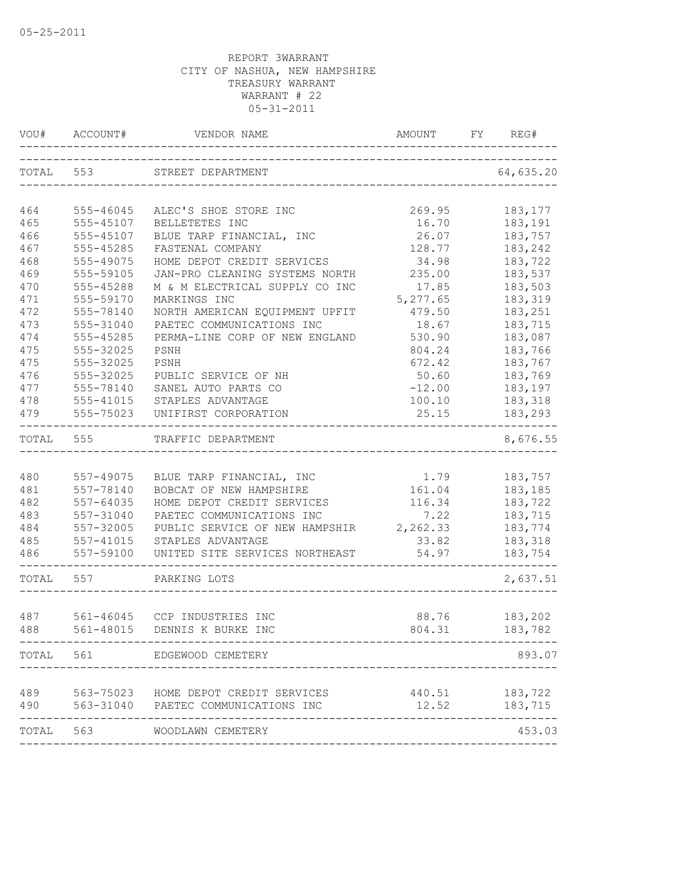| VOU#       | ACCOUNT#                      | VENDOR NAME                                         | AMOUNT   | FY | REG#               |
|------------|-------------------------------|-----------------------------------------------------|----------|----|--------------------|
| TOTAL 553  |                               | STREET DEPARTMENT<br>------------------------------ |          |    | 64,635.20          |
| 464        | 555-46045                     | ALEC'S SHOE STORE INC                               | 269.95   |    | 183, 177           |
| 465        | 555-45107                     | BELLETETES INC                                      | 16.70    |    | 183,191            |
| 466        | 555-45107                     | BLUE TARP FINANCIAL, INC                            | 26.07    |    | 183,757            |
| 467        | 555-45285                     | FASTENAL COMPANY                                    | 128.77   |    | 183,242            |
| 468        | 555-49075                     | HOME DEPOT CREDIT SERVICES                          | 34.98    |    | 183,722            |
| 469        | 555-59105                     | JAN-PRO CLEANING SYSTEMS NORTH                      | 235.00   |    | 183,537            |
| 470        | 555-45288                     | M & M ELECTRICAL SUPPLY CO INC                      | 17.85    |    | 183,503            |
| 471        | 555-59170                     | MARKINGS INC                                        | 5,277.65 |    | 183,319            |
| 472        | 555-78140                     | NORTH AMERICAN EQUIPMENT UPFIT                      | 479.50   |    | 183,251            |
| 473        | 555-31040                     | PAETEC COMMUNICATIONS INC                           | 18.67    |    | 183,715            |
| 474        | 555-45285                     | PERMA-LINE CORP OF NEW ENGLAND                      | 530.90   |    | 183,087            |
| 475        | 555-32025                     | PSNH                                                | 804.24   |    | 183,766            |
| 475        | 555-32025                     | PSNH                                                | 672.42   |    | 183,767            |
| 476        | 555-32025                     | PUBLIC SERVICE OF NH                                | 50.60    |    | 183,769            |
| 477        | 555-78140                     | SANEL AUTO PARTS CO                                 | $-12.00$ |    | 183,197            |
| 478        | 555-41015                     | STAPLES ADVANTAGE                                   | 100.10   |    | 183,318            |
| 479        | 555-75023<br>---------------- | UNIFIRST CORPORATION                                | 25.15    |    | 183,293            |
| TOTAL      | 555                           | TRAFFIC DEPARTMENT                                  |          |    | 8,676.55           |
|            |                               |                                                     |          |    |                    |
| 480        | 557-49075                     | BLUE TARP FINANCIAL, INC                            | 1.79     |    | 183,757            |
| 481        | 557-78140                     | BOBCAT OF NEW HAMPSHIRE                             | 161.04   |    | 183,185            |
| 482        | 557-64035                     | HOME DEPOT CREDIT SERVICES                          | 116.34   |    | 183,722            |
| 483        | 557-31040                     | PAETEC COMMUNICATIONS INC                           | 7.22     |    | 183,715            |
| 484        | 557-32005                     | PUBLIC SERVICE OF NEW HAMPSHIR                      | 2,262.33 |    | 183,774            |
| 485        | 557-41015                     | STAPLES ADVANTAGE                                   | 33.82    |    | 183,318            |
| 486        | 557-59100                     | UNITED SITE SERVICES NORTHEAST                      | 54.97    |    | 183,754            |
| TOTAL      | 557                           | PARKING LOTS                                        |          |    | 2,637.51           |
|            | 561-46045                     |                                                     | 88.76    |    |                    |
| 487<br>488 |                               | CCP INDUSTRIES INC<br>561-48015 DENNIS K BURKE INC  | 804.31   |    | 183,202<br>183,782 |
|            |                               | TOTAL 561 EDGEWOOD CEMETERY                         |          |    | 893.07             |
|            |                               |                                                     |          |    |                    |
| 489        |                               | 563-75023 HOME DEPOT CREDIT SERVICES                |          |    | 440.51 183,722     |
| 490        |                               | 563-31040 PAETEC COMMUNICATIONS INC                 | 12.52    |    | 183,715            |
| TOTAL      | 563                           | WOODLAWN CEMETERY                                   |          |    | 453.03             |
|            |                               |                                                     |          |    |                    |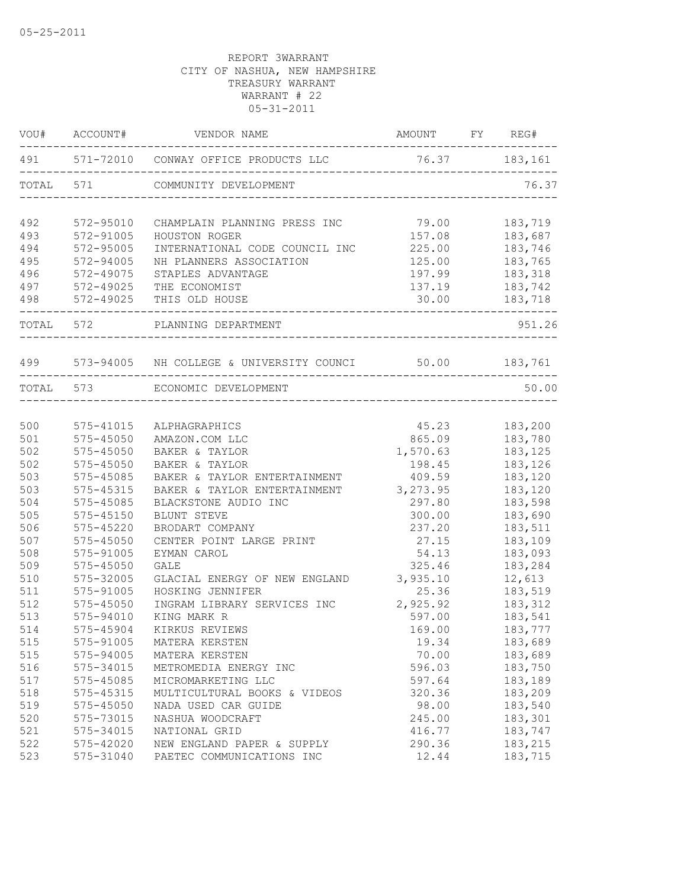| VOU#       | ACCOUNT#               | VENDOR NAME                                                | AMOUNT FY REG#                  |                    |
|------------|------------------------|------------------------------------------------------------|---------------------------------|--------------------|
|            |                        | 491 571-72010 CONWAY OFFICE PRODUCTS LLC 76.37 183,161     | _______________________________ |                    |
| TOTAL      | 571                    | COMMUNITY DEVELOPMENT                                      |                                 | 76.37              |
| 492        | 572-95010              | CHAMPLAIN PLANNING PRESS INC                               | 79.00                           | 183,719            |
| 493        | 572-91005              | HOUSTON ROGER                                              | 157.08                          | 183,687            |
| 494        | 572-95005              | INTERNATIONAL CODE COUNCIL INC                             | 225.00                          | 183,746            |
| 495        | 572-94005              | NH PLANNERS ASSOCIATION                                    | 125.00                          | 183,765            |
| 496        | 572-49075              | STAPLES ADVANTAGE                                          | 197.99                          | 183,318            |
| 497        | 572-49025              | THE ECONOMIST                                              | 137.19                          | 183,742            |
| 498        | 572-49025              | THIS OLD HOUSE                                             | 30.00                           | 183,718            |
| TOTAL 572  |                        | PLANNING DEPARTMENT                                        |                                 | 951.26             |
|            |                        | 499 573-94005 NH COLLEGE & UNIVERSITY COUNCI 50.00 183,761 |                                 |                    |
|            | TOTAL 573              | ECONOMIC DEVELOPMENT<br>_________________________________  |                                 | 50.00              |
|            |                        |                                                            |                                 |                    |
| 500        | 575-41015              | ALPHAGRAPHICS                                              | 45.23                           | 183,200            |
| 501        | 575-45050              | AMAZON.COM LLC                                             | 865.09                          | 183,780            |
| 502        | 575-45050              | BAKER & TAYLOR                                             | 1,570.63                        | 183,125            |
| 502        | 575-45050              | BAKER & TAYLOR                                             | 198.45                          | 183,126            |
| 503        | 575-45085              | BAKER & TAYLOR ENTERTAINMENT                               | 409.59                          | 183,120            |
| 503        | 575-45315              | BAKER & TAYLOR ENTERTAINMENT                               | 3, 273.95                       | 183,120            |
| 504        | 575-45085              | BLACKSTONE AUDIO INC                                       | 297.80                          | 183,598            |
| 505        | $575 - 45150$          | BLUNT STEVE                                                | 300.00                          | 183,690            |
| 506        | 575-45220              | BRODART COMPANY                                            | 237.20                          | 183,511            |
| 507        | 575-45050              | CENTER POINT LARGE PRINT                                   | 27.15                           | 183,109            |
| 508        | 575-91005              | EYMAN CAROL                                                | 54.13                           | 183,093            |
| 509        | 575-45050              | <b>GALE</b>                                                | 325.46                          | 183,284            |
| 510        | 575-32005              | GLACIAL ENERGY OF NEW ENGLAND                              | 3,935.10                        | 12,613             |
| 511        | 575-91005              | HOSKING JENNIFER                                           | 25.36                           | 183,519            |
| 512        | $575 - 45050$          | INGRAM LIBRARY SERVICES INC                                | 2,925.92                        | 183,312            |
| 513        | 575-94010              | KING MARK R                                                | 597.00                          | 183,541            |
| 514        | 575-45904              | KIRKUS REVIEWS                                             | 169.00                          | 183,777            |
| 515        | 575-91005              | MATERA KERSTEN                                             | 19.34                           | 183,689            |
| 515        | 575-94005              | MATERA KERSTEN                                             | 70.00                           | 183,689            |
| 516        | 575-34015              | METROMEDIA ENERGY INC                                      | 596.03                          | 183,750            |
| 517        | 575-45085              | MICROMARKETING LLC                                         | 597.64                          | 183,189            |
| 518        | 575-45315              | MULTICULTURAL BOOKS & VIDEOS                               | 320.36                          | 183,209            |
| 519        | 575-45050              | NADA USED CAR GUIDE                                        | 98.00                           | 183,540            |
| 520        | 575-73015              | NASHUA WOODCRAFT                                           | 245.00                          | 183,301            |
| 521        | 575-34015              | NATIONAL GRID                                              | 416.77                          | 183,747            |
| 522<br>523 | 575-42020<br>575-31040 | NEW ENGLAND PAPER & SUPPLY<br>PAETEC COMMUNICATIONS INC    | 290.36<br>12.44                 | 183,215<br>183,715 |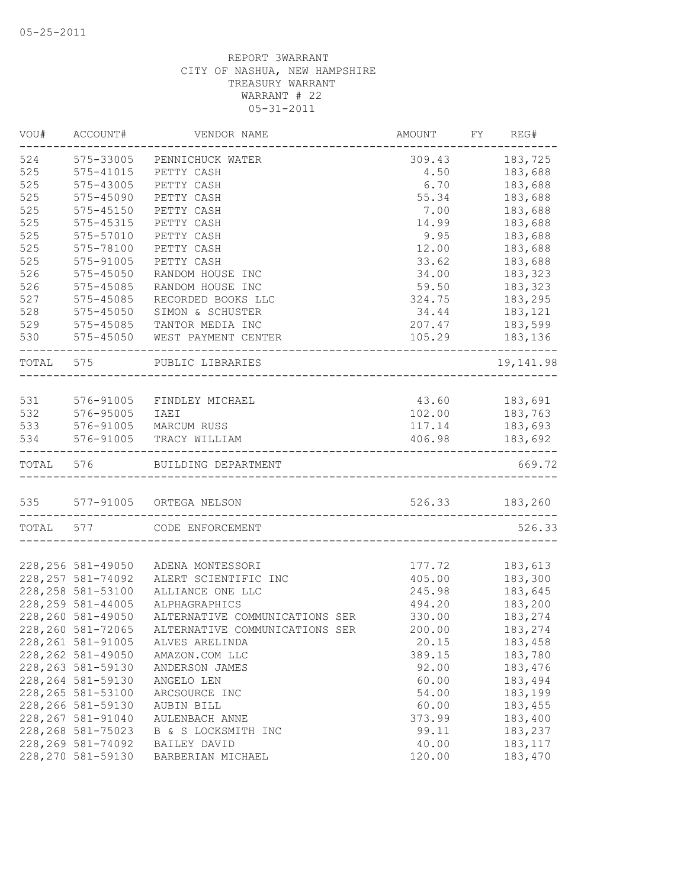| VOU#      | ACCOUNT#           | VENDOR NAME                    | <b>AMOUNT</b>  | FY. | REG#           |
|-----------|--------------------|--------------------------------|----------------|-----|----------------|
| 524       | 575-33005          | PENNICHUCK WATER               | 309.43         |     | 183,725        |
| 525       | 575-41015          | PETTY CASH                     | 4.50           |     | 183,688        |
| 525       | 575-43005          | PETTY CASH                     | 6.70           |     | 183,688        |
| 525       | 575-45090          | PETTY CASH                     | 55.34          |     | 183,688        |
| 525       | 575-45150          | PETTY CASH                     | 7.00           |     | 183,688        |
| 525       | 575-45315          | PETTY CASH                     | 14.99          |     | 183,688        |
| 525       | 575-57010          | PETTY CASH                     | 9.95           |     | 183,688        |
| 525       | 575-78100          | PETTY CASH                     | 12.00          |     | 183,688        |
| 525       | 575-91005          | PETTY CASH                     | 33.62          |     | 183,688        |
| 526       | $575 - 45050$      | RANDOM HOUSE INC               | 34.00          |     | 183,323        |
| 526       | 575-45085          | RANDOM HOUSE INC               | 59.50          |     | 183,323        |
| 527       | 575-45085          | RECORDED BOOKS LLC             | 324.75         |     | 183,295        |
| 528       | 575-45050          | SIMON & SCHUSTER               | 34.44          |     | 183,121        |
| 529       | 575-45085          | TANTOR MEDIA INC               | 207.47         |     | 183,599        |
| 530       | 575-45050          | WEST PAYMENT CENTER            | 105.29         |     | 183,136        |
| TOTAL 575 |                    | PUBLIC LIBRARIES               |                |     | 19, 141.98     |
|           |                    |                                |                |     |                |
| 531       | 576-91005          | FINDLEY MICHAEL                | 43.60 183,691  |     |                |
| 532       | 576-95005          | IAEI                           | 102.00         |     | 183,763        |
| 533       | 576-91005          | MARCUM RUSS                    | 117.14         |     | 183,693        |
| 534       | 576-91005          | TRACY WILLIAM                  | 406.98         |     | 183,692        |
| TOTAL 576 |                    | BUILDING DEPARTMENT            | ______________ |     | 669.72         |
|           |                    | 535 577-91005 ORTEGA NELSON    |                |     | 526.33 183,260 |
| TOTAL 577 |                    | CODE ENFORCEMENT               |                |     | 526.33         |
|           |                    |                                |                |     |                |
|           | 228, 256 581-49050 | ADENA MONTESSORI               | 177.72         |     | 183,613        |
|           | 228, 257 581-74092 | ALERT SCIENTIFIC INC           | 405.00         |     | 183,300        |
|           | 228, 258 581-53100 | ALLIANCE ONE LLC               | 245.98         |     | 183,645        |
|           | 228, 259 581-44005 | ALPHAGRAPHICS                  | 494.20         |     | 183,200        |
|           | 228,260 581-49050  | ALTERNATIVE COMMUNICATIONS SER | 330.00         |     | 183,274        |
|           | 228,260 581-72065  | ALTERNATIVE COMMUNICATIONS SER | 200.00         |     | 183,274        |
|           | 228, 261 581-91005 | ALVES ARELINDA                 | 20.15          |     | 183,458        |
|           | 228, 262 581-49050 | AMAZON.COM LLC                 | 389.15         |     | 183,780        |
|           | 228, 263 581-59130 | ANDERSON JAMES                 | 92.00          |     | 183,476        |
|           | 228, 264 581-59130 | ANGELO LEN                     | 60.00          |     | 183,494        |
|           | 228, 265 581-53100 | ARCSOURCE INC                  | 54.00          |     | 183,199        |
|           |                    | AUBIN BILL                     |                |     |                |
|           | 228, 266 581-59130 |                                | 60.00          |     | 183,455        |
|           | 228, 267 581-91040 | <b>AULENBACH ANNE</b>          | 373.99         |     | 183,400        |
|           | 228, 268 581-75023 | B & S LOCKSMITH INC            | 99.11          |     | 183,237        |
|           | 228, 269 581-74092 | BAILEY DAVID                   | 40.00          |     | 183, 117       |
|           | 228, 270 581-59130 | BARBERIAN MICHAEL              | 120.00         |     | 183,470        |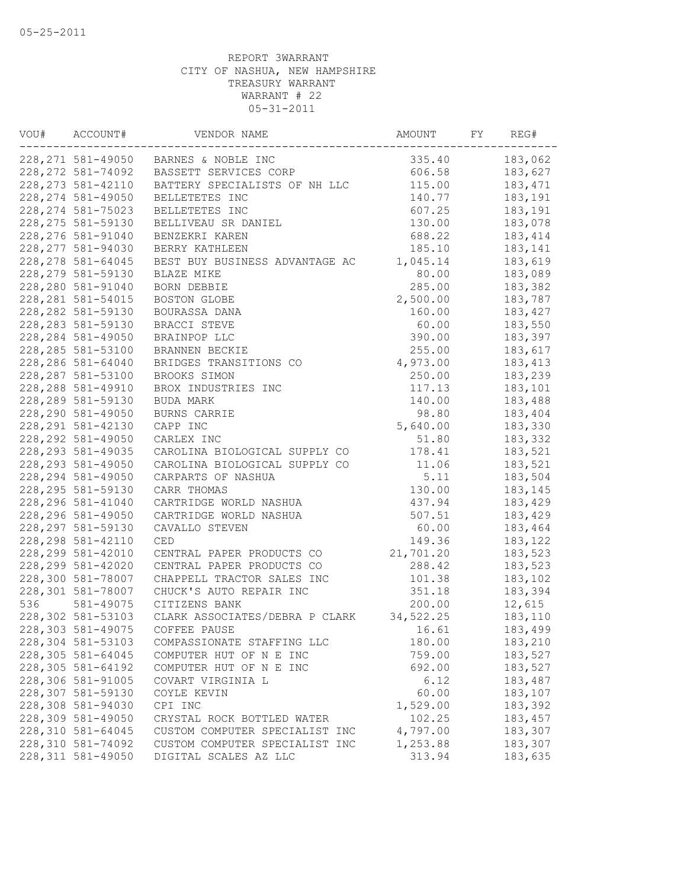| VOU# | ACCOUNT#           | VENDOR NAME                           | AMOUNT     | FY | REG#    |
|------|--------------------|---------------------------------------|------------|----|---------|
|      |                    | 228, 271 581-49050 BARNES & NOBLE INC | 335.40     |    | 183,062 |
|      | 228, 272 581-74092 | BASSETT SERVICES CORP                 | 606.58     |    | 183,627 |
|      | 228, 273 581-42110 | BATTERY SPECIALISTS OF NH LLC         | 115.00     |    | 183,471 |
|      | 228, 274 581-49050 | BELLETETES INC                        | 140.77     |    | 183,191 |
|      | 228, 274 581-75023 | BELLETETES INC                        | 607.25     |    | 183,191 |
|      | 228, 275 581-59130 | BELLIVEAU SR DANIEL                   | 130.00     |    | 183,078 |
|      | 228, 276 581-91040 | BENZEKRI KAREN                        | 688.22     |    | 183,414 |
|      | 228, 277 581-94030 | BERRY KATHLEEN                        | 185.10     |    | 183,141 |
|      | 228, 278 581-64045 | BEST BUY BUSINESS ADVANTAGE AC        | 1,045.14   |    | 183,619 |
|      | 228, 279 581-59130 | BLAZE MIKE                            | 80.00      |    | 183,089 |
|      | 228,280 581-91040  | BORN DEBBIE                           | 285.00     |    | 183,382 |
|      | 228, 281 581-54015 | BOSTON GLOBE                          | 2,500.00   |    | 183,787 |
|      | 228, 282 581-59130 | BOURASSA DANA                         | 160.00     |    | 183,427 |
|      | 228, 283 581-59130 | BRACCI STEVE                          | 60.00      |    | 183,550 |
|      | 228, 284 581-49050 | BRAINPOP LLC                          | 390.00     |    | 183,397 |
|      | 228, 285 581-53100 | BRANNEN BECKIE                        | 255.00     |    | 183,617 |
|      | 228,286 581-64040  | BRIDGES TRANSITIONS CO                | 4,973.00   |    | 183,413 |
|      | 228, 287 581-53100 | BROOKS SIMON                          | 250.00     |    | 183,239 |
|      | 228,288 581-49910  | BROX INDUSTRIES INC                   | 117.13     |    | 183,101 |
|      | 228,289 581-59130  | BUDA MARK                             | 140.00     |    | 183,488 |
|      | 228,290 581-49050  | BURNS CARRIE                          | 98.80      |    | 183,404 |
|      | 228, 291 581-42130 | CAPP INC                              | 5,640.00   |    | 183,330 |
|      | 228, 292 581-49050 | CARLEX INC                            | 51.80      |    | 183,332 |
|      | 228, 293 581-49035 | CAROLINA BIOLOGICAL SUPPLY CO         | 178.41     |    | 183,521 |
|      | 228, 293 581-49050 | CAROLINA BIOLOGICAL SUPPLY CO         | 11.06      |    | 183,521 |
|      | 228, 294 581-49050 | CARPARTS OF NASHUA                    | 5.11       |    | 183,504 |
|      | 228, 295 581-59130 | CARR THOMAS                           | 130.00     |    | 183,145 |
|      | 228, 296 581-41040 | CARTRIDGE WORLD NASHUA                | 437.94     |    | 183,429 |
|      |                    |                                       |            |    |         |
|      | 228, 296 581-49050 | CARTRIDGE WORLD NASHUA                | 507.51     |    | 183,429 |
|      | 228, 297 581-59130 | CAVALLO STEVEN                        | 60.00      |    | 183,464 |
|      | 228, 298 581-42110 | <b>CED</b>                            | 149.36     |    | 183,122 |
|      | 228, 299 581-42010 | CENTRAL PAPER PRODUCTS CO             | 21,701.20  |    | 183,523 |
|      | 228, 299 581-42020 | CENTRAL PAPER PRODUCTS CO             | 288.42     |    | 183,523 |
|      | 228,300 581-78007  | CHAPPELL TRACTOR SALES INC            | 101.38     |    | 183,102 |
|      | 228,301 581-78007  | CHUCK'S AUTO REPAIR INC               | 351.18     |    | 183,394 |
| 536  | 581-49075          | CITIZENS BANK                         | 200.00     |    | 12,615  |
|      | 228,302 581-53103  | CLARK ASSOCIATES/DEBRA P CLARK        | 34, 522.25 |    | 183,110 |
|      | 228,303 581-49075  | COFFEE PAUSE                          | 16.61      |    | 183,499 |
|      | 228,304 581-53103  | COMPASSIONATE STAFFING LLC            | 180.00     |    | 183,210 |
|      | 228,305 581-64045  | COMPUTER HUT OF N E INC               | 759.00     |    | 183,527 |
|      | 228,305 581-64192  | COMPUTER HUT OF N E INC               | 692.00     |    | 183,527 |
|      | 228,306 581-91005  | COVART VIRGINIA L                     | 6.12       |    | 183,487 |
|      | 228,307 581-59130  | COYLE KEVIN                           | 60.00      |    | 183,107 |
|      | 228,308 581-94030  | CPI INC                               | 1,529.00   |    | 183,392 |
|      | 228,309 581-49050  | CRYSTAL ROCK BOTTLED WATER            | 102.25     |    | 183,457 |
|      | 228,310 581-64045  | CUSTOM COMPUTER SPECIALIST INC        | 4,797.00   |    | 183,307 |
|      | 228,310 581-74092  | CUSTOM COMPUTER SPECIALIST INC        | 1,253.88   |    | 183,307 |
|      | 228, 311 581-49050 | DIGITAL SCALES AZ LLC                 | 313.94     |    | 183,635 |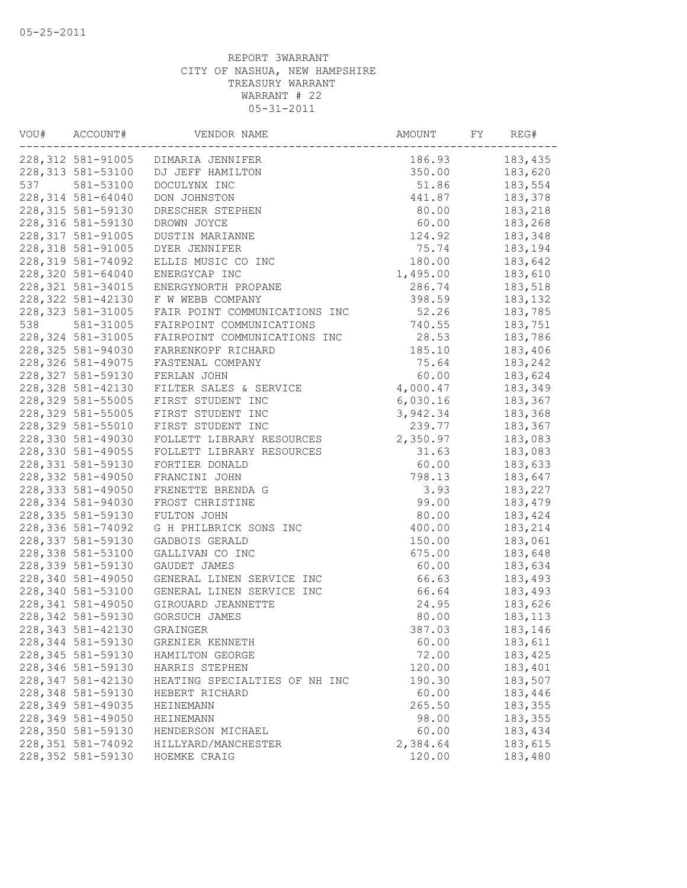| VOU# | ACCOUNT#           | VENDOR NAME                        | AMOUNT   | FY | REG#     |
|------|--------------------|------------------------------------|----------|----|----------|
|      |                    | 228,312 581-91005 DIMARIA JENNIFER | 186.93   |    | 183,435  |
|      | 228,313 581-53100  | DJ JEFF HAMILTON                   | 350.00   |    | 183,620  |
| 537  | 581-53100          | DOCULYNX INC                       | 51.86    |    | 183,554  |
|      | 228, 314 581-64040 | DON JOHNSTON                       | 441.87   |    | 183,378  |
|      | 228, 315 581-59130 | DRESCHER STEPHEN                   | 80.00    |    | 183,218  |
|      | 228, 316 581-59130 | DROWN JOYCE                        | 60.00    |    | 183,268  |
|      | 228, 317 581-91005 | DUSTIN MARIANNE                    | 124.92   |    | 183,348  |
|      | 228, 318 581-91005 | DYER JENNIFER                      | 75.74    |    | 183,194  |
|      | 228,319 581-74092  | ELLIS MUSIC CO INC                 | 180.00   |    | 183,642  |
|      | 228,320 581-64040  | ENERGYCAP INC                      | 1,495.00 |    | 183,610  |
|      | 228, 321 581-34015 | ENERGYNORTH PROPANE                | 286.74   |    | 183,518  |
|      | 228, 322 581-42130 | F W WEBB COMPANY                   | 398.59   |    | 183,132  |
|      | 228, 323 581-31005 | FAIR POINT COMMUNICATIONS INC      | 52.26    |    | 183,785  |
| 538  | 581-31005          | FAIRPOINT COMMUNICATIONS           | 740.55   |    | 183,751  |
|      | 228, 324 581-31005 | FAIRPOINT COMMUNICATIONS INC       | 28.53    |    | 183,786  |
|      | 228, 325 581-94030 | FARRENKOPF RICHARD                 | 185.10   |    | 183,406  |
|      | 228,326 581-49075  | FASTENAL COMPANY                   | 75.64    |    | 183,242  |
|      | 228, 327 581-59130 | FERLAN JOHN                        | 60.00    |    | 183,624  |
|      | 228,328 581-42130  | FILTER SALES & SERVICE             | 4,000.47 |    | 183,349  |
|      | 228,329 581-55005  | FIRST STUDENT INC                  | 6,030.16 |    | 183,367  |
|      | 228,329 581-55005  | FIRST STUDENT INC                  | 3,942.34 |    | 183,368  |
|      | 228,329 581-55010  | FIRST STUDENT INC                  | 239.77   |    | 183,367  |
|      | 228,330 581-49030  | FOLLETT LIBRARY RESOURCES          | 2,350.97 |    | 183,083  |
|      | 228,330 581-49055  | FOLLETT LIBRARY RESOURCES          | 31.63    |    | 183,083  |
|      | 228, 331 581-59130 | FORTIER DONALD                     | 60.00    |    | 183,633  |
|      | 228,332 581-49050  | FRANCINI JOHN                      | 798.13   |    | 183,647  |
|      | 228, 333 581-49050 | FRENETTE BRENDA G                  | 3.93     |    | 183,227  |
|      | 228,334 581-94030  | FROST CHRISTINE                    | 99.00    |    | 183,479  |
|      | 228, 335 581-59130 | FULTON JOHN                        | 80.00    |    | 183,424  |
|      | 228,336 581-74092  | G H PHILBRICK SONS INC             | 400.00   |    | 183,214  |
|      | 228,337 581-59130  | GADBOIS GERALD                     | 150.00   |    | 183,061  |
|      | 228,338 581-53100  | GALLIVAN CO INC                    | 675.00   |    | 183,648  |
|      | 228,339 581-59130  | GAUDET JAMES                       | 60.00    |    | 183,634  |
|      | 228,340 581-49050  | GENERAL LINEN SERVICE INC          | 66.63    |    | 183,493  |
|      | 228,340 581-53100  | GENERAL LINEN SERVICE INC          | 66.64    |    | 183,493  |
|      | 228, 341 581-49050 | GIROUARD JEANNETTE                 | 24.95    |    | 183,626  |
|      | 228, 342 581-59130 | GORSUCH JAMES                      | 80.00    |    | 183, 113 |
|      | 228, 343 581-42130 | GRAINGER                           | 387.03   |    | 183,146  |
|      | 228,344 581-59130  | GRENIER KENNETH                    | 60.00    |    | 183,611  |
|      | 228,345 581-59130  | HAMILTON GEORGE                    | 72.00    |    | 183,425  |
|      | 228,346 581-59130  | HARRIS STEPHEN                     | 120.00   |    | 183,401  |
|      | 228, 347 581-42130 | HEATING SPECIALTIES OF NH INC      | 190.30   |    | 183,507  |
|      | 228,348 581-59130  | HEBERT RICHARD                     | 60.00    |    | 183,446  |
|      | 228,349 581-49035  | HEINEMANN                          | 265.50   |    | 183,355  |
|      | 228,349 581-49050  | HEINEMANN                          | 98.00    |    | 183,355  |
|      | 228,350 581-59130  | HENDERSON MICHAEL                  | 60.00    |    | 183,434  |
|      | 228,351 581-74092  | HILLYARD/MANCHESTER                | 2,384.64 |    | 183,615  |
|      | 228,352 581-59130  | HOEMKE CRAIG                       | 120.00   |    | 183,480  |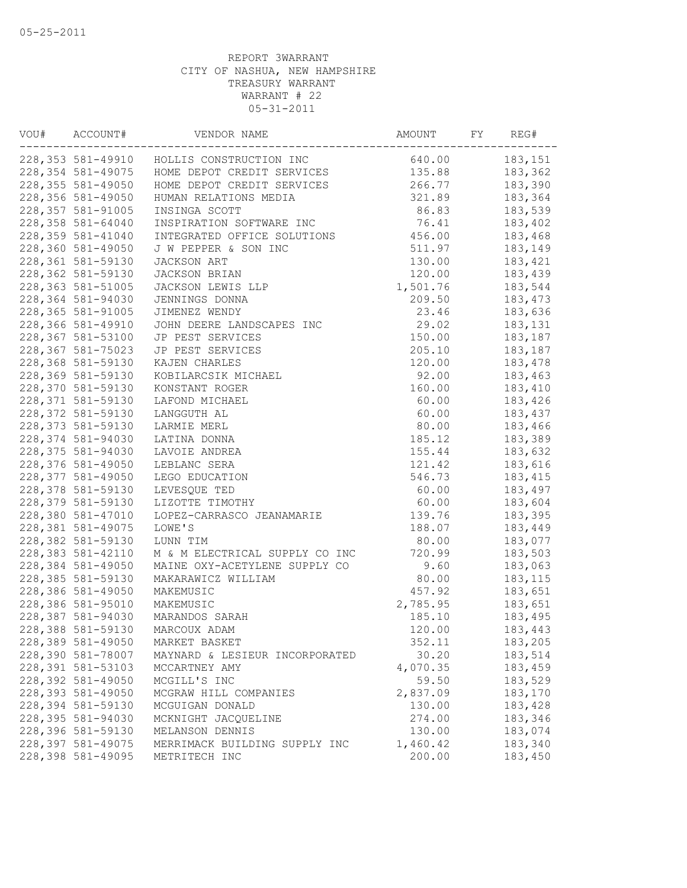| VOU# | ACCOUNT#           | VENDOR NAME                               | AMOUNT   | FY | REG#     |
|------|--------------------|-------------------------------------------|----------|----|----------|
|      |                    | 228,353 581-49910 HOLLIS CONSTRUCTION INC | 640.00   |    | 183,151  |
|      | 228,354 581-49075  | HOME DEPOT CREDIT SERVICES                | 135.88   |    | 183,362  |
|      | 228, 355 581-49050 | HOME DEPOT CREDIT SERVICES                | 266.77   |    | 183,390  |
|      | 228,356 581-49050  | HUMAN RELATIONS MEDIA                     | 321.89   |    | 183,364  |
|      | 228, 357 581-91005 | INSINGA SCOTT                             | 86.83    |    | 183,539  |
|      | 228,358 581-64040  | INSPIRATION SOFTWARE INC                  | 76.41    |    | 183,402  |
|      | 228,359 581-41040  | INTEGRATED OFFICE SOLUTIONS               | 456.00   |    | 183,468  |
|      | 228,360 581-49050  | J W PEPPER & SON INC                      | 511.97   |    | 183,149  |
|      | 228,361 581-59130  | JACKSON ART                               | 130.00   |    | 183,421  |
|      | 228,362 581-59130  | JACKSON BRIAN                             | 120.00   |    | 183,439  |
|      | 228,363 581-51005  | JACKSON LEWIS LLP                         | 1,501.76 |    | 183,544  |
|      | 228,364 581-94030  | JENNINGS DONNA                            | 209.50   |    | 183,473  |
|      | 228,365 581-91005  | JIMENEZ WENDY                             | 23.46    |    | 183,636  |
|      | 228,366 581-49910  | JOHN DEERE LANDSCAPES INC                 | 29.02    |    | 183,131  |
|      | 228,367 581-53100  | JP PEST SERVICES                          | 150.00   |    | 183,187  |
|      | 228,367 581-75023  | JP PEST SERVICES                          | 205.10   |    | 183,187  |
|      | 228,368 581-59130  | KAJEN CHARLES                             | 120.00   |    | 183,478  |
|      | 228,369 581-59130  | KOBILARCSIK MICHAEL                       | 92.00    |    | 183,463  |
|      | 228,370 581-59130  | KONSTANT ROGER                            | 160.00   |    | 183,410  |
|      | 228,371 581-59130  | LAFOND MICHAEL                            | 60.00    |    | 183,426  |
|      | 228,372 581-59130  | LANGGUTH AL                               | 60.00    |    | 183,437  |
|      | 228,373 581-59130  | LARMIE MERL                               | 80.00    |    | 183,466  |
|      | 228,374 581-94030  | LATINA DONNA                              | 185.12   |    | 183,389  |
|      | 228,375 581-94030  | LAVOIE ANDREA                             | 155.44   |    | 183,632  |
|      | 228,376 581-49050  | LEBLANC SERA                              | 121.42   |    | 183,616  |
|      | 228,377 581-49050  | LEGO EDUCATION                            | 546.73   |    | 183,415  |
|      | 228,378 581-59130  | LEVESQUE TED                              | 60.00    |    | 183,497  |
|      | 228,379 581-59130  | LIZOTTE TIMOTHY                           | 60.00    |    | 183,604  |
|      | 228,380 581-47010  | LOPEZ-CARRASCO JEANAMARIE                 | 139.76   |    | 183,395  |
|      | 228,381 581-49075  | LOWE'S                                    | 188.07   |    | 183,449  |
|      | 228,382 581-59130  | LUNN TIM                                  | 80.00    |    | 183,077  |
|      | 228,383 581-42110  | M & M ELECTRICAL SUPPLY CO INC            | 720.99   |    | 183,503  |
|      | 228,384 581-49050  | MAINE OXY-ACETYLENE SUPPLY CO             | 9.60     |    | 183,063  |
|      | 228,385 581-59130  | MAKARAWICZ WILLIAM                        | 80.00    |    | 183, 115 |
|      | 228,386 581-49050  | MAKEMUSIC                                 | 457.92   |    | 183,651  |
|      | 228,386 581-95010  | MAKEMUSIC                                 | 2,785.95 |    | 183,651  |
|      | 228,387 581-94030  | MARANDOS SARAH                            | 185.10   |    | 183,495  |
|      | 228,388 581-59130  | MARCOUX ADAM                              | 120.00   |    | 183,443  |
|      | 228,389 581-49050  | MARKET BASKET                             | 352.11   |    | 183,205  |
|      | 228,390 581-78007  | MAYNARD & LESIEUR INCORPORATED            | 30.20    |    | 183,514  |
|      | 228,391 581-53103  | MCCARTNEY AMY                             | 4,070.35 |    | 183,459  |
|      | 228,392 581-49050  | MCGILL'S INC                              | 59.50    |    | 183,529  |
|      | 228,393 581-49050  | MCGRAW HILL COMPANIES                     | 2,837.09 |    | 183,170  |
|      | 228,394 581-59130  | MCGUIGAN DONALD                           | 130.00   |    | 183,428  |
|      | 228,395 581-94030  | MCKNIGHT JACQUELINE                       | 274.00   |    | 183,346  |
|      | 228,396 581-59130  | MELANSON DENNIS                           | 130.00   |    | 183,074  |
|      | 228,397 581-49075  | MERRIMACK BUILDING SUPPLY INC             | 1,460.42 |    | 183,340  |
|      | 228,398 581-49095  | METRITECH INC                             | 200.00   |    | 183,450  |
|      |                    |                                           |          |    |          |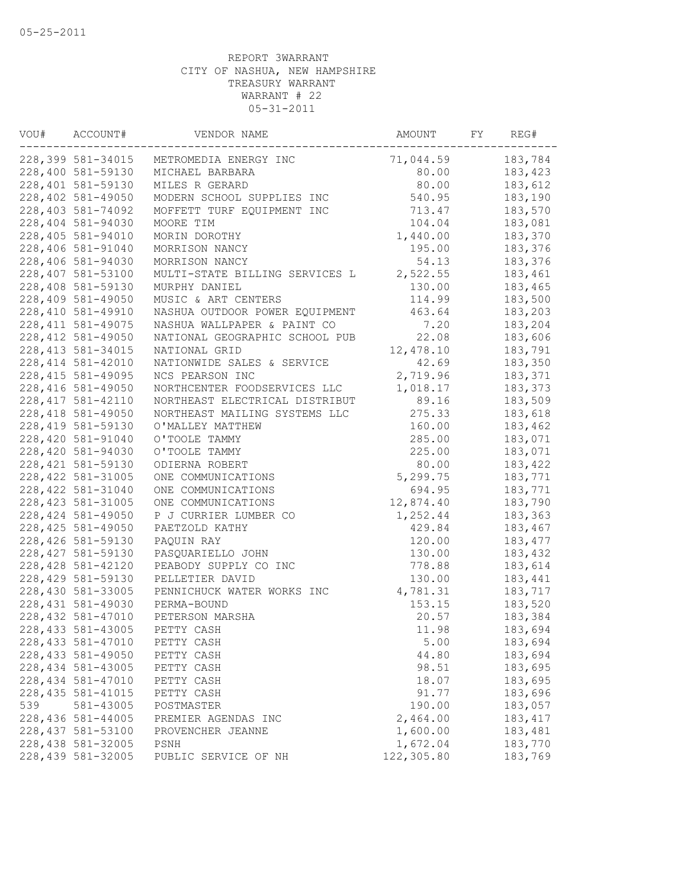| VOU# | ACCOUNT#           | VENDOR NAME                    | AMOUNT     | FY | REG#     |
|------|--------------------|--------------------------------|------------|----|----------|
|      | 228,399 581-34015  | METROMEDIA ENERGY INC          | 71,044.59  |    | 183,784  |
|      | 228,400 581-59130  | MICHAEL BARBARA                | 80.00      |    | 183,423  |
|      | 228,401 581-59130  | MILES R GERARD                 | 80.00      |    | 183,612  |
|      | 228,402 581-49050  | MODERN SCHOOL SUPPLIES INC     | 540.95     |    | 183,190  |
|      | 228,403 581-74092  | MOFFETT TURF EQUIPMENT INC     | 713.47     |    | 183,570  |
|      | 228,404 581-94030  | MOORE TIM                      | 104.04     |    | 183,081  |
|      | 228,405 581-94010  | MORIN DOROTHY                  | 1,440.00   |    | 183,370  |
|      | 228,406 581-91040  | MORRISON NANCY                 | 195.00     |    | 183,376  |
|      | 228,406 581-94030  | MORRISON NANCY                 | 54.13      |    | 183,376  |
|      | 228,407 581-53100  | MULTI-STATE BILLING SERVICES L | 2,522.55   |    | 183,461  |
|      | 228,408 581-59130  | MURPHY DANIEL                  | 130.00     |    | 183,465  |
|      | 228,409 581-49050  | MUSIC & ART CENTERS            | 114.99     |    | 183,500  |
|      | 228,410 581-49910  | NASHUA OUTDOOR POWER EQUIPMENT | 463.64     |    | 183,203  |
|      | 228, 411 581-49075 | NASHUA WALLPAPER & PAINT CO    | 7.20       |    | 183,204  |
|      | 228, 412 581-49050 | NATIONAL GEOGRAPHIC SCHOOL PUB | 22.08      |    | 183,606  |
|      | 228, 413 581-34015 | NATIONAL GRID                  | 12,478.10  |    | 183,791  |
|      | 228, 414 581-42010 | NATIONWIDE SALES & SERVICE     | 42.69      |    | 183,350  |
|      | 228, 415 581-49095 | NCS PEARSON INC                | 2,719.96   |    | 183,371  |
|      | 228, 416 581-49050 | NORTHCENTER FOODSERVICES LLC   | 1,018.17   |    | 183,373  |
|      | 228, 417 581-42110 | NORTHEAST ELECTRICAL DISTRIBUT | 89.16      |    | 183,509  |
|      | 228, 418 581-49050 | NORTHEAST MAILING SYSTEMS LLC  | 275.33     |    | 183,618  |
|      | 228, 419 581-59130 | O'MALLEY MATTHEW               | 160.00     |    | 183,462  |
|      | 228,420 581-91040  | O'TOOLE TAMMY                  | 285.00     |    | 183,071  |
|      | 228,420 581-94030  | O'TOOLE TAMMY                  | 225.00     |    | 183,071  |
|      | 228, 421 581-59130 | ODIERNA ROBERT                 | 80.00      |    | 183,422  |
|      | 228, 422 581-31005 | ONE COMMUNICATIONS             | 5,299.75   |    | 183,771  |
|      | 228, 422 581-31040 | ONE COMMUNICATIONS             | 694.95     |    | 183,771  |
|      | 228, 423 581-31005 | ONE COMMUNICATIONS             | 12,874.40  |    | 183,790  |
|      | 228, 424 581-49050 | P J CURRIER LUMBER CO          | 1,252.44   |    | 183,363  |
|      | 228, 425 581-49050 | PAETZOLD KATHY                 | 429.84     |    | 183,467  |
|      | 228,426 581-59130  | PAQUIN RAY                     | 120.00     |    | 183, 477 |
|      | 228, 427 581-59130 | PASQUARIELLO JOHN              | 130.00     |    | 183,432  |
|      | 228, 428 581-42120 | PEABODY SUPPLY CO INC          | 778.88     |    | 183,614  |
|      | 228,429 581-59130  | PELLETIER DAVID                | 130.00     |    | 183,441  |
|      | 228,430 581-33005  | PENNICHUCK WATER WORKS INC     | 4,781.31   |    | 183,717  |
|      | 228, 431 581-49030 | PERMA-BOUND                    | 153.15     |    | 183,520  |
|      | 228, 432 581-47010 | PETERSON MARSHA                | 20.57      |    | 183,384  |
|      | 228, 433 581-43005 | PETTY CASH                     | 11.98      |    | 183,694  |
|      | 228, 433 581-47010 | PETTY CASH                     | 5.00       |    | 183,694  |
|      | 228, 433 581-49050 | PETTY CASH                     | 44.80      |    | 183,694  |
|      | 228, 434 581-43005 | PETTY CASH                     | 98.51      |    | 183,695  |
|      | 228, 434 581-47010 | PETTY CASH                     | 18.07      |    | 183,695  |
|      | 228, 435 581-41015 | PETTY CASH                     | 91.77      |    | 183,696  |
| 539  | 581-43005          | POSTMASTER                     | 190.00     |    | 183,057  |
|      | 228, 436 581-44005 | PREMIER AGENDAS INC            | 2,464.00   |    | 183, 417 |
|      | 228, 437 581-53100 | PROVENCHER JEANNE              | 1,600.00   |    | 183,481  |
|      | 228, 438 581-32005 | PSNH                           | 1,672.04   |    | 183,770  |
|      | 228,439 581-32005  | PUBLIC SERVICE OF NH           | 122,305.80 |    | 183,769  |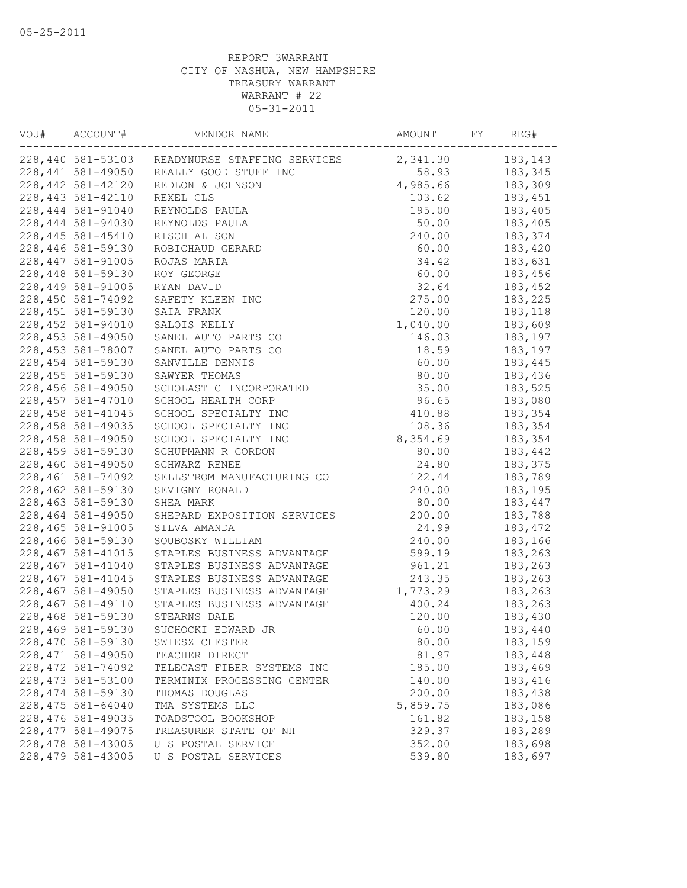| VOU# | ACCOUNT#                                 | VENDOR NAME                                    | AMOUNT   | FY | REG#               |
|------|------------------------------------------|------------------------------------------------|----------|----|--------------------|
|      |                                          | 228,440 581-53103 READYNURSE STAFFING SERVICES | 2,341.30 |    | 183,143            |
|      | 228,441 581-49050                        | REALLY GOOD STUFF INC                          | 58.93    |    | 183,345            |
|      | 228,442 581-42120                        | REDLON & JOHNSON                               | 4,985.66 |    | 183,309            |
|      | 228, 443 581-42110                       | REXEL CLS                                      | 103.62   |    | 183,451            |
|      | 228,444 581-91040                        | REYNOLDS PAULA                                 | 195.00   |    | 183,405            |
|      | 228,444 581-94030                        | REYNOLDS PAULA                                 | 50.00    |    | 183,405            |
|      | 228, 445 581-45410                       | RISCH ALISON                                   | 240.00   |    | 183,374            |
|      | 228,446 581-59130                        | ROBICHAUD GERARD                               | 60.00    |    | 183,420            |
|      | 228, 447 581-91005                       | ROJAS MARIA                                    | 34.42    |    | 183,631            |
|      | 228,448 581-59130                        | ROY GEORGE                                     | 60.00    |    | 183,456            |
|      | 228,449 581-91005                        | RYAN DAVID                                     | 32.64    |    | 183,452            |
|      | 228,450 581-74092                        | SAFETY KLEEN INC                               | 275.00   |    | 183,225            |
|      | 228, 451 581-59130                       | SAIA FRANK                                     | 120.00   |    | 183,118            |
|      | 228, 452 581-94010                       | SALOIS KELLY                                   | 1,040.00 |    | 183,609            |
|      | 228, 453 581-49050                       | SANEL AUTO PARTS CO                            | 146.03   |    | 183,197            |
|      | 228, 453 581-78007                       | SANEL AUTO PARTS CO                            | 18.59    |    | 183,197            |
|      | 228, 454 581-59130                       | SANVILLE DENNIS                                | 60.00    |    | 183,445            |
|      | 228, 455 581-59130                       | SAWYER THOMAS                                  | 80.00    |    | 183,436            |
|      | 228,456 581-49050                        | SCHOLASTIC INCORPORATED                        | 35.00    |    | 183,525            |
|      | 228, 457 581-47010                       | SCHOOL HEALTH CORP                             | 96.65    |    | 183,080            |
|      | 228, 458 581-41045                       | SCHOOL SPECIALTY INC                           | 410.88   |    | 183,354            |
|      | 228, 458 581-49035                       | SCHOOL SPECIALTY INC                           | 108.36   |    | 183,354            |
|      | 228,458 581-49050                        | SCHOOL SPECIALTY INC                           | 8,354.69 |    | 183,354            |
|      | 228,459 581-59130                        | SCHUPMANN R GORDON                             | 80.00    |    | 183,442            |
|      | 228,460 581-49050                        | SCHWARZ RENEE                                  | 24.80    |    | 183,375            |
|      | 228, 461 581-74092                       | SELLSTROM MANUFACTURING CO                     | 122.44   |    | 183,789            |
|      | 228,462 581-59130                        | SEVIGNY RONALD                                 | 240.00   |    | 183,195            |
|      | 228,463 581-59130                        | SHEA MARK                                      | 80.00    |    | 183,447            |
|      | 228,464 581-49050                        | SHEPARD EXPOSITION SERVICES                    | 200.00   |    | 183,788            |
|      | 228,465 581-91005                        | SILVA AMANDA                                   | 24.99    |    | 183,472            |
|      | 228,466 581-59130                        | SOUBOSKY WILLIAM                               | 240.00   |    | 183,166            |
|      | 228, 467 581-41015                       | STAPLES BUSINESS ADVANTAGE                     | 599.19   |    | 183,263            |
|      | 228,467 581-41040                        | STAPLES BUSINESS ADVANTAGE                     | 961.21   |    | 183,263            |
|      | 228, 467 581-41045                       | STAPLES BUSINESS ADVANTAGE                     | 243.35   |    | 183,263            |
|      | 228,467 581-49050                        | STAPLES BUSINESS ADVANTAGE                     | 1,773.29 |    | 183,263            |
|      | 228, 467 581-49110                       | STAPLES BUSINESS ADVANTAGE                     | 400.24   |    | 183,263            |
|      | 228,468 581-59130                        | STEARNS DALE                                   | 120.00   |    | 183,430            |
|      | 228,469 581-59130                        | SUCHOCKI EDWARD JR                             | 60.00    |    | 183,440            |
|      | 228,470 581-59130                        | SWIESZ CHESTER                                 | 80.00    |    | 183,159            |
|      | 228, 471 581-49050                       | TEACHER DIRECT                                 | 81.97    |    | 183,448            |
|      | 228, 472 581-74092                       | TELECAST FIBER SYSTEMS INC                     | 185.00   |    | 183,469            |
|      | 228, 473 581-53100                       | TERMINIX PROCESSING CENTER                     | 140.00   |    | 183,416            |
|      | 228, 474 581-59130                       | THOMAS DOUGLAS                                 | 200.00   |    | 183,438            |
|      | 228, 475 581-64040                       |                                                | 5,859.75 |    |                    |
|      | 228,476 581-49035                        | TMA SYSTEMS LLC                                | 161.82   |    | 183,086<br>183,158 |
|      | 228, 477 581-49075                       | TOADSTOOL BOOKSHOP<br>TREASURER STATE OF NH    | 329.37   |    | 183,289            |
|      |                                          |                                                |          |    |                    |
|      | 228, 478 581-43005<br>228, 479 581-43005 | U S POSTAL SERVICE                             | 352.00   |    | 183,698            |
|      |                                          | U S POSTAL SERVICES                            | 539.80   |    | 183,697            |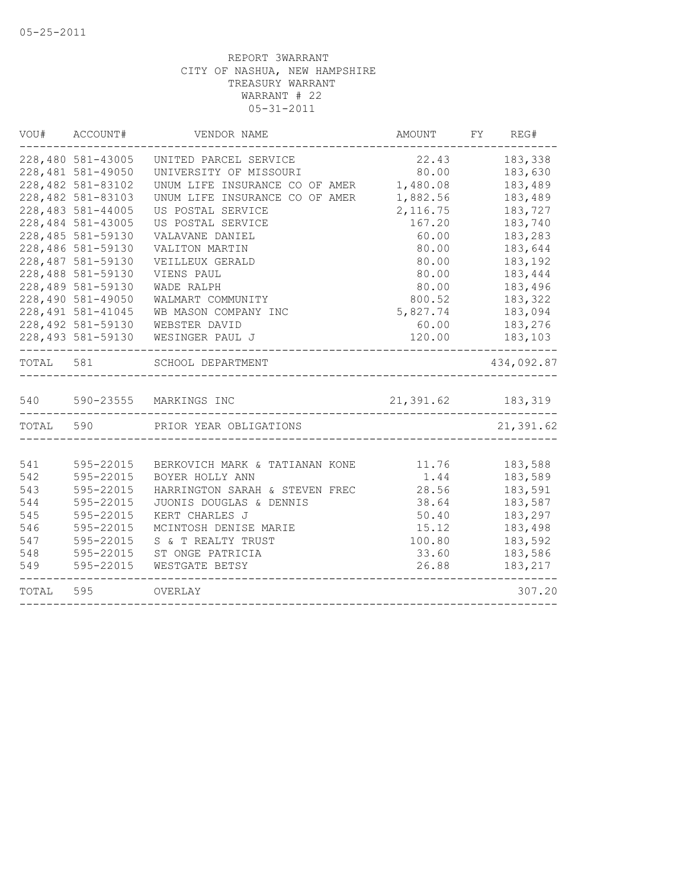| VOU#      | ACCOUNT#           | VENDOR NAME                                            | AMOUNT              | FY | REG#       |
|-----------|--------------------|--------------------------------------------------------|---------------------|----|------------|
|           | 228,480 581-43005  | UNITED PARCEL SERVICE                                  | 22.43               |    | 183,338    |
|           | 228,481 581-49050  | UNIVERSITY OF MISSOURI                                 | 80.00               |    | 183,630    |
|           | 228,482 581-83102  | UNUM LIFE INSURANCE CO OF AMER                         | 1,480.08            |    | 183,489    |
|           | 228,482 581-83103  | UNUM LIFE INSURANCE CO OF AMER                         | 1,882.56            |    | 183,489    |
|           | 228,483 581-44005  | US POSTAL SERVICE                                      | 2, 116.75           |    | 183,727    |
|           | 228,484 581-43005  | US POSTAL SERVICE                                      | 167.20              |    | 183,740    |
|           | 228,485 581-59130  | VALAVANE DANIEL                                        | 60.00               |    | 183,283    |
|           | 228,486 581-59130  | VALITON MARTIN                                         | 80.00               |    | 183,644    |
|           | 228,487 581-59130  | VEILLEUX GERALD                                        | 80.00               |    | 183,192    |
|           | 228,488 581-59130  | VIENS PAUL                                             | 80.00               |    | 183,444    |
|           | 228,489 581-59130  | WADE RALPH                                             | 80.00               |    | 183,496    |
|           | 228,490 581-49050  | WALMART COMMUNITY                                      | 800.52              |    | 183,322    |
|           | 228, 491 581-41045 | WB MASON COMPANY INC                                   | 5,827.74            |    | 183,094    |
|           | 228,492 581-59130  | WEBSTER DAVID                                          | 60.00               |    | 183,276    |
|           | 228,493 581-59130  | WESINGER PAUL J                                        | 120.00              |    | 183,103    |
| TOTAL 581 |                    | SCHOOL DEPARTMENT<br>--------------------------------- |                     |    | 434,092.87 |
| 540       |                    | 590-23555 MARKINGS INC                                 | 21, 391.62 183, 319 |    |            |
| TOTAL 590 |                    | PRIOR YEAR OBLIGATIONS                                 |                     |    | 21,391.62  |
|           |                    |                                                        |                     |    |            |
| 541       | 595-22015          | BERKOVICH MARK & TATIANAN KONE                         | 11.76               |    | 183,588    |
| 542       | 595-22015          | BOYER HOLLY ANN                                        | 1.44                |    | 183,589    |
| 543       | 595-22015          | HARRINGTON SARAH & STEVEN FREC                         | 28.56               |    | 183,591    |
| 544       | 595-22015          | JUONIS DOUGLAS & DENNIS                                | 38.64               |    | 183,587    |
| 545       | 595-22015          | KERT CHARLES J                                         | 50.40               |    | 183,297    |
| 546       | 595-22015          | MCINTOSH DENISE MARIE                                  | 15.12               |    | 183,498    |
| 547       | 595-22015          | S & T REALTY TRUST                                     | 100.80              |    | 183,592    |
| 548       | 595-22015          | ST ONGE PATRICIA                                       | 33.60               |    | 183,586    |
| 549       | 595-22015          | WESTGATE BETSY                                         | 26.88               |    | 183,217    |
| TOTAL     | 595                | OVERLAY                                                |                     |    | 307.20     |
|           |                    |                                                        |                     |    |            |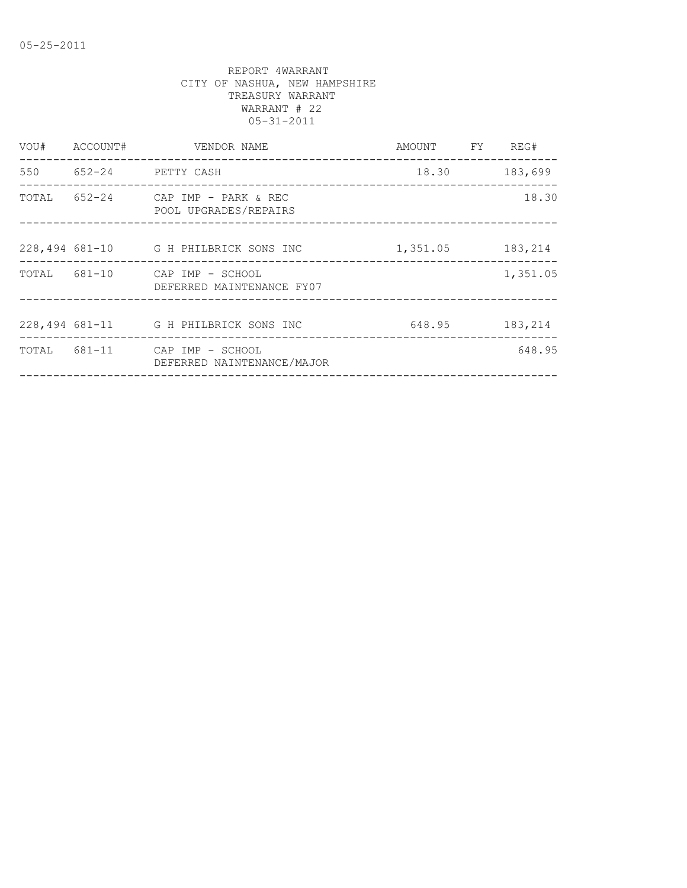| VOU# | ACCOUNT#   | VENDOR NAME                                                 | AMOUNT   | FY | REG#     |
|------|------------|-------------------------------------------------------------|----------|----|----------|
| 550  | $652 - 24$ | PETTY CASH                                                  | 18.30    |    | 183,699  |
|      |            | TOTAL 652-24 CAP IMP - PARK & REC<br>POOL UPGRADES/REPAIRS  |          |    | 18.30    |
|      |            | 228,494 681-10 G H PHILBRICK SONS INC                       | 1,351.05 |    | 183,214  |
|      |            | TOTAL 681-10 CAP IMP - SCHOOL<br>DEFERRED MAINTENANCE FY07  |          |    | 1,351.05 |
|      |            | 228,494 681-11 G H PHILBRICK SONS INC                       | 648.95   |    | 183,214  |
|      |            | TOTAL 681-11 CAP IMP - SCHOOL<br>DEFERRED NAINTENANCE/MAJOR |          |    | 648.95   |
|      |            |                                                             |          |    |          |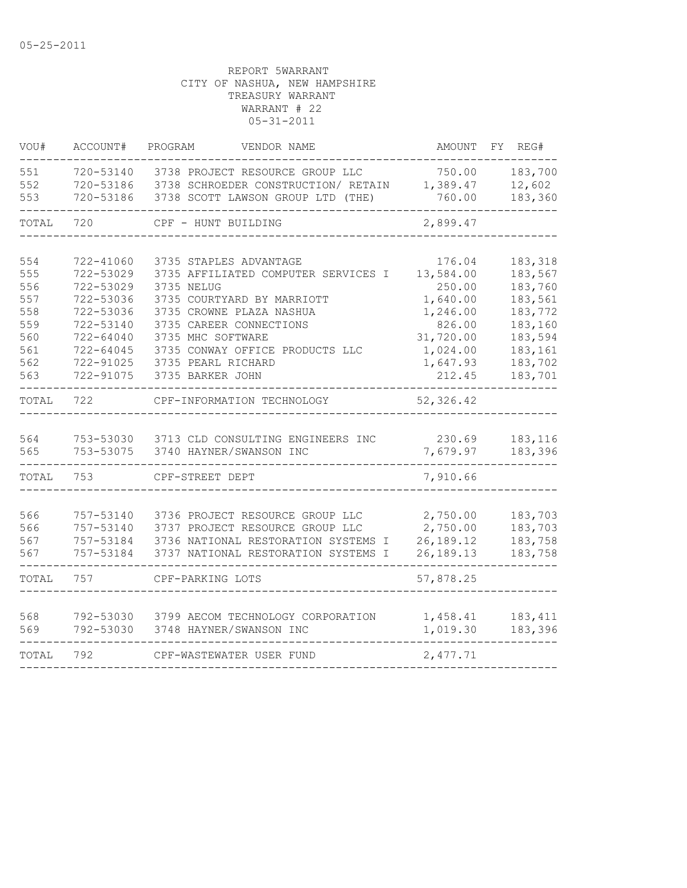| VOU#       | ACCOUNT#               | PROGRAM<br>VENDOR NAME                       | AMOUNT              | REG#<br>FΥ         |
|------------|------------------------|----------------------------------------------|---------------------|--------------------|
| 551        | 720-53140              | 3738 PROJECT RESOURCE GROUP LLC              | 750.00              | 183,700            |
| 552        | 720-53186              | 3738 SCHROEDER CONSTRUCTION/ RETAIN          | 1,389.47            | 12,602             |
| 553        | 720-53186              | 3738 SCOTT LAWSON GROUP LTD (THE)            | 760.00              | 183,360            |
| TOTAL      | 720                    | CPF - HUNT BUILDING                          | 2,899.47            |                    |
|            |                        |                                              |                     |                    |
| 554        | 722-41060              | 3735 STAPLES ADVANTAGE                       | 176.04              | 183,318            |
| 555        | 722-53029              | 3735 AFFILIATED COMPUTER SERVICES I          | 13,584.00           | 183,567            |
| 556        | 722-53029              | 3735 NELUG                                   | 250.00              | 183,760            |
| 557        | 722-53036              | 3735 COURTYARD BY MARRIOTT                   | 1,640.00            | 183,561            |
| 558<br>559 | 722-53036              | 3735 CROWNE PLAZA NASHUA                     | 1,246.00            | 183,772            |
| 560        | 722-53140              | 3735 CAREER CONNECTIONS<br>3735 MHC SOFTWARE | 826.00<br>31,720.00 | 183,160<br>183,594 |
| 561        | 722-64040<br>722-64045 | 3735 CONWAY OFFICE PRODUCTS LLC              | 1,024.00            | 183,161            |
| 562        | 722-91025              | 3735 PEARL RICHARD                           | 1,647.93            | 183,702            |
| 563        | 722-91075              | 3735 BARKER JOHN                             | 212.45              | 183,701            |
|            |                        |                                              |                     |                    |
| TOTAL      | 722                    | CPF-INFORMATION TECHNOLOGY                   | 52,326.42           |                    |
|            |                        |                                              |                     |                    |
| 564        | 753-53030              | 3713 CLD CONSULTING ENGINEERS INC            | 230.69              | 183,116            |
| 565        | 753-53075              | 3740 HAYNER/SWANSON INC                      | 7,679.97            | 183,396            |
| TOTAL      | 753                    | CPF-STREET DEPT                              | 7,910.66            |                    |
|            |                        |                                              |                     |                    |
| 566        | 757-53140              | 3736 PROJECT RESOURCE GROUP LLC              | 2,750.00            | 183,703            |
| 566        | 757-53140              | 3737 PROJECT RESOURCE GROUP LLC              | 2,750.00            | 183,703            |
| 567        | 757-53184              | 3736 NATIONAL RESTORATION SYSTEMS I          | 26,189.12           | 183,758            |
| 567        | 757-53184              | 3737 NATIONAL RESTORATION SYSTEMS I          | 26,189.13           | 183,758            |
| TOTAL      | 757                    | CPF-PARKING LOTS                             | 57,878.25           |                    |
|            |                        |                                              |                     |                    |
| 568        | 792-53030              | 3799 AECOM TECHNOLOGY CORPORATION            | 1,458.41            | 183, 411           |
| 569        | 792-53030              | 3748 HAYNER/SWANSON INC                      | 1,019.30            | 183,396            |
| TOTAL      | 792                    | CPF-WASTEWATER USER FUND                     | 2,477.71            |                    |
|            |                        |                                              |                     |                    |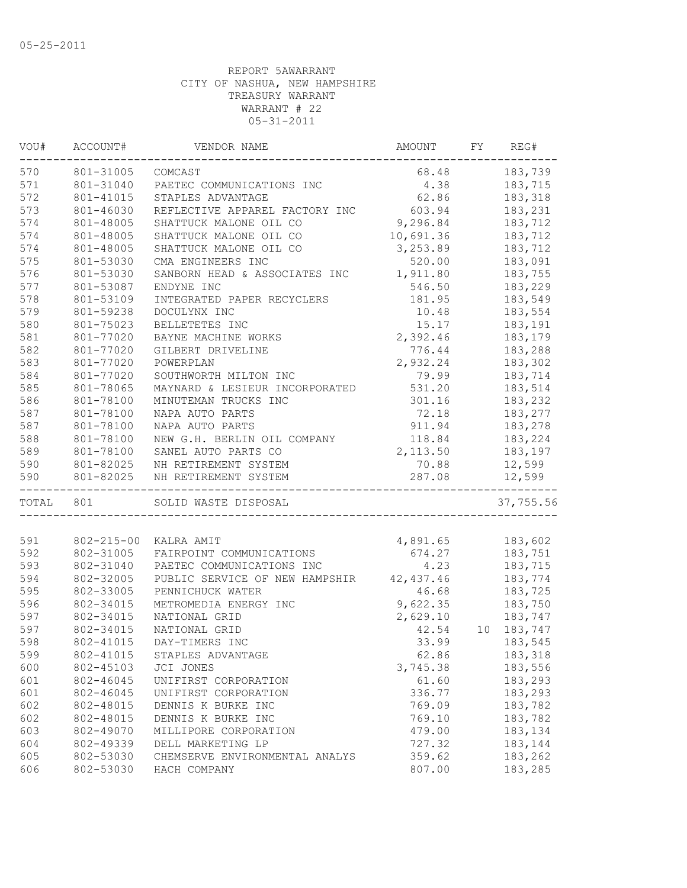| VOU#  | ACCOUNT#         | VENDOR NAME                            | AMOUNT          | FY. | REG#             |
|-------|------------------|----------------------------------------|-----------------|-----|------------------|
| 570   | 801-31005        | COMCAST                                | 68.48           |     | 183,739          |
| 571   | 801-31040        | PAETEC COMMUNICATIONS INC              | 4.38            |     | 183,715          |
| 572   | 801-41015        | STAPLES ADVANTAGE                      | 62.86           |     | 183,318          |
| 573   | 801-46030        | REFLECTIVE APPAREL FACTORY INC         | 603.94          |     | 183,231          |
| 574   | 801-48005        | SHATTUCK MALONE OIL CO                 | 9,296.84        |     | 183,712          |
| 574   | 801-48005        | SHATTUCK MALONE OIL CO                 | 10,691.36       |     | 183,712          |
| 574   | 801-48005        | SHATTUCK MALONE OIL CO                 | 3,253.89        |     | 183,712          |
| 575   | 801-53030        | CMA ENGINEERS INC                      | 520.00          |     | 183,091          |
| 576   | 801-53030        | SANBORN HEAD & ASSOCIATES INC          | 1,911.80        |     | 183,755          |
| 577   | 801-53087        | ENDYNE INC                             | 546.50          |     | 183,229          |
| 578   | 801-53109        | INTEGRATED PAPER RECYCLERS             | 181.95          |     | 183,549          |
| 579   | 801-59238        | DOCULYNX INC                           | 10.48           |     | 183,554          |
| 580   | 801-75023        | BELLETETES INC                         | 15.17           |     | 183,191          |
| 581   | 801-77020        | BAYNE MACHINE WORKS                    | 2,392.46        |     | 183,179          |
| 582   | 801-77020        | GILBERT DRIVELINE                      | 776.44          |     | 183,288          |
| 583   | 801-77020        | POWERPLAN                              | 2,932.24        |     | 183,302          |
| 584   | 801-77020        | SOUTHWORTH MILTON INC                  | 79.99           |     | 183,714          |
| 585   | 801-78065        | MAYNARD & LESIEUR INCORPORATED         | 531.20          |     | 183,514          |
| 586   | 801-78100        | MINUTEMAN TRUCKS INC                   | 301.16          |     | 183,232          |
| 587   | 801-78100        | NAPA AUTO PARTS                        | 72.18           |     | 183,277          |
| 587   | 801-78100        | NAPA AUTO PARTS                        | 911.94          |     | 183,278          |
| 588   | 801-78100        | NEW G.H. BERLIN OIL COMPANY            | 118.84          |     | 183,224          |
| 589   | 801-78100        | SANEL AUTO PARTS CO                    | 2,113.50        |     | 183,197          |
| 590   | 801-82025        | NH RETIREMENT SYSTEM                   |                 |     |                  |
| 590   | 801-82025        | NH RETIREMENT SYSTEM                   | 70.88<br>287.08 |     | 12,599<br>12,599 |
| TOTAL | 801              | ______________<br>SOLID WASTE DISPOSAL |                 |     | 37,755.56        |
|       |                  |                                        |                 |     |                  |
| 591   | $802 - 215 - 00$ | KALRA AMIT                             | 4,891.65        |     | 183,602          |
| 592   | 802-31005        | FAIRPOINT COMMUNICATIONS               | 674.27          |     | 183,751          |
| 593   | 802-31040        | PAETEC COMMUNICATIONS INC              | 4.23            |     | 183,715          |
| 594   | 802-32005        | PUBLIC SERVICE OF NEW HAMPSHIR         | 42,437.46       |     | 183,774          |
| 595   | 802-33005        | PENNICHUCK WATER                       | 46.68           |     | 183,725          |
| 596   | 802-34015        | METROMEDIA ENERGY INC                  | 9,622.35        |     | 183,750          |
| 597   | 802-34015        | NATIONAL GRID                          | 2,629.10        |     | 183,747          |
| 597   | 802-34015        | NATIONAL GRID                          | 42.54           | 10  | 183,747          |
| 598   | 802-41015        | DAY-TIMERS INC                         | 33.99           |     | 183,545          |
| 599   | 802-41015        | STAPLES ADVANTAGE                      | 62.86           |     | 183,318          |
| 600   | 802-45103        | JCI JONES                              | 3,745.38        |     | 183,556          |
| 601   | 802-46045        | UNIFIRST CORPORATION                   | 61.60           |     | 183,293          |
| 601   | 802-46045        | UNIFIRST CORPORATION                   | 336.77          |     | 183,293          |
| 602   | 802-48015        | DENNIS K BURKE INC                     | 769.09          |     | 183,782          |
| 602   | 802-48015        | DENNIS K BURKE INC                     | 769.10          |     | 183,782          |
| 603   | 802-49070        | MILLIPORE CORPORATION                  | 479.00          |     | 183,134          |
| 604   | 802-49339        | DELL MARKETING LP                      | 727.32          |     | 183,144          |
| 605   | 802-53030        | CHEMSERVE ENVIRONMENTAL ANALYS         | 359.62          |     | 183,262          |
| 606   | 802-53030        | HACH COMPANY                           | 807.00          |     | 183,285          |
|       |                  |                                        |                 |     |                  |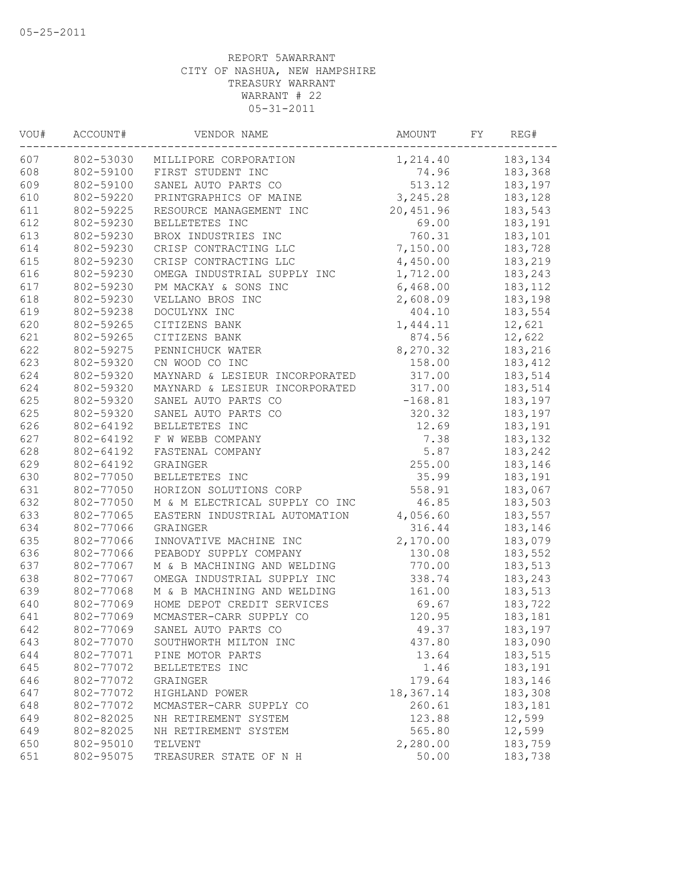| VOU# | ACCOUNT#  | VENDOR NAME                    | AMOUNT    | FY | REG#     |
|------|-----------|--------------------------------|-----------|----|----------|
| 607  | 802-53030 | MILLIPORE CORPORATION          | 1,214.40  |    | 183,134  |
| 608  | 802-59100 | FIRST STUDENT INC              | 74.96     |    | 183,368  |
| 609  | 802-59100 | SANEL AUTO PARTS CO            | 513.12    |    | 183,197  |
| 610  | 802-59220 | PRINTGRAPHICS OF MAINE         | 3,245.28  |    | 183,128  |
| 611  | 802-59225 | RESOURCE MANAGEMENT INC        | 20,451.96 |    | 183,543  |
| 612  | 802-59230 | BELLETETES INC                 | 69.00     |    | 183,191  |
| 613  | 802-59230 | BROX INDUSTRIES INC            | 760.31    |    | 183,101  |
| 614  | 802-59230 | CRISP CONTRACTING LLC          | 7,150.00  |    | 183,728  |
| 615  | 802-59230 | CRISP CONTRACTING LLC          | 4,450.00  |    | 183,219  |
| 616  | 802-59230 | OMEGA INDUSTRIAL SUPPLY INC    | 1,712.00  |    | 183,243  |
| 617  | 802-59230 | PM MACKAY & SONS INC           | 6,468.00  |    | 183, 112 |
| 618  | 802-59230 | VELLANO BROS INC               | 2,608.09  |    | 183,198  |
| 619  | 802-59238 | DOCULYNX INC                   | 404.10    |    | 183,554  |
| 620  | 802-59265 | CITIZENS BANK                  | 1,444.11  |    | 12,621   |
| 621  | 802-59265 | CITIZENS BANK                  | 874.56    |    | 12,622   |
| 622  | 802-59275 | PENNICHUCK WATER               | 8,270.32  |    | 183,216  |
| 623  | 802-59320 | CN WOOD CO INC                 | 158.00    |    | 183,412  |
| 624  | 802-59320 | MAYNARD & LESIEUR INCORPORATED | 317.00    |    | 183,514  |
| 624  | 802-59320 | MAYNARD & LESIEUR INCORPORATED | 317.00    |    | 183,514  |
| 625  | 802-59320 | SANEL AUTO PARTS CO            | $-168.81$ |    | 183,197  |
| 625  | 802-59320 | SANEL AUTO PARTS CO            | 320.32    |    | 183,197  |
| 626  | 802-64192 | BELLETETES INC                 | 12.69     |    | 183,191  |
| 627  | 802-64192 | F W WEBB COMPANY               | 7.38      |    | 183,132  |
| 628  | 802-64192 | FASTENAL COMPANY               | 5.87      |    | 183,242  |
| 629  | 802-64192 | GRAINGER                       | 255.00    |    | 183,146  |
| 630  | 802-77050 | BELLETETES INC                 | 35.99     |    | 183,191  |
| 631  | 802-77050 | HORIZON SOLUTIONS CORP         | 558.91    |    | 183,067  |
| 632  | 802-77050 | M & M ELECTRICAL SUPPLY CO INC | 46.85     |    | 183,503  |
| 633  | 802-77065 | EASTERN INDUSTRIAL AUTOMATION  | 4,056.60  |    | 183,557  |
| 634  | 802-77066 | GRAINGER                       | 316.44    |    | 183,146  |
| 635  | 802-77066 | INNOVATIVE MACHINE INC         | 2,170.00  |    | 183,079  |
| 636  | 802-77066 | PEABODY SUPPLY COMPANY         | 130.08    |    | 183,552  |
| 637  | 802-77067 | M & B MACHINING AND WELDING    | 770.00    |    | 183,513  |
| 638  | 802-77067 | OMEGA INDUSTRIAL SUPPLY INC    | 338.74    |    | 183,243  |
| 639  | 802-77068 | M & B MACHINING AND WELDING    | 161.00    |    | 183,513  |
| 640  | 802-77069 | HOME DEPOT CREDIT SERVICES     | 69.67     |    | 183,722  |
| 641  | 802-77069 | MCMASTER-CARR SUPPLY CO        | 120.95    |    | 183,181  |
| 642  | 802-77069 | SANEL AUTO PARTS CO            | 49.37     |    | 183,197  |
| 643  | 802-77070 | SOUTHWORTH MILTON INC          | 437.80    |    | 183,090  |
| 644  | 802-77071 | PINE MOTOR PARTS               | 13.64     |    | 183,515  |
| 645  | 802-77072 | BELLETETES INC                 | 1.46      |    | 183,191  |
| 646  | 802-77072 | GRAINGER                       | 179.64    |    | 183,146  |
| 647  | 802-77072 | HIGHLAND POWER                 | 18,367.14 |    | 183,308  |
| 648  | 802-77072 | MCMASTER-CARR SUPPLY CO        | 260.61    |    | 183,181  |
| 649  | 802-82025 | NH RETIREMENT SYSTEM           | 123.88    |    | 12,599   |
| 649  | 802-82025 | NH RETIREMENT SYSTEM           | 565.80    |    | 12,599   |
| 650  | 802-95010 | TELVENT                        | 2,280.00  |    | 183,759  |
| 651  | 802-95075 | TREASURER STATE OF N H         | 50.00     |    | 183,738  |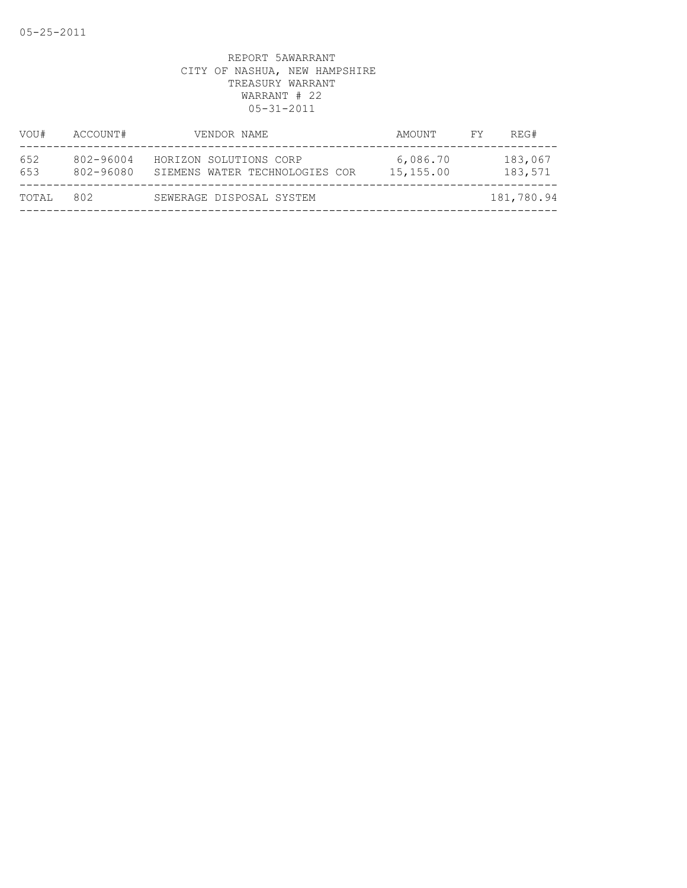| VOU#       | ACCOUNT#               | VENDOR NAME                                              | AMOUNT                | FY. | REG#               |
|------------|------------------------|----------------------------------------------------------|-----------------------|-----|--------------------|
| 652<br>653 | 802-96004<br>802-96080 | HORIZON SOLUTIONS CORP<br>SIEMENS WATER TECHNOLOGIES COR | 6,086.70<br>15,155.00 |     | 183,067<br>183,571 |
| TOTAL      | 802                    | SEWERAGE DISPOSAL SYSTEM                                 |                       |     | 181,780.94         |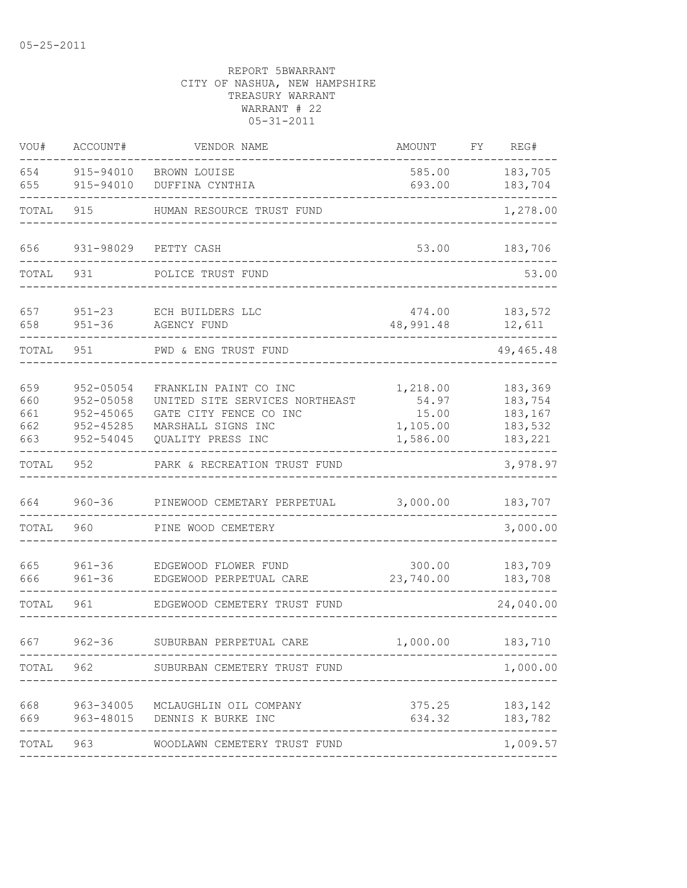| VOU#                            | ACCOUNT#                                                              | VENDOR NAME                                                                                                                  | AMOUNT                                             | FY | REG#                                                |
|---------------------------------|-----------------------------------------------------------------------|------------------------------------------------------------------------------------------------------------------------------|----------------------------------------------------|----|-----------------------------------------------------|
| 654<br>655                      | 915-94010<br>915-94010                                                | BROWN LOUISE<br>DUFFINA CYNTHIA                                                                                              | 585.00<br>693.00                                   |    | 183,705<br>183,704                                  |
| TOTAL                           | 915                                                                   | HUMAN RESOURCE TRUST FUND                                                                                                    |                                                    |    | 1,278.00                                            |
| 656                             | 931-98029                                                             | PETTY CASH                                                                                                                   | 53.00                                              |    | 183,706                                             |
| TOTAL                           | 931                                                                   | POLICE TRUST FUND                                                                                                            |                                                    |    | 53.00                                               |
| 657<br>658                      | $951 - 23$<br>$951 - 36$                                              | ECH BUILDERS LLC<br>AGENCY FUND                                                                                              | 474.00<br>48,991.48                                |    | 183,572<br>12,611                                   |
| TOTAL                           | 951                                                                   | PWD & ENG TRUST FUND                                                                                                         |                                                    |    | 49, 465. 48                                         |
| 659<br>660<br>661<br>662<br>663 | 952-05054<br>$952 - 05058$<br>$952 - 45065$<br>952-45285<br>952-54045 | FRANKLIN PAINT CO INC<br>UNITED SITE SERVICES NORTHEAST<br>GATE CITY FENCE CO INC<br>MARSHALL SIGNS INC<br>QUALITY PRESS INC | 1,218.00<br>54.97<br>15.00<br>1,105.00<br>1,586.00 |    | 183,369<br>183,754<br>183,167<br>183,532<br>183,221 |
| TOTAL                           | 952                                                                   | PARK & RECREATION TRUST FUND                                                                                                 |                                                    |    | 3,978.97                                            |
| 664<br>TOTAL                    | $960 - 36$<br>960                                                     | PINEWOOD CEMETARY PERPETUAL<br>PINE WOOD CEMETERY                                                                            | 3,000.00                                           |    | 183,707<br>3,000.00                                 |
| 665<br>666                      | $961 - 36$<br>$961 - 36$                                              | EDGEWOOD FLOWER FUND<br>EDGEWOOD PERPETUAL CARE                                                                              | 300.00<br>23,740.00                                |    | 183,709<br>183,708                                  |
| TOTAL                           | 961                                                                   | EDGEWOOD CEMETERY TRUST FUND                                                                                                 |                                                    |    | 24,040.00                                           |
| 667                             | $962 - 36$                                                            | SUBURBAN PERPETUAL CARE                                                                                                      | 1,000.00                                           |    | 183,710                                             |
|                                 |                                                                       | TOTAL 962 SUBURBAN CEMETERY TRUST FUND                                                                                       |                                                    |    | 1,000.00                                            |
| 668<br>669                      |                                                                       | 963-34005 MCLAUGHLIN OIL COMPANY<br>963-48015 DENNIS K BURKE INC                                                             | 375.25<br>634.32                                   |    | 183,142<br>183,782<br>------                        |
| TOTAL                           | 963                                                                   | WOODLAWN CEMETERY TRUST FUND                                                                                                 |                                                    |    | 1,009.57                                            |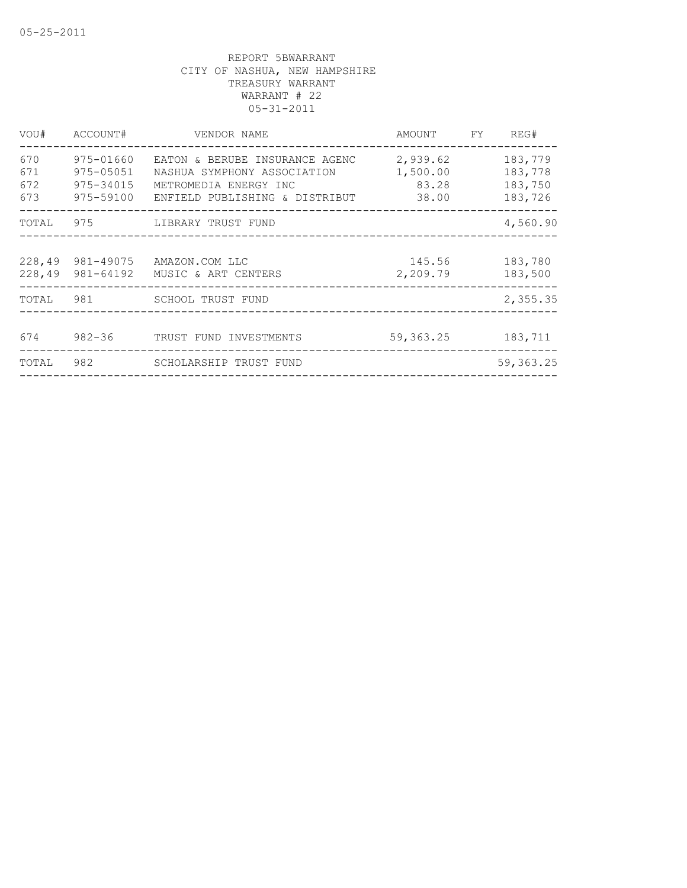| VOU#                     | ACCOUNT#                                         | VENDOR NAME                                                                                                                                                        | AMOUNT FY          | REG#                                     |
|--------------------------|--------------------------------------------------|--------------------------------------------------------------------------------------------------------------------------------------------------------------------|--------------------|------------------------------------------|
| 670<br>671<br>672<br>673 | 975-01660<br>975-05051<br>975-34015<br>975-59100 | EATON & BERUBE INSURANCE AGENC<br>2,939.62<br>1,500.00<br>NASHUA SYMPHONY ASSOCIATION<br>83.28<br>METROMEDIA ENERGY INC<br>ENFIELD PUBLISHING & DISTRIBUT<br>38.00 |                    | 183,779<br>183,778<br>183,750<br>183,726 |
| TOTAL                    |                                                  |                                                                                                                                                                    |                    | 4,560.90                                 |
|                          | 228,49 981-49075<br>228,49 981-64192             | AMAZON.COM LLC<br>MUSIC & ART CENTERS                                                                                                                              | 145.56<br>2,209.79 | 183,780<br>183,500                       |
| TOTAL                    | 981                                              | SCHOOL TRUST FUND                                                                                                                                                  |                    | 2,355.35                                 |
| 674                      | $982 - 36$                                       | TRUST FUND INVESTMENTS                                                                                                                                             | 59, 363. 25        | 183,711                                  |
| TOTAL                    |                                                  |                                                                                                                                                                    |                    | 59, 363.25                               |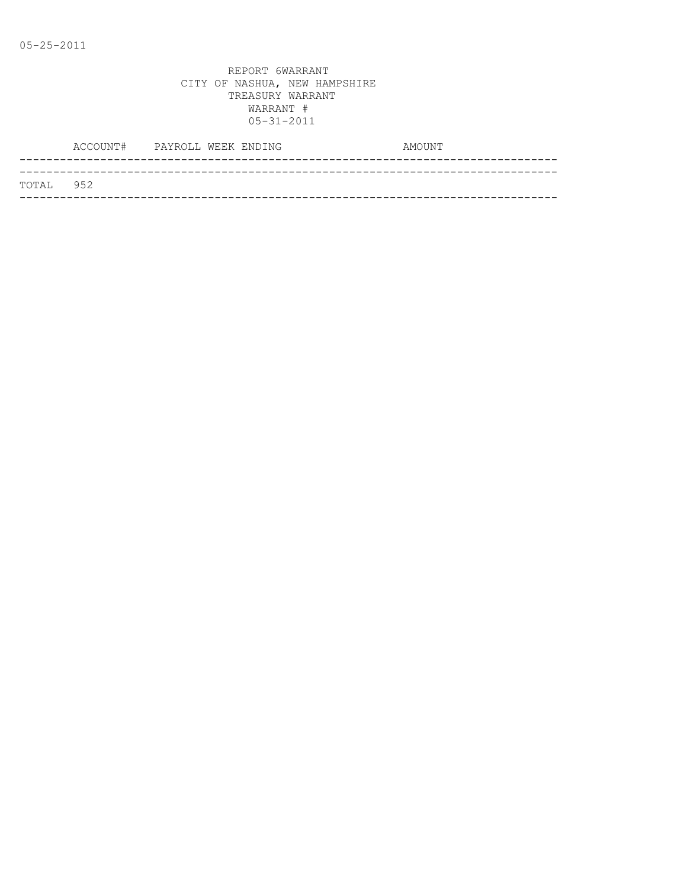|           | ACCOUNT# PAYROLL WEEK ENDING |  | AMOUNT |
|-----------|------------------------------|--|--------|
|           |                              |  |        |
| TOTAL 952 |                              |  |        |
|           |                              |  |        |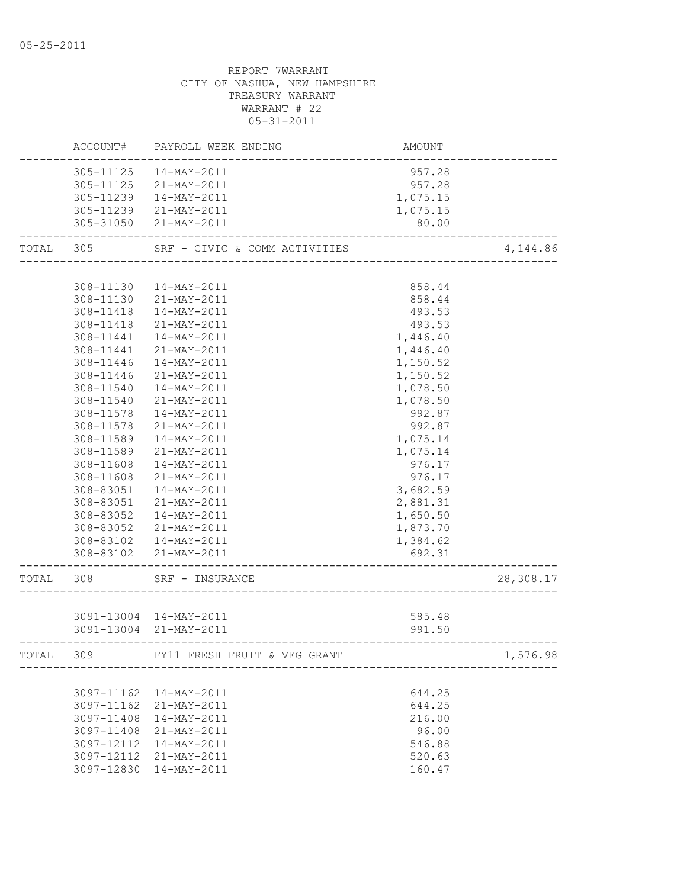|       | ACCOUNT#   | PAYROLL WEEK ENDING           | AMOUNT   |           |
|-------|------------|-------------------------------|----------|-----------|
|       | 305-11125  | 14-MAY-2011                   | 957.28   |           |
|       |            | 305-11125 21-MAY-2011         | 957.28   |           |
|       |            | 305-11239  14-MAY-2011        | 1,075.15 |           |
|       |            | 305-11239 21-MAY-2011         | 1,075.15 |           |
|       |            | 305-31050 21-MAY-2011         | 80.00    |           |
| TOTAL | 305        | SRF - CIVIC & COMM ACTIVITIES |          | 4,144.86  |
|       |            |                               |          |           |
|       | 308-11130  | 14-MAY-2011                   | 858.44   |           |
|       |            | 308-11130 21-MAY-2011         | 858.44   |           |
|       | 308-11418  | 14-MAY-2011                   | 493.53   |           |
|       | 308-11418  | 21-MAY-2011                   | 493.53   |           |
|       | 308-11441  | 14-MAY-2011                   | 1,446.40 |           |
|       | 308-11441  | 21-MAY-2011                   | 1,446.40 |           |
|       | 308-11446  | 14-MAY-2011                   | 1,150.52 |           |
|       | 308-11446  | 21-MAY-2011                   | 1,150.52 |           |
|       | 308-11540  | 14-MAY-2011                   | 1,078.50 |           |
|       | 308-11540  | $21 - MAX - 2011$             | 1,078.50 |           |
|       | 308-11578  | 14-MAY-2011                   | 992.87   |           |
|       | 308-11578  | 21-MAY-2011                   | 992.87   |           |
|       | 308-11589  | 14-MAY-2011                   | 1,075.14 |           |
|       | 308-11589  | 21-MAY-2011                   | 1,075.14 |           |
|       | 308-11608  | 14-MAY-2011                   | 976.17   |           |
|       | 308-11608  | 21-MAY-2011                   | 976.17   |           |
|       | 308-83051  | 14-MAY-2011                   | 3,682.59 |           |
|       | 308-83051  | 21-MAY-2011                   | 2,881.31 |           |
|       | 308-83052  | 14-MAY-2011                   | 1,650.50 |           |
|       | 308-83052  | 21-MAY-2011                   | 1,873.70 |           |
|       | 308-83102  | 14-MAY-2011                   | 1,384.62 |           |
|       | 308-83102  | 21-MAY-2011                   | 692.31   |           |
| TOTAL | 308        | SRF - INSURANCE               |          | 28,308.17 |
|       |            |                               |          |           |
|       |            | 3091-13004 14-MAY-2011        | 585.48   |           |
|       |            | 3091-13004 21-MAY-2011        | 991.50   |           |
| TOTAL | 309        | FY11 FRESH FRUIT & VEG GRANT  |          | 1,576.98  |
|       |            |                               |          |           |
|       | 3097-11162 | 14-MAY-2011                   | 644.25   |           |
|       | 3097-11162 | 21-MAY-2011                   | 644.25   |           |
|       | 3097-11408 | 14-MAY-2011                   | 216.00   |           |
|       | 3097-11408 | 21-MAY-2011                   | 96.00    |           |
|       | 3097-12112 | $14 - MAX - 2011$             | 546.88   |           |
|       | 3097-12112 | 21-MAY-2011                   | 520.63   |           |
|       | 3097-12830 | 14-MAY-2011                   | 160.47   |           |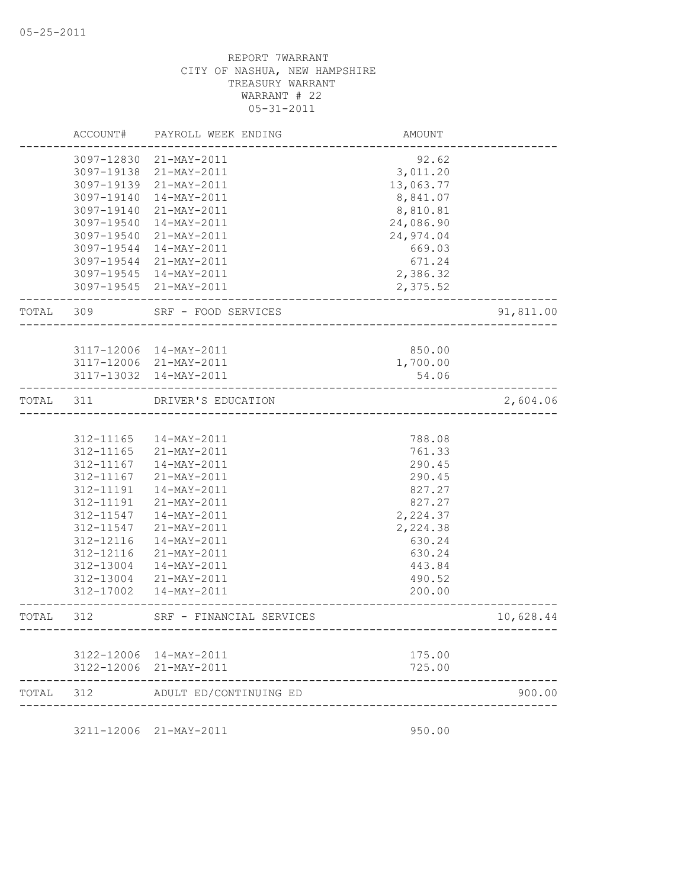|           | ACCOUNT#   | PAYROLL WEEK ENDING      | <b>AMOUNT</b>                        |           |
|-----------|------------|--------------------------|--------------------------------------|-----------|
|           |            | 3097-12830 21-MAY-2011   | 92.62                                |           |
|           |            | 3097-19138 21-MAY-2011   | 3,011.20                             |           |
|           |            | 3097-19139 21-MAY-2011   | 13,063.77                            |           |
|           | 3097-19140 | 14-MAY-2011              | 8,841.07                             |           |
|           | 3097-19140 | 21-MAY-2011              | 8,810.81                             |           |
|           | 3097-19540 | 14-MAY-2011              | 24,086.90                            |           |
|           | 3097-19540 | 21-MAY-2011              | 24,974.04                            |           |
|           | 3097-19544 | 14-MAY-2011              | 669.03                               |           |
|           |            | 3097-19544 21-MAY-2011   | 671.24                               |           |
|           |            | 3097-19545 14-MAY-2011   | 2,386.32                             |           |
|           |            | 3097-19545 21-MAY-2011   | 2,375.52                             |           |
| TOTAL 309 |            | SRF - FOOD SERVICES      |                                      | 91,811.00 |
|           |            |                          |                                      |           |
|           |            | 3117-12006 14-MAY-2011   | 850.00                               |           |
|           |            | 3117-12006 21-MAY-2011   | 1,700.00                             |           |
|           |            | 3117-13032 14-MAY-2011   | 54.06                                |           |
| TOTAL     | 311        | DRIVER'S EDUCATION       | ------------------------------------ | 2,604.06  |
|           |            |                          |                                      |           |
|           | 312-11165  | 14-MAY-2011              | 788.08                               |           |
|           | 312-11165  | 21-MAY-2011              | 761.33                               |           |
|           | 312-11167  | 14-MAY-2011              | 290.45                               |           |
|           | 312-11167  | 21-MAY-2011              | 290.45                               |           |
|           | 312-11191  | 14-MAY-2011              | 827.27                               |           |
|           | 312-11191  | 21-MAY-2011              | 827.27                               |           |
|           | 312-11547  | 14-MAY-2011              | 2,224.37                             |           |
|           | 312-11547  | 21-MAY-2011              | 2,224.38                             |           |
|           | 312-12116  | 14-MAY-2011              | 630.24                               |           |
|           | 312-12116  | 21-MAY-2011              | 630.24                               |           |
|           | 312-13004  | 14-MAY-2011              | 443.84                               |           |
|           | 312-13004  | 21-MAY-2011              | 490.52                               |           |
|           | 312-17002  | 14-MAY-2011              | 200.00                               |           |
| TOTAL     | 312        | SRF - FINANCIAL SERVICES | -----------------------------------  | 10,628.44 |
|           |            |                          |                                      |           |
|           |            | 3122-12006 14-MAY-2011   | 175.00                               |           |
|           |            | 3122-12006 21-MAY-2011   | 725.00                               |           |
| TOTAL     | 312        | ADULT ED/CONTINUING ED   |                                      | 900.00    |

3211-12006 21-MAY-2011 950.00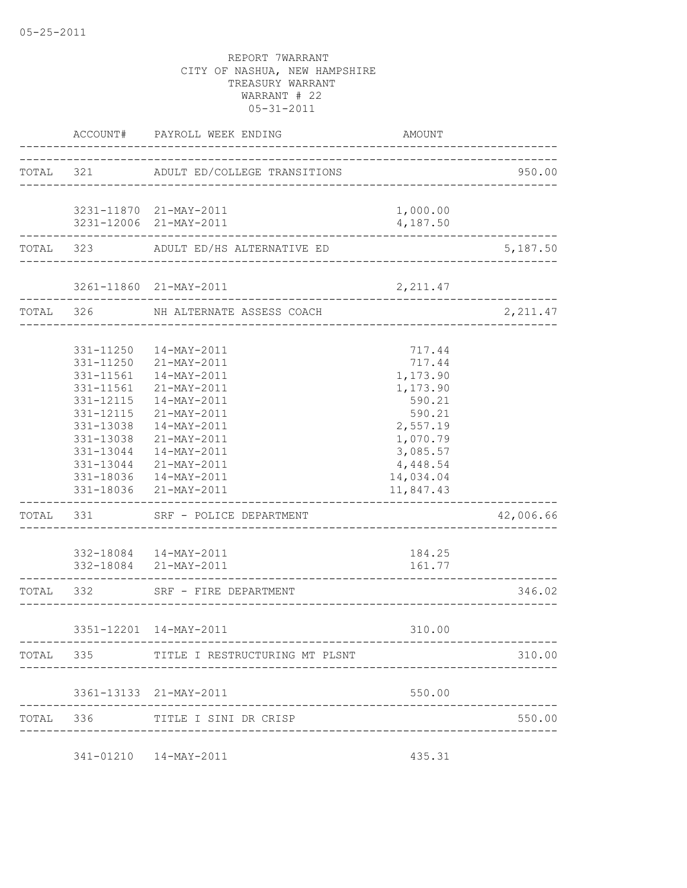| ACCOUNT# PAYROLL WEEK ENDING                                  |                                                                                                                                                                                                                                                                                                 | AMOUNT                                                                                                                                 |           |
|---------------------------------------------------------------|-------------------------------------------------------------------------------------------------------------------------------------------------------------------------------------------------------------------------------------------------------------------------------------------------|----------------------------------------------------------------------------------------------------------------------------------------|-----------|
|                                                               | TOTAL 321 ADULT ED/COLLEGE TRANSITIONS                                                                                                                                                                                                                                                          | ________________________________                                                                                                       | 950.00    |
|                                                               | 3231-11870 21-MAY-2011<br>3231-12006 21-MAY-2011                                                                                                                                                                                                                                                | 1,000.00<br>4,187.50                                                                                                                   |           |
| ------------------                                            | __________________<br>TOTAL 323 ADULT ED/HS ALTERNATIVE ED                                                                                                                                                                                                                                      |                                                                                                                                        | 5,187.50  |
|                                                               |                                                                                                                                                                                                                                                                                                 | 2, 211.47                                                                                                                              |           |
|                                                               | TOTAL 326 NH ALTERNATE ASSESS COACH                                                                                                                                                                                                                                                             |                                                                                                                                        | 2,211.47  |
| 331-11561<br>331-12115<br>331-12115<br>331-13038<br>331-13038 | 331-11250  14-MAY-2011<br>331-11250 21-MAY-2011<br>331-11561  14-MAY-2011<br>21-MAY-2011<br>14-MAY-2011<br>21-MAY-2011<br>14-MAY-2011<br>21-MAY-2011<br>331-13044  14-MAY-2011<br>331-13044 21-MAY-2011<br>331-18036  14-MAY-2011<br>331-18036 21-MAY-2011<br>TOTAL 331 SRF - POLICE DEPARTMENT | 717.44<br>717.44<br>1,173.90<br>1,173.90<br>590.21<br>590.21<br>2,557.19<br>1,070.79<br>3,085.57<br>4,448.54<br>14,034.04<br>11,847.43 | 42,006.66 |
|                                                               | 332-18084  14-MAY-2011<br>332-18084 21-MAY-2011                                                                                                                                                                                                                                                 | 184.25<br>161.77                                                                                                                       |           |
|                                                               | ----------------------<br>TOTAL 332 SRF - FIRE DEPARTMENT                                                                                                                                                                                                                                       |                                                                                                                                        | 346.02    |
|                                                               | 3351-12201 14-MAY-2011                                                                                                                                                                                                                                                                          | 310.00                                                                                                                                 |           |
| rotal 335                                                     | TITLE I RESTRUCTURING MT PLSNT                                                                                                                                                                                                                                                                  |                                                                                                                                        | 310.00    |
|                                                               | 3361-13133 21-MAY-2011                                                                                                                                                                                                                                                                          | 550.00                                                                                                                                 |           |
| TOTAL 336                                                     | TITLE I SINI DR CRISP                                                                                                                                                                                                                                                                           |                                                                                                                                        | 550.00    |
|                                                               | 341-01210  14-MAY-2011                                                                                                                                                                                                                                                                          | 435.31                                                                                                                                 |           |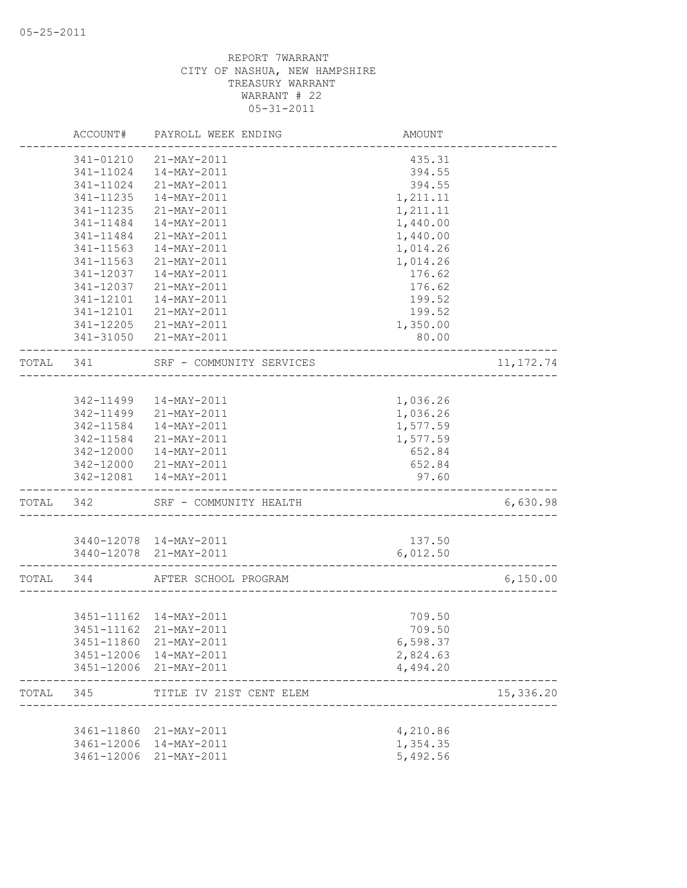|           | ACCOUNT#   | PAYROLL WEEK ENDING                                        | AMOUNT                     |            |
|-----------|------------|------------------------------------------------------------|----------------------------|------------|
|           | 341-01210  | 21-MAY-2011                                                | 435.31                     |            |
|           | 341-11024  | $14 - MAX - 2011$                                          | 394.55                     |            |
|           | 341-11024  | 21-MAY-2011                                                | 394.55                     |            |
|           | 341-11235  | 14-MAY-2011                                                | 1,211.11                   |            |
|           | 341-11235  | 21-MAY-2011                                                | 1,211.11                   |            |
|           | 341-11484  | 14-MAY-2011                                                | 1,440.00                   |            |
|           | 341-11484  | 21-MAY-2011                                                | 1,440.00                   |            |
|           | 341-11563  | $14 - MAX - 2011$                                          | 1,014.26                   |            |
|           | 341-11563  | 21-MAY-2011                                                | 1,014.26                   |            |
|           | 341-12037  | 14-MAY-2011                                                | 176.62                     |            |
|           | 341-12037  | 21-MAY-2011                                                | 176.62                     |            |
|           | 341-12101  | 14-MAY-2011                                                | 199.52                     |            |
|           | 341-12101  | 21-MAY-2011                                                | 199.52                     |            |
|           | 341-12205  | $21 - MAX - 2011$                                          | 1,350.00                   |            |
|           |            | 341-31050 21-MAY-2011                                      | 80.00                      |            |
| TOTAL 341 |            | SRF - COMMUNITY SERVICES<br>______________________________ |                            | 11, 172.74 |
|           |            |                                                            |                            |            |
|           |            | 342-11499  14-MAY-2011                                     | 1,036.26                   |            |
|           |            | 342-11499 21-MAY-2011                                      | 1,036.26                   |            |
|           | 342-11584  | 14-MAY-2011                                                | 1,577.59                   |            |
|           | 342-11584  | 21-MAY-2011                                                | 1,577.59                   |            |
|           | 342-12000  | 14-MAY-2011                                                | 652.84                     |            |
|           | 342-12000  | 21-MAY-2011                                                | 652.84                     |            |
|           |            | 342-12081  14-MAY-2011                                     | 97.60<br>_________________ |            |
| TOTAL 342 |            | SRF - COMMUNITY HEALTH                                     |                            | 6,630.98   |
|           |            | 3440-12078 14-MAY-2011                                     | 137.50                     |            |
|           |            | 3440-12078 21-MAY-2011                                     | 6,012.50                   |            |
|           |            |                                                            |                            |            |
| TOTAL 344 |            | AFTER SCHOOL PROGRAM                                       |                            | 6,150.00   |
|           |            |                                                            |                            |            |
|           |            | 3451-11162  14-MAY-2011                                    | 709.50                     |            |
|           |            | 3451-11162 21-MAY-2011                                     | 709.50                     |            |
|           | 3451-11860 | 21-MAY-2011                                                | 6,598.37                   |            |
|           |            | 3451-12006 14-MAY-2011                                     | 2,824.63                   |            |
|           |            | 3451-12006 21-MAY-2011                                     | 4,494.20                   |            |
| TOTAL     | 345        | TITLE IV 21ST CENT ELEM                                    |                            | 15,336.20  |
|           |            |                                                            |                            |            |
|           |            | 3461-11860 21-MAY-2011                                     | 4,210.86                   |            |
|           |            | 3461-12006 14-MAY-2011                                     | 1,354.35                   |            |
|           | 3461-12006 | 21-MAY-2011                                                | 5,492.56                   |            |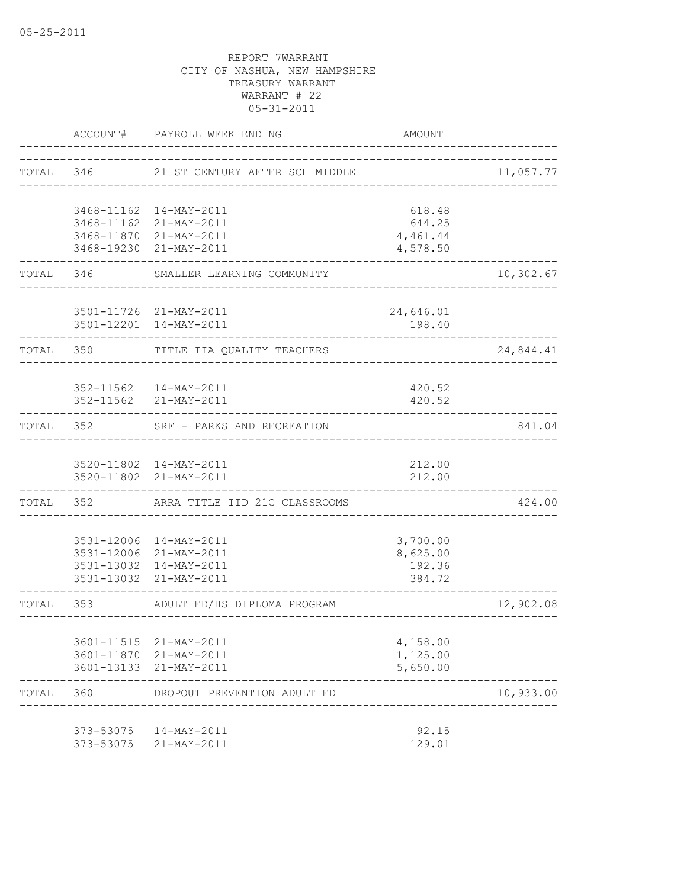|           |                      | ACCOUNT# PAYROLL WEEK ENDING                     | <b>AMOUNT</b>                   |           |
|-----------|----------------------|--------------------------------------------------|---------------------------------|-----------|
| TOTAL 346 |                      | 21 ST CENTURY AFTER SCH MIDDLE                   |                                 | 11,057.77 |
|           |                      | 3468-11162  14-MAY-2011                          | 618.48                          |           |
|           |                      | 3468-11162 21-MAY-2011                           | 644.25                          |           |
|           |                      | 3468-11870 21-MAY-2011                           | 4,461.44                        |           |
|           |                      | 3468-19230 21-MAY-2011                           | 4,578.50                        |           |
| TOTAL 346 |                      | SMALLER LEARNING COMMUNITY                       |                                 | 10,302.67 |
|           |                      | 3501-11726 21-MAY-2011                           | 24,646.01                       |           |
|           |                      | 3501-12201 14-MAY-2011                           | 198.40                          |           |
| TOTAL 350 |                      | TITLE IIA QUALITY TEACHERS<br><u>.</u>           |                                 | 24,844.41 |
|           |                      |                                                  |                                 |           |
|           |                      | 352-11562  14-MAY-2011                           | 420.52                          |           |
|           | -------------------- | 352-11562 21-MAY-2011                            | 420.52                          |           |
|           |                      | TOTAL 352 SRF - PARKS AND RECREATION             |                                 | 841.04    |
|           |                      | 3520-11802 14-MAY-2011                           | 212.00                          |           |
|           |                      | 3520-11802 21-MAY-2011                           | 212.00                          |           |
|           |                      | TOTAL 352 ARRA TITLE IID 21C CLASSROOMS          |                                 | 424.00    |
|           |                      | 3531-12006 14-MAY-2011                           | 3,700.00                        |           |
|           |                      | 3531-12006 21-MAY-2011                           | 8,625.00                        |           |
|           |                      | 3531-13032 14-MAY-2011                           | 192.36                          |           |
|           |                      | 3531-13032 21-MAY-2011                           | 384.72                          |           |
|           |                      | TOTAL 353 ADULT ED/HS DIPLOMA PROGRAM            | ------------------------------- | 12,902.08 |
|           |                      |                                                  |                                 |           |
|           |                      | 3601-11515 21-MAY-2011<br>3601-11870 21-MAY-2011 | 4,158.00<br>1,125.00            |           |
|           |                      | 3601-13133 21-MAY-2011                           | 5,650.00                        |           |
| TOTAL 360 |                      | DROPOUT PREVENTION ADULT ED                      |                                 | 10,933.00 |
|           |                      |                                                  |                                 |           |
|           | 373-53075            | 373-53075  14-MAY-2011<br>21-MAY-2011            | 92.15<br>129.01                 |           |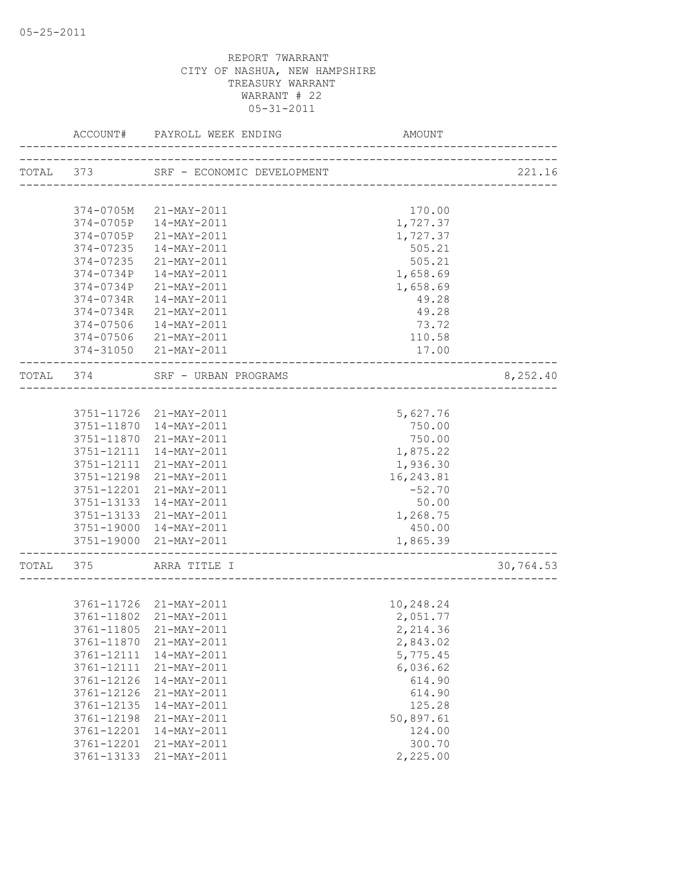|           | ACCOUNT#   | PAYROLL WEEK ENDING        | AMOUNT     |           |
|-----------|------------|----------------------------|------------|-----------|
| TOTAL 373 |            | SRF - ECONOMIC DEVELOPMENT |            | 221.16    |
|           |            |                            |            |           |
|           | 374-0705M  | 21-MAY-2011                | 170.00     |           |
|           |            | 374-0705P 14-MAY-2011      | 1,727.37   |           |
|           | 374-0705P  | 21-MAY-2011                | 1,727.37   |           |
|           | 374-07235  | 14-MAY-2011                | 505.21     |           |
|           | 374-07235  | 21-MAY-2011                | 505.21     |           |
|           |            | 374-0734P 14-MAY-2011      | 1,658.69   |           |
|           |            | 374-0734P 21-MAY-2011      | 1,658.69   |           |
|           | 374-0734R  | 14-MAY-2011                | 49.28      |           |
|           | 374-0734R  | 21-MAY-2011                | 49.28      |           |
|           | 374-07506  | 14-MAY-2011                | 73.72      |           |
|           | 374-07506  | 21-MAY-2011                | 110.58     |           |
|           |            | 374-31050 21-MAY-2011      | 17.00      |           |
|           | TOTAL 374  | SRF - URBAN PROGRAMS       |            | 8,252.40  |
|           |            |                            |            |           |
|           |            | 3751-11726 21-MAY-2011     | 5,627.76   |           |
|           |            | 3751-11870 14-MAY-2011     | 750.00     |           |
|           | 3751-11870 | 21-MAY-2011                | 750.00     |           |
|           |            | 3751-12111 14-MAY-2011     | 1,875.22   |           |
|           |            | 3751-12111 21-MAY-2011     | 1,936.30   |           |
|           | 3751-12198 | 21-MAY-2011                | 16, 243.81 |           |
|           |            | 3751-12201 21-MAY-2011     | $-52.70$   |           |
|           | 3751-13133 | 14-MAY-2011                | 50.00      |           |
|           |            | 3751-13133 21-MAY-2011     | 1,268.75   |           |
|           |            | 3751-19000 14-MAY-2011     | 450.00     |           |
|           |            | 3751-19000 21-MAY-2011     | 1,865.39   |           |
| TOTAL 375 |            | ARRA TITLE I               |            | 30,764.53 |
|           |            |                            |            |           |
|           |            | 3761-11726 21-MAY-2011     | 10,248.24  |           |
|           |            | 3761-11802 21-MAY-2011     | 2,051.77   |           |
|           |            | 3761-11805 21-MAY-2011     | 2,214.36   |           |
|           | 3761-11870 | 21-MAY-2011                | 2,843.02   |           |
|           | 3761-12111 | $14 - MAX - 2011$          | 5,775.45   |           |
|           | 3761-12111 | 21-MAY-2011                | 6,036.62   |           |
|           | 3761-12126 | 14-MAY-2011                | 614.90     |           |
|           | 3761-12126 | 21-MAY-2011                | 614.90     |           |
|           | 3761-12135 | 14-MAY-2011                | 125.28     |           |
|           | 3761-12198 | 21-MAY-2011                | 50,897.61  |           |
|           | 3761-12201 | 14-MAY-2011                | 124.00     |           |
|           | 3761-12201 | 21-MAY-2011                | 300.70     |           |
|           | 3761-13133 | 21-MAY-2011                | 2,225.00   |           |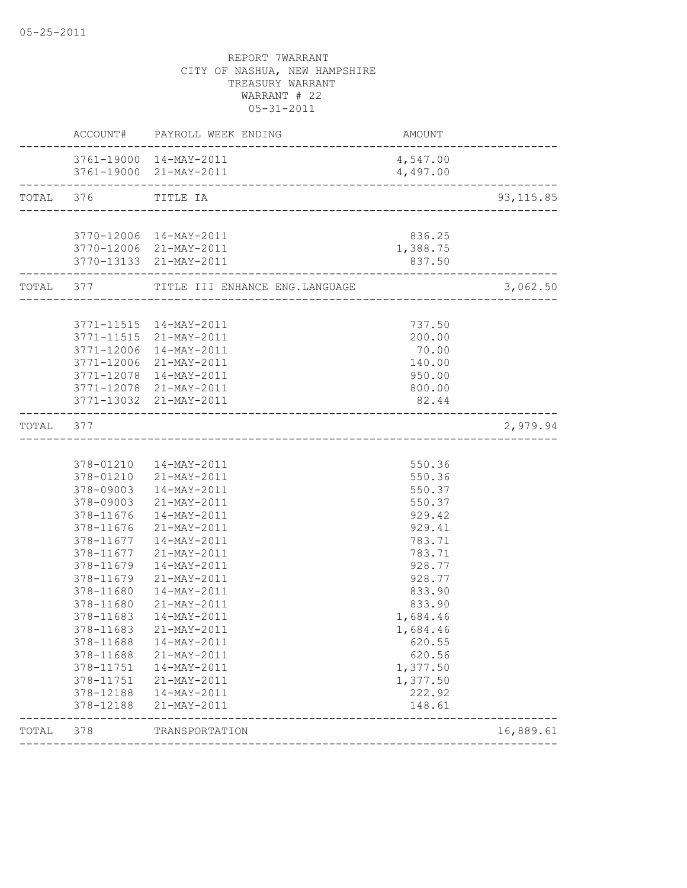|           |                                 | ACCOUNT# PAYROLL WEEK ENDING                                         | AMOUNT             |            |
|-----------|---------------------------------|----------------------------------------------------------------------|--------------------|------------|
|           |                                 | 3761-19000 14-MAY-2011                                               | 4,547.00           |            |
|           |                                 | 3761-19000 21-MAY-2011<br>______________________________________     | 4,497.00           |            |
| TOTAL 376 |                                 | TITLE IA                                                             |                    | 93, 115.85 |
|           |                                 |                                                                      |                    |            |
|           |                                 | 3770-12006 14-MAY-2011                                               | 836.25             |            |
|           |                                 | 3770-12006 21-MAY-2011<br>3770-13133 21-MAY-2011                     | 1,388.75<br>837.50 |            |
|           | . _ _ _ _ _ _ _ _ _ _ _ _ _ _ _ | ------------------------<br>TOTAL 377 TITLE III ENHANCE ENG.LANGUAGE |                    | 3,062.50   |
|           |                                 |                                                                      |                    |            |
|           |                                 | 3771-11515  14-MAY-2011                                              | 737.50             |            |
|           |                                 | 3771-11515 21-MAY-2011                                               | 200.00             |            |
|           | 3771-12006                      | 14-MAY-2011                                                          | 70.00              |            |
|           |                                 | 3771-12006 21-MAY-2011                                               | 140.00             |            |
|           |                                 | 3771-12078 14-MAY-2011                                               | 950.00             |            |
|           |                                 | 3771-12078 21-MAY-2011                                               | 800.00             |            |
|           |                                 | 3771-13032 21-MAY-2011<br>_________________________                  | 82.44              |            |
| TOTAL 377 |                                 |                                                                      |                    | 2,979.94   |
|           |                                 |                                                                      |                    |            |
|           |                                 | 378-01210  14-MAY-2011                                               | 550.36             |            |
|           |                                 | 378-01210 21-MAY-2011                                                | 550.36             |            |
|           |                                 | 378-09003  14-MAY-2011                                               | 550.37             |            |
|           |                                 | 378-09003 21-MAY-2011                                                | 550.37             |            |
|           |                                 | 378-11676  14-MAY-2011                                               | 929.42             |            |
|           | 378-11676                       | 21-MAY-2011                                                          | 929.41             |            |
|           | 378-11677                       | 14-MAY-2011                                                          | 783.71             |            |
|           | 378-11677                       | 21-MAY-2011                                                          | 783.71             |            |
|           | 378-11679                       | 14-MAY-2011                                                          | 928.77             |            |
|           | 378-11679                       | 21-MAY-2011                                                          | 928.77             |            |
|           | 378-11680                       | 14-MAY-2011                                                          | 833.90             |            |
|           | 378-11680                       | 21-MAY-2011                                                          | 833.90             |            |
|           | 378-11683                       | 14-MAY-2011                                                          | 1,684.46           |            |
|           | 378-11683                       | 21-MAY-2011                                                          | 1,684.46           |            |
|           | 378-11688                       | 14-MAY-2011                                                          | 620.55             |            |
|           | 378-11688                       | 21-MAY-2011                                                          | 620.56             |            |
|           | 378-11751                       | 14-MAY-2011                                                          | 1,377.50           |            |
|           | 378-11751                       | 21-MAY-2011                                                          | 1,377.50           |            |
|           | 378-12188                       | 14-MAY-2011                                                          | 222.92             |            |
|           | 378-12188                       | 21-MAY-2011                                                          | 148.61             |            |
| TOTAL     |                                 |                                                                      |                    |            |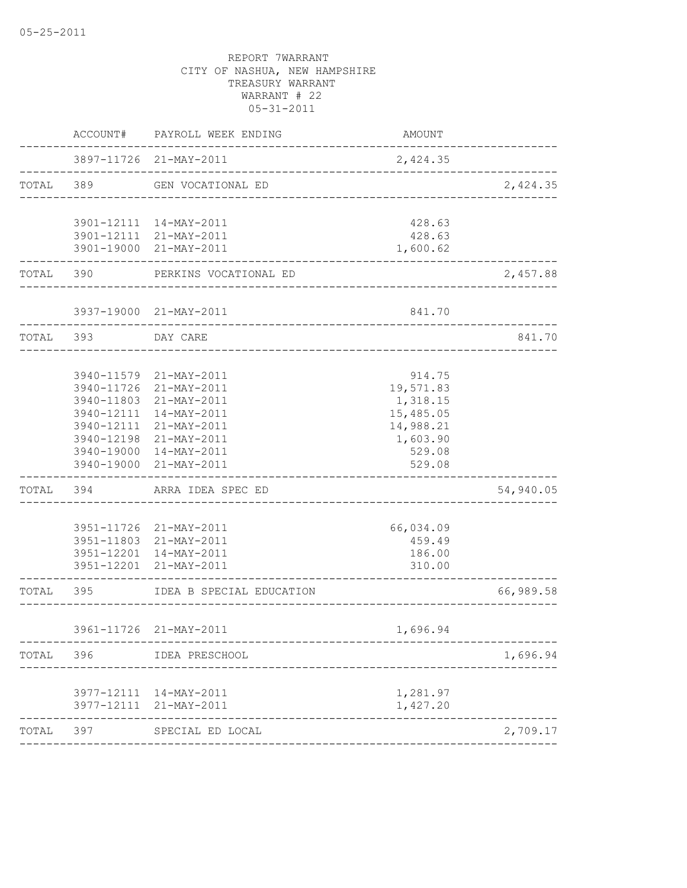|           | ACCOUNT#   | PAYROLL WEEK ENDING                                   | AMOUNT                 |           |
|-----------|------------|-------------------------------------------------------|------------------------|-----------|
|           |            | 3897-11726 21-MAY-2011<br>--------------------------- | 2,424.35               |           |
| TOTAL 389 |            | GEN VOCATIONAL ED                                     |                        | 2,424.35  |
|           |            |                                                       |                        |           |
|           |            | 3901-12111 14-MAY-2011<br>3901-12111 21-MAY-2011      | 428.63<br>428.63       |           |
|           |            | 3901-19000 21-MAY-2011                                | 1,600.62               |           |
| TOTAL     | 390        | PERKINS VOCATIONAL ED                                 |                        | 2,457.88  |
|           |            | 3937-19000 21-MAY-2011                                | 841.70                 |           |
| TOTAL 393 |            | -------------------------<br>DAY CARE                 |                        | 841.70    |
|           |            |                                                       |                        |           |
|           |            | 3940-11579 21-MAY-2011                                | 914.75                 |           |
|           | 3940-11726 | 21-MAY-2011                                           | 19,571.83              |           |
|           | 3940-12111 | 3940-11803 21-MAY-2011<br>$14 - MAX - 2011$           | 1,318.15               |           |
|           |            | 3940-12111 21-MAY-2011                                | 15,485.05<br>14,988.21 |           |
|           |            | 3940-12198 21-MAY-2011                                | 1,603.90               |           |
|           |            | 3940-19000 14-MAY-2011                                | 529.08                 |           |
|           |            | 3940-19000 21-MAY-2011                                | 529.08                 |           |
| TOTAL     | 394        | ARRA IDEA SPEC ED                                     |                        | 54,940.05 |
|           |            | 3951-11726 21-MAY-2011                                | 66,034.09              |           |
|           |            | 3951-11803 21-MAY-2011                                | 459.49                 |           |
|           |            | 3951-12201 14-MAY-2011                                | 186.00                 |           |
|           |            | 3951-12201 21-MAY-2011                                | 310.00                 |           |
| TOTAL     | 395        | IDEA B SPECIAL EDUCATION                              |                        | 66,989.58 |
|           |            | 3961-11726 21-MAY-2011                                | 1,696.94               |           |
|           |            | TOTAL 396 IDEA PRESCHOOL                              |                        | 1,696.94  |
|           |            |                                                       |                        |           |
|           |            | 3977-12111 14-MAY-2011                                | 1,281.97               |           |
|           |            | 3977-12111 21-MAY-2011<br>---------------------       | 1,427.20               |           |
| TOTAL 397 |            | SPECIAL ED LOCAL                                      |                        | 2,709.17  |
|           |            |                                                       |                        |           |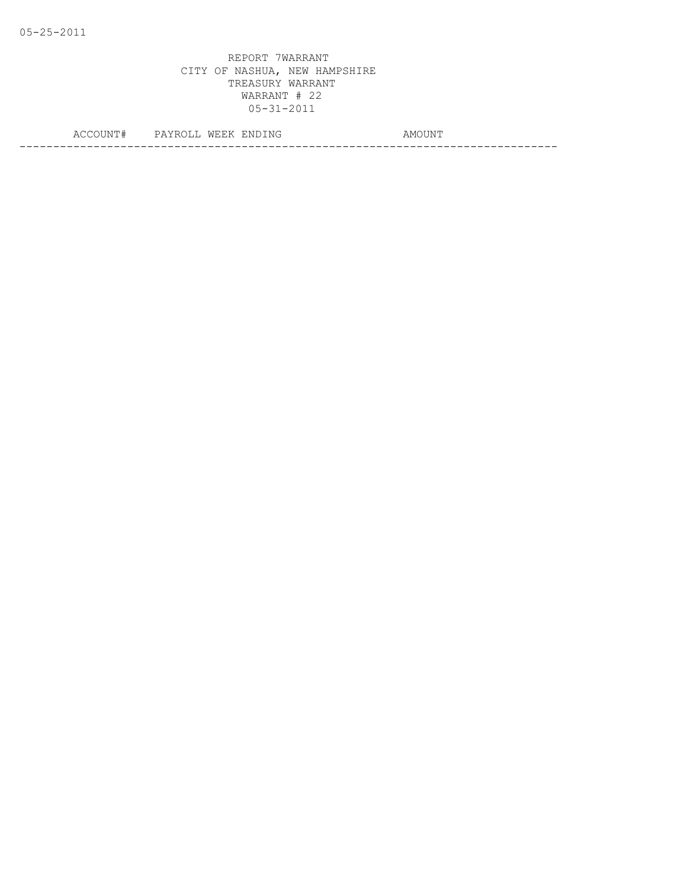| . . | , ,<br>◡ | IN H<br>۰k<br>. | 'NI<br>IN O | IVI G<br>N                     |
|-----|----------|-----------------|-------------|--------------------------------|
|     |          |                 |             | ---------------------<br>_ _ _ |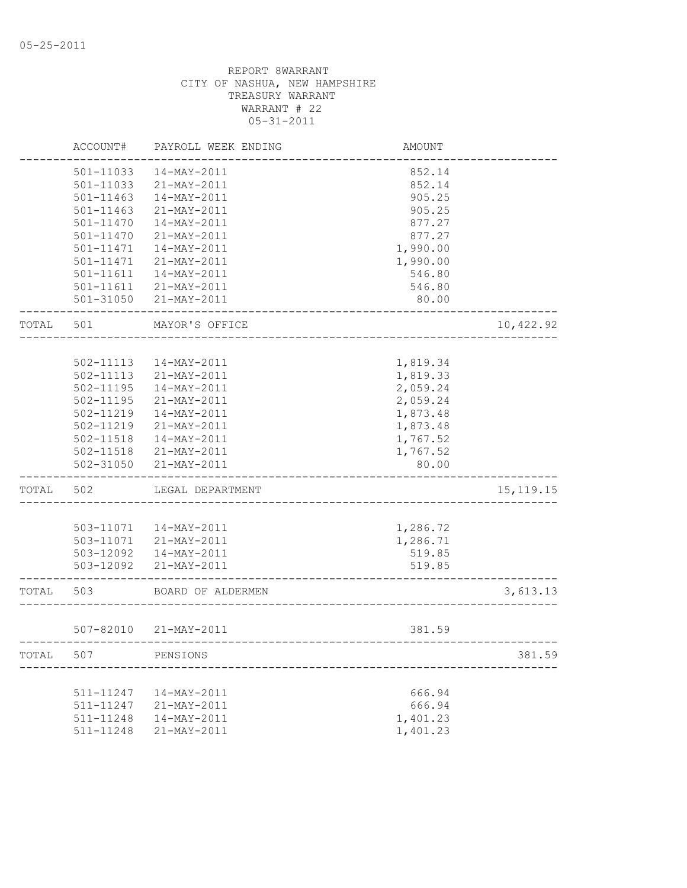|       | ACCOUNT#      | PAYROLL WEEK ENDING    | <b>AMOUNT</b> |             |
|-------|---------------|------------------------|---------------|-------------|
|       | 501-11033     | 14-MAY-2011            | 852.14        |             |
|       | 501-11033     | 21-MAY-2011            | 852.14        |             |
|       | $501 - 11463$ | 14-MAY-2011            | 905.25        |             |
|       | $501 - 11463$ | 21-MAY-2011            | 905.25        |             |
|       | 501-11470     | $14 - MAX - 2011$      | 877.27        |             |
|       | 501-11470     | 21-MAY-2011            | 877.27        |             |
|       | 501-11471     | 14-MAY-2011            | 1,990.00      |             |
|       | 501-11471     | 21-MAY-2011            | 1,990.00      |             |
|       | $501 - 11611$ | $14 - MAX - 2011$      | 546.80        |             |
|       | 501-11611     | 21-MAY-2011            | 546.80        |             |
|       |               | 501-31050 21-MAY-2011  | 80.00         |             |
| TOTAL | 501           | MAYOR'S OFFICE         |               | 10,422.92   |
|       |               |                        |               |             |
|       | 502-11113     | 14-MAY-2011            | 1,819.34      |             |
|       | $502 - 11113$ | 21-MAY-2011            | 1,819.33      |             |
|       | $502 - 11195$ | $14 - MAX - 2011$      | 2,059.24      |             |
|       | $502 - 11195$ | 21-MAY-2011            | 2,059.24      |             |
|       | 502-11219     | 14-MAY-2011            | 1,873.48      |             |
|       | 502-11219     | 21-MAY-2011            | 1,873.48      |             |
|       | $502 - 11518$ | 14-MAY-2011            | 1,767.52      |             |
|       | 502-11518     | 21-MAY-2011            | 1,767.52      |             |
|       | 502-31050     | 21-MAY-2011            | 80.00         |             |
| TOTAL | 502           | LEGAL DEPARTMENT       |               | 15, 119. 15 |
|       |               |                        |               |             |
|       |               | 503-11071  14-MAY-2011 | 1,286.72      |             |
|       | 503-11071     | 21-MAY-2011            | 1,286.71      |             |
|       | 503-12092     | 14-MAY-2011            | 519.85        |             |
|       | 503-12092     | 21-MAY-2011            | 519.85        |             |
| TOTAL | 503           | BOARD OF ALDERMEN      |               | 3,613.13    |
|       |               | 507-82010 21-MAY-2011  | 381.59        |             |
| TOTAL | 507           | PENSIONS               |               | 381.59      |
|       |               |                        |               |             |
|       | 511-11247     | 14-MAY-2011            | 666.94        |             |
|       | 511-11247     | 21-MAY-2011            | 666.94        |             |
|       | 511-11248     | 14-MAY-2011            | 1,401.23      |             |
|       | 511-11248     | 21-MAY-2011            | 1,401.23      |             |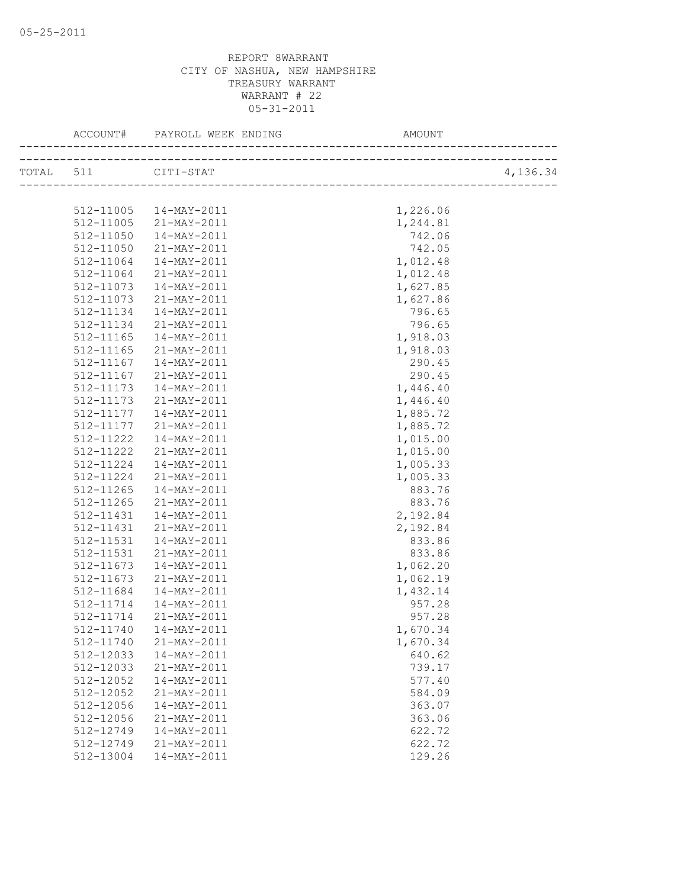| TOTAL 511 CITI-STAT |                          |          | 4,136.34 |
|---------------------|--------------------------|----------|----------|
|                     |                          |          |          |
|                     | 512-11005 14-MAY-2011    | 1,226.06 |          |
|                     | 512-11005 21-MAY-2011    | 1,244.81 |          |
| 512-11050           | 14-MAY-2011              | 742.06   |          |
| 512-11050           | $21 - \text{MAX} - 2011$ | 742.05   |          |
| 512-11064           | $14 - \text{MAX} - 2011$ | 1,012.48 |          |
| 512-11064           | 21-MAY-2011              | 1,012.48 |          |
| 512-11073           | 14-MAY-2011              | 1,627.85 |          |
| 512-11073           | 21-MAY-2011              | 1,627.86 |          |
| 512-11134           | $14 - \text{MAX} - 2011$ | 796.65   |          |
| 512-11134           | 21-MAY-2011              | 796.65   |          |
| 512-11165           | 14-MAY-2011              | 1,918.03 |          |
| 512-11165           | 21-MAY-2011              | 1,918.03 |          |
| 512-11167           | $14 - \text{MAX} - 2011$ | 290.45   |          |
| 512-11167           | 21-MAY-2011              | 290.45   |          |
| 512-11173           | 14-MAY-2011              | 1,446.40 |          |
| 512-11173           | 21-MAY-2011              | 1,446.40 |          |
| 512-11177           | 14-MAY-2011              | 1,885.72 |          |
| 512-11177           | 21-MAY-2011              | 1,885.72 |          |
| 512-11222           | 14-MAY-2011              | 1,015.00 |          |
| 512-11222           | 21-MAY-2011              | 1,015.00 |          |
| 512-11224           | 14-MAY-2011              | 1,005.33 |          |
| 512-11224           | 21-MAY-2011              | 1,005.33 |          |
| 512-11265           | 14-MAY-2011              | 883.76   |          |
| 512-11265           | 21-MAY-2011              | 883.76   |          |
| 512-11431           | 14-MAY-2011              | 2,192.84 |          |
| 512-11431           | 21-MAY-2011              | 2,192.84 |          |
| 512-11531           | 14-MAY-2011              | 833.86   |          |
| 512-11531           | 21-MAY-2011              | 833.86   |          |
| 512-11673           | 14-MAY-2011              | 1,062.20 |          |
| 512-11673           | 21-MAY-2011              | 1,062.19 |          |
| 512-11684           | 14-MAY-2011              | 1,432.14 |          |
| 512-11714           | 14-MAY-2011              | 957.28   |          |
| 512-11714           | 21-MAY-2011              | 957.28   |          |
| 512-11740           | $14 - MAX - 2011$        | 1,670.34 |          |
| 512-11740           | 21-MAY-2011              | 1,670.34 |          |
| 512-12033           | 14-MAY-2011              | 640.62   |          |
| 512-12033           | 21-MAY-2011              | 739.17   |          |
| 512-12052           | 14-MAY-2011              | 577.40   |          |
| 512-12052           | 21-MAY-2011              | 584.09   |          |
| 512-12056           | 14-MAY-2011              | 363.07   |          |
| 512-12056           | 21-MAY-2011              | 363.06   |          |
| 512-12749           | 14-MAY-2011              | 622.72   |          |
| 512-12749           | 21-MAY-2011              | 622.72   |          |
| 512-13004           | 14-MAY-2011              | 129.26   |          |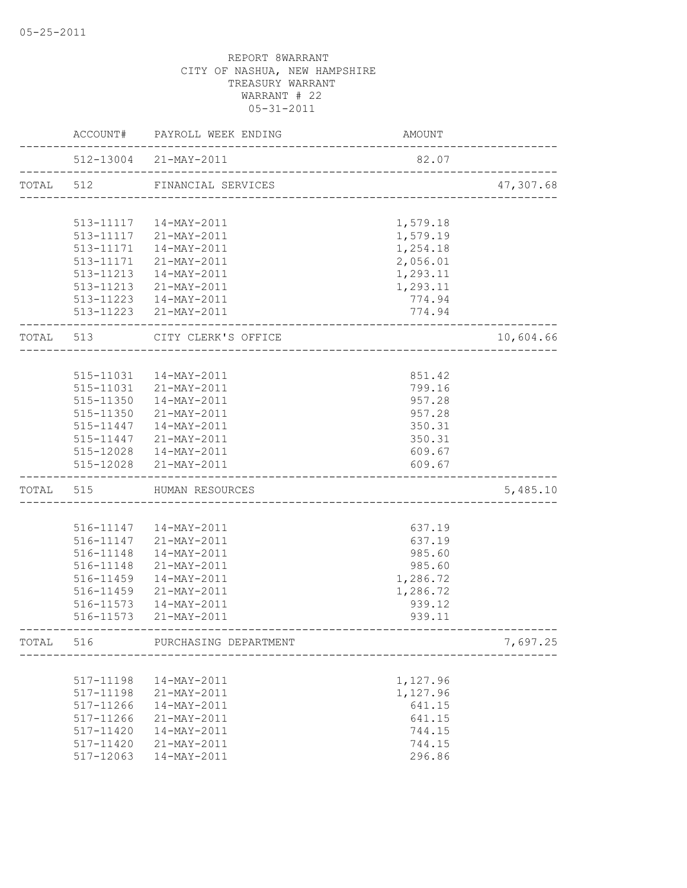|           | ACCOUNT#  | PAYROLL WEEK ENDING                                    | AMOUNT                   |           |
|-----------|-----------|--------------------------------------------------------|--------------------------|-----------|
|           |           | 512-13004 21-MAY-2011<br>_____________________________ | 82.07                    |           |
| TOTAL     | 512       | FINANCIAL SERVICES                                     | ________________________ | 47,307.68 |
|           |           |                                                        |                          |           |
|           |           | 513-11117  14-MAY-2011                                 | 1,579.18                 |           |
|           |           | 513-11117 21-MAY-2011                                  | 1,579.19                 |           |
|           | 513-11171 | 14-MAY-2011                                            | 1,254.18                 |           |
|           | 513-11171 | 21-MAY-2011                                            | 2,056.01                 |           |
|           | 513-11213 | 14-MAY-2011                                            | 1,293.11                 |           |
|           |           | 513-11213 21-MAY-2011                                  | 1,293.11                 |           |
|           |           | 513-11223  14-MAY-2011                                 | 774.94                   |           |
|           |           | 513-11223 21-MAY-2011                                  | 774.94                   |           |
| TOTAL 513 |           | CITY CLERK'S OFFICE                                    |                          | 10,604.66 |
|           |           |                                                        |                          |           |
|           | 515-11031 | 14-MAY-2011                                            | 851.42                   |           |
|           | 515-11031 | 21-MAY-2011                                            | 799.16                   |           |
|           | 515-11350 | 14-MAY-2011                                            | 957.28                   |           |
|           |           | 515-11350 21-MAY-2011                                  | 957.28                   |           |
|           |           | 515-11447  14-MAY-2011                                 | 350.31                   |           |
|           |           | 515-11447 21-MAY-2011                                  | 350.31                   |           |
|           |           | 515-12028  14-MAY-2011                                 | 609.67                   |           |
|           |           | 515-12028 21-MAY-2011                                  | 609.67                   |           |
| TOTAL     | 515       | HUMAN RESOURCES                                        |                          | 5,485.10  |
|           |           |                                                        |                          |           |
|           |           | 516-11147  14-MAY-2011                                 | 637.19                   |           |
|           |           | 516-11147 21-MAY-2011                                  | 637.19                   |           |
|           | 516-11148 | 14-MAY-2011                                            | 985.60                   |           |
|           | 516-11148 | 21-MAY-2011                                            | 985.60                   |           |
|           | 516-11459 | $14 - \text{MAX} - 2011$                               | 1,286.72                 |           |
|           | 516-11459 | 21-MAY-2011                                            | 1,286.72                 |           |
|           | 516-11573 | 14-MAY-2011                                            | 939.12                   |           |
|           | 516-11573 | 21-MAY-2011                                            | 939.11                   |           |
| TOTAL     | 516       | PURCHASING DEPARTMENT                                  |                          | 7,697.25  |
|           |           |                                                        |                          |           |
|           | 517-11198 | 14-MAY-2011                                            | 1,127.96                 |           |
|           | 517-11198 | 21-MAY-2011                                            | 1,127.96                 |           |
|           | 517-11266 | 14-MAY-2011                                            | 641.15                   |           |
|           | 517-11266 | 21-MAY-2011                                            | 641.15                   |           |
|           | 517-11420 | 14-MAY-2011                                            | 744.15                   |           |
|           | 517-11420 | 21-MAY-2011                                            | 744.15                   |           |
|           | 517-12063 | 14-MAY-2011                                            | 296.86                   |           |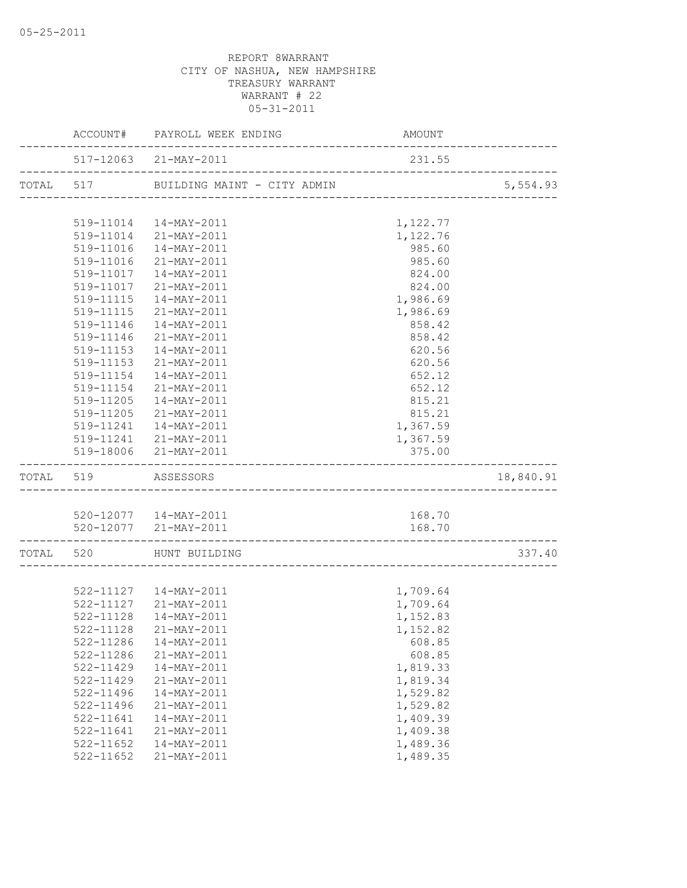|                     | ACCOUNT# PAYROLL WEEK ENDING                    | AMOUNT               |           |
|---------------------|-------------------------------------------------|----------------------|-----------|
|                     | 517-12063 21-MAY-2011                           | 231.55               |           |
|                     |                                                 |                      |           |
|                     |                                                 |                      |           |
|                     | 519-11014  14-MAY-2011                          | 1,122.77             |           |
|                     | 519-11014 21-MAY-2011                           | 1,122.76             |           |
|                     | 519-11016 14-MAY-2011                           | 985.60               |           |
|                     | 519-11016 21-MAY-2011                           | 985.60               |           |
|                     | 519-11017  14-MAY-2011                          | 824.00               |           |
|                     | 519-11017 21-MAY-2011                           | 824.00               |           |
|                     | 519-11115  14-MAY-2011                          | 1,986.69             |           |
|                     | 519-11115 21-MAY-2011                           | 1,986.69             |           |
|                     | 519-11146  14-MAY-2011                          | 858.42               |           |
|                     | 519-11146 21-MAY-2011                           | 858.42               |           |
|                     | 519-11153  14-MAY-2011                          | 620.56               |           |
|                     | 519-11153 21-MAY-2011                           | 620.56               |           |
| 519-11154           | 14-MAY-2011                                     | 652.12               |           |
| 519-11154           | 21-MAY-2011                                     | 652.12               |           |
| 519-11205           | 14-MAY-2011<br>519-11205 21-MAY-2011            | 815.21               |           |
|                     |                                                 | 815.21               |           |
|                     | 519-11241  14-MAY-2011<br>519-11241 21-MAY-2011 | 1,367.59<br>1,367.59 |           |
|                     | 519-18006 21-MAY-2011                           | 375.00               |           |
| TOTAL 519 ASSESSORS |                                                 |                      | 18,840.91 |
|                     |                                                 |                      |           |
|                     | 520-12077  14-MAY-2011                          | 168.70               |           |
| __________________  | 520-12077 21-MAY-2011                           | 168.70               |           |
|                     | TOTAL 520 HUNT BUILDING                         |                      | 337.40    |
|                     |                                                 |                      |           |
|                     | 522-11127  14-MAY-2011                          | 1,709.64             |           |
|                     | 522-11127 21-MAY-2011                           | 1,709.64             |           |
| $522 - 11128$       | 14-MAY-2011                                     | 1,152.83             |           |
|                     | 522-11128 21-MAY-2011                           | 1,152.82             |           |
| 522-11286           | $14 - MAX - 2011$                               | 608.85               |           |
| 522-11286           | 21-MAY-2011                                     | 608.85               |           |
| 522-11429           | 14-MAY-2011                                     | 1,819.33             |           |
| 522-11429           | 21-MAY-2011                                     | 1,819.34             |           |
| 522-11496           | $14 - MAX - 2011$                               | 1,529.82             |           |
| 522-11496           | 21-MAY-2011                                     | 1,529.82             |           |
| 522-11641           | 14-MAY-2011                                     | 1,409.39             |           |
| 522-11641           | 21-MAY-2011                                     | 1,409.38             |           |
| $522 - 11652$       | 14-MAY-2011                                     | 1,489.36             |           |
| $522 - 11652$       | 21-MAY-2011                                     | 1,489.35             |           |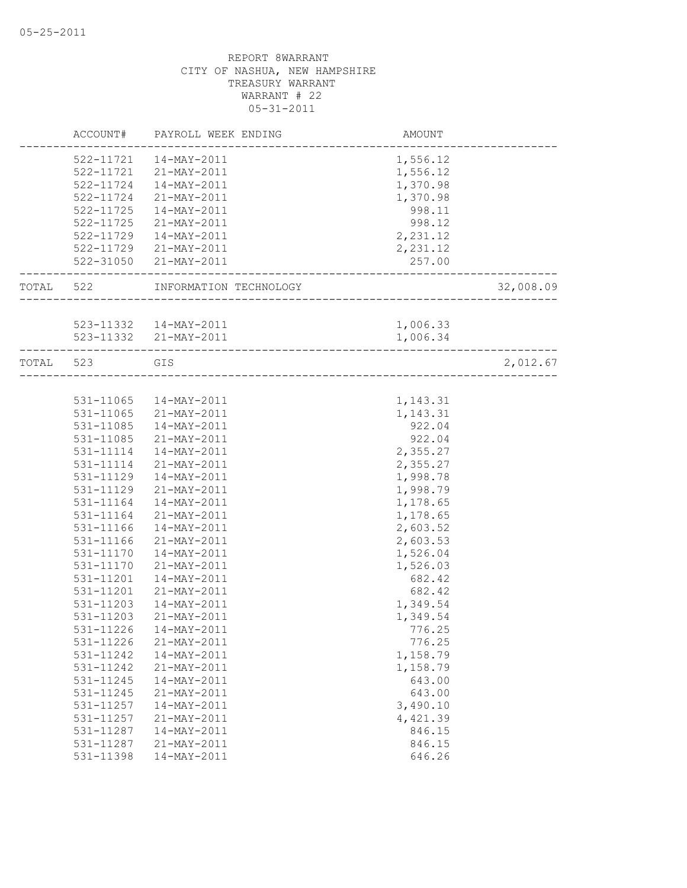|           |           | ACCOUNT# PAYROLL WEEK ENDING | AMOUNT                                       |           |
|-----------|-----------|------------------------------|----------------------------------------------|-----------|
|           |           | 522-11721  14-MAY-2011       | 1,556.12                                     |           |
|           |           | 522-11721 21-MAY-2011        | 1,556.12                                     |           |
|           |           | 522-11724  14-MAY-2011       | 1,370.98                                     |           |
|           |           | 522-11724 21-MAY-2011        | 1,370.98                                     |           |
|           |           | 522-11725  14-MAY-2011       | 998.11                                       |           |
|           |           | 522-11725 21-MAY-2011        | 998.12                                       |           |
|           |           | 522-11729  14-MAY-2011       | 2,231.12                                     |           |
|           |           | 522-11729 21-MAY-2011        | 2,231.12                                     |           |
|           |           | 522-31050 21-MAY-2011        | 257.00                                       |           |
| TOTAL 522 |           | INFORMATION TECHNOLOGY       | ----------------------<br>__________________ | 32,008.09 |
|           |           |                              |                                              |           |
|           |           | 523-11332  14-MAY-2011       | 1,006.33                                     |           |
|           |           | 523-11332 21-MAY-2011        | 1,006.34                                     |           |
|           | TOTAL 523 | GIS                          |                                              | 2,012.67  |
|           |           |                              |                                              |           |
|           |           | 531-11065  14-MAY-2011       | 1,143.31                                     |           |
|           |           | 531-11065 21-MAY-2011        | 1,143.31                                     |           |
|           |           | 531-11085  14-MAY-2011       | 922.04                                       |           |
|           | 531-11085 | 21-MAY-2011                  | 922.04                                       |           |
|           | 531-11114 | 14-MAY-2011                  | 2,355.27                                     |           |
|           | 531-11114 | 21-MAY-2011                  | 2,355.27                                     |           |
|           | 531-11129 | 14-MAY-2011                  | 1,998.78                                     |           |
|           | 531-11129 | 21-MAY-2011                  | 1,998.79                                     |           |
|           | 531-11164 | 14-MAY-2011                  | 1,178.65                                     |           |
|           | 531-11164 | 21-MAY-2011                  | 1,178.65                                     |           |
|           | 531-11166 | 14-MAY-2011                  | 2,603.52                                     |           |
|           | 531-11166 | 21-MAY-2011                  | 2,603.53                                     |           |
|           | 531-11170 | 14-MAY-2011                  | 1,526.04                                     |           |
|           | 531-11170 | 21-MAY-2011                  | 1,526.03                                     |           |
|           | 531-11201 | 14-MAY-2011                  | 682.42                                       |           |
|           | 531-11201 | 21-MAY-2011                  | 682.42                                       |           |
|           | 531-11203 | 14-MAY-2011                  | 1,349.54                                     |           |
|           | 531-11203 | 21-MAY-2011                  | 1,349.54                                     |           |
|           | 531-11226 | 14-MAY-2011                  | 776.25                                       |           |
|           | 531-11226 | 21-MAY-2011                  | 776.25                                       |           |
|           | 531-11242 | 14-MAY-2011                  | 1,158.79                                     |           |
|           | 531-11242 | 21-MAY-2011                  | 1,158.79                                     |           |
|           | 531-11245 | 14-MAY-2011                  | 643.00                                       |           |
|           | 531-11245 | 21-MAY-2011                  | 643.00                                       |           |
|           | 531-11257 | $14 - MAX - 2011$            | 3,490.10                                     |           |
|           | 531-11257 | 21-MAY-2011                  | 4,421.39                                     |           |
|           | 531-11287 | $14 - MAY - 2011$            | 846.15                                       |           |
|           | 531-11287 | 21-MAY-2011                  | 846.15                                       |           |
|           | 531-11398 | 14-MAY-2011                  | 646.26                                       |           |
|           |           |                              |                                              |           |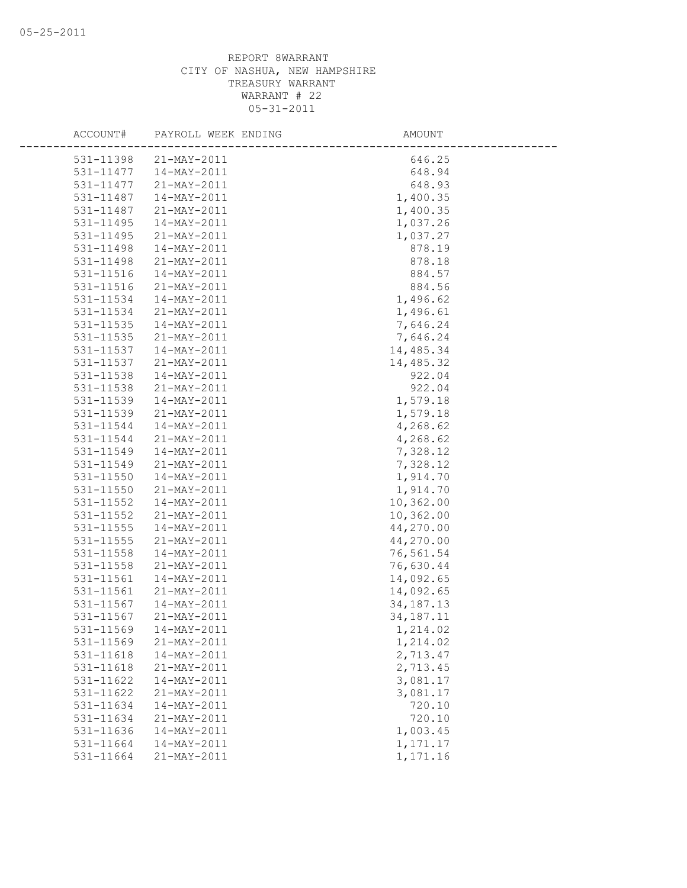| ACCOUNT#  | PAYROLL WEEK ENDING | AMOUNT      |
|-----------|---------------------|-------------|
| 531-11398 | 21-MAY-2011         | 646.25      |
| 531-11477 | 14-MAY-2011         | 648.94      |
| 531-11477 | 21-MAY-2011         | 648.93      |
| 531-11487 | 14-MAY-2011         | 1,400.35    |
| 531-11487 | 21-MAY-2011         | 1,400.35    |
| 531-11495 | 14-MAY-2011         | 1,037.26    |
| 531-11495 | 21-MAY-2011         | 1,037.27    |
| 531-11498 | 14-MAY-2011         | 878.19      |
| 531-11498 | 21-MAY-2011         | 878.18      |
| 531-11516 | $14 - MAX - 2011$   | 884.57      |
| 531-11516 | 21-MAY-2011         | 884.56      |
| 531-11534 | 14-MAY-2011         | 1,496.62    |
| 531-11534 | 21-MAY-2011         | 1,496.61    |
| 531-11535 | 14-MAY-2011         | 7,646.24    |
| 531-11535 | 21-MAY-2011         | 7,646.24    |
| 531-11537 | 14-MAY-2011         | 14,485.34   |
| 531-11537 | 21-MAY-2011         | 14,485.32   |
| 531-11538 | 14-MAY-2011         | 922.04      |
| 531-11538 | 21-MAY-2011         | 922.04      |
| 531-11539 | 14-MAY-2011         | 1,579.18    |
| 531-11539 | 21-MAY-2011         | 1,579.18    |
| 531-11544 | 14-MAY-2011         | 4,268.62    |
| 531-11544 | 21-MAY-2011         | 4,268.62    |
| 531-11549 | 14-MAY-2011         | 7,328.12    |
| 531-11549 | 21-MAY-2011         | 7,328.12    |
| 531-11550 | 14-MAY-2011         | 1,914.70    |
| 531-11550 | 21-MAY-2011         | 1,914.70    |
| 531-11552 | $14 - MAY - 2011$   | 10,362.00   |
| 531-11552 | 21-MAY-2011         | 10,362.00   |
| 531-11555 | 14-MAY-2011         | 44,270.00   |
| 531-11555 | 21-MAY-2011         | 44,270.00   |
| 531-11558 | 14-MAY-2011         | 76,561.54   |
| 531-11558 | 21-MAY-2011         | 76,630.44   |
| 531-11561 | $14 - MAX - 2011$   | 14,092.65   |
| 531-11561 | 21-MAY-2011         | 14,092.65   |
| 531-11567 | $14 - MAX - 2011$   | 34, 187. 13 |
| 531-11567 | 21-MAY-2011         | 34, 187. 11 |
| 531-11569 | $14 - MAY - 2011$   | 1,214.02    |
| 531-11569 | 21-MAY-2011         | 1,214.02    |
| 531-11618 | 14-MAY-2011         | 2,713.47    |
| 531-11618 | 21-MAY-2011         | 2,713.45    |
| 531-11622 | 14-MAY-2011         | 3,081.17    |
| 531-11622 | 21-MAY-2011         | 3,081.17    |
| 531-11634 | 14-MAY-2011         | 720.10      |
| 531-11634 | 21-MAY-2011         | 720.10      |
| 531-11636 | 14-MAY-2011         | 1,003.45    |
| 531-11664 | 14-MAY-2011         | 1,171.17    |
| 531-11664 | 21-MAY-2011         | 1,171.16    |
|           |                     |             |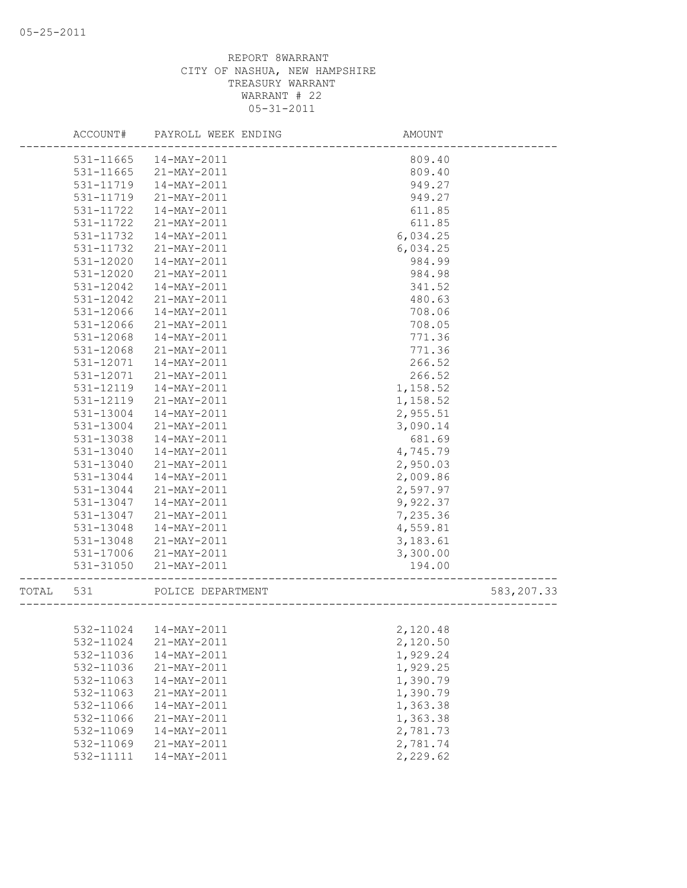|       | ACCOUNT#  | PAYROLL WEEK ENDING    | AMOUNT   |             |
|-------|-----------|------------------------|----------|-------------|
|       | 531-11665 | 14-MAY-2011            | 809.40   |             |
|       | 531-11665 | 21-MAY-2011            | 809.40   |             |
|       | 531-11719 | $14 - MAX - 2011$      | 949.27   |             |
|       | 531-11719 | 21-MAY-2011            | 949.27   |             |
|       | 531-11722 | 14-MAY-2011            | 611.85   |             |
|       | 531-11722 | 21-MAY-2011            | 611.85   |             |
|       | 531-11732 | 14-MAY-2011            | 6,034.25 |             |
|       | 531-11732 | 21-MAY-2011            | 6,034.25 |             |
|       | 531-12020 | 14-MAY-2011            | 984.99   |             |
|       | 531-12020 | 21-MAY-2011            | 984.98   |             |
|       | 531-12042 | $14 - MAX - 2011$      | 341.52   |             |
|       | 531-12042 | 21-MAY-2011            | 480.63   |             |
|       | 531-12066 | 14-MAY-2011            | 708.06   |             |
|       | 531-12066 | 21-MAY-2011            | 708.05   |             |
|       | 531-12068 | 14-MAY-2011            | 771.36   |             |
|       | 531-12068 | 21-MAY-2011            | 771.36   |             |
|       | 531-12071 | 14-MAY-2011            | 266.52   |             |
|       | 531-12071 | 21-MAY-2011            | 266.52   |             |
|       | 531-12119 | 14-MAY-2011            | 1,158.52 |             |
|       | 531-12119 | 21-MAY-2011            | 1,158.52 |             |
|       | 531-13004 | 14-MAY-2011            | 2,955.51 |             |
|       | 531-13004 | 21-MAY-2011            | 3,090.14 |             |
|       | 531-13038 | 14-MAY-2011            | 681.69   |             |
|       | 531-13040 | $14 - MAX - 2011$      | 4,745.79 |             |
|       | 531-13040 | 21-MAY-2011            | 2,950.03 |             |
|       | 531-13044 | 14-MAY-2011            | 2,009.86 |             |
|       | 531-13044 | 21-MAY-2011            | 2,597.97 |             |
|       | 531-13047 | $14 - MAX - 2011$      | 9,922.37 |             |
|       | 531-13047 | 21-MAY-2011            | 7,235.36 |             |
|       | 531-13048 | 14-MAY-2011            | 4,559.81 |             |
|       | 531-13048 | 21-MAY-2011            | 3,183.61 |             |
|       | 531-17006 | 21-MAY-2011            | 3,300.00 |             |
|       | 531-31050 | 21-MAY-2011            | 194.00   |             |
| TOTAL | 531       | POLICE DEPARTMENT      |          | 583, 207.33 |
|       |           |                        |          |             |
|       |           |                        |          |             |
|       |           | 532-11024  14-MAY-2011 | 2,120.48 |             |
|       | 532-11024 | 21-MAY-2011            | 2,120.50 |             |
|       | 532-11036 | $14 - MAX - 2011$      | 1,929.24 |             |
|       | 532-11036 | 21-MAY-2011            | 1,929.25 |             |
|       | 532-11063 | $14 - MAY - 2011$      | 1,390.79 |             |
|       | 532-11063 | 21-MAY-2011            | 1,390.79 |             |
|       | 532-11066 | 14-MAY-2011            | 1,363.38 |             |
|       | 532-11066 | 21-MAY-2011            | 1,363.38 |             |
|       | 532-11069 | 14-MAY-2011            | 2,781.73 |             |
|       | 532-11069 | 21-MAY-2011            | 2,781.74 |             |
|       | 532-11111 | 14-MAY-2011            | 2,229.62 |             |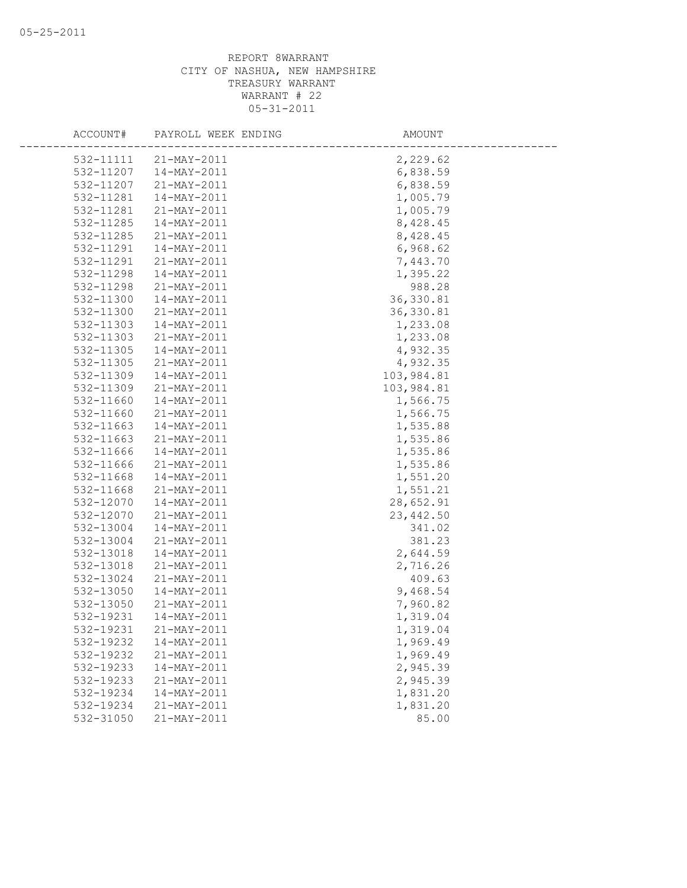| ACCOUNT#  | PAYROLL WEEK ENDING | AMOUNT     |
|-----------|---------------------|------------|
| 532-11111 | 21-MAY-2011         | 2,229.62   |
| 532-11207 | $14 - MAX - 2011$   | 6,838.59   |
| 532-11207 | 21-MAY-2011         | 6,838.59   |
| 532-11281 | 14-MAY-2011         | 1,005.79   |
| 532-11281 | 21-MAY-2011         | 1,005.79   |
| 532-11285 | 14-MAY-2011         | 8,428.45   |
| 532-11285 | 21-MAY-2011         | 8,428.45   |
| 532-11291 | 14-MAY-2011         | 6,968.62   |
| 532-11291 | 21-MAY-2011         | 7,443.70   |
| 532-11298 | 14-MAY-2011         | 1,395.22   |
| 532-11298 | 21-MAY-2011         | 988.28     |
| 532-11300 | 14-MAY-2011         | 36, 330.81 |
| 532-11300 | 21-MAY-2011         | 36, 330.81 |
| 532-11303 | 14-MAY-2011         | 1,233.08   |
| 532-11303 | 21-MAY-2011         | 1,233.08   |
| 532-11305 | 14-MAY-2011         | 4,932.35   |
| 532-11305 | 21-MAY-2011         | 4,932.35   |
| 532-11309 | 14-MAY-2011         | 103,984.81 |
| 532-11309 | 21-MAY-2011         | 103,984.81 |
| 532-11660 | 14-MAY-2011         | 1,566.75   |
| 532-11660 | 21-MAY-2011         | 1,566.75   |
| 532-11663 | 14-MAY-2011         | 1,535.88   |
| 532-11663 | 21-MAY-2011         | 1,535.86   |
| 532-11666 | 14-MAY-2011         | 1,535.86   |
| 532-11666 | 21-MAY-2011         | 1,535.86   |
| 532-11668 | 14-MAY-2011         | 1,551.20   |
| 532-11668 | 21-MAY-2011         | 1,551.21   |
| 532-12070 | 14-MAY-2011         | 28,652.91  |
| 532-12070 | 21-MAY-2011         | 23,442.50  |
| 532-13004 | $14 - MAX - 2011$   | 341.02     |
| 532-13004 | 21-MAY-2011         | 381.23     |
| 532-13018 | 14-MAY-2011         | 2,644.59   |
| 532-13018 | 21-MAY-2011         | 2,716.26   |
| 532-13024 | 21-MAY-2011         | 409.63     |
| 532-13050 | 14-MAY-2011         | 9,468.54   |
| 532-13050 | 21-MAY-2011         | 7,960.82   |
| 532-19231 | $14 - MAX - 2011$   | 1,319.04   |
| 532-19231 | 21-MAY-2011         | 1,319.04   |
| 532-19232 | 14-MAY-2011         | 1,969.49   |
| 532-19232 | 21-MAY-2011         | 1,969.49   |
| 532-19233 | 14-MAY-2011         | 2,945.39   |
| 532-19233 | 21-MAY-2011         | 2,945.39   |
| 532-19234 | 14-MAY-2011         | 1,831.20   |
| 532-19234 | 21-MAY-2011         | 1,831.20   |
| 532-31050 | 21-MAY-2011         | 85.00      |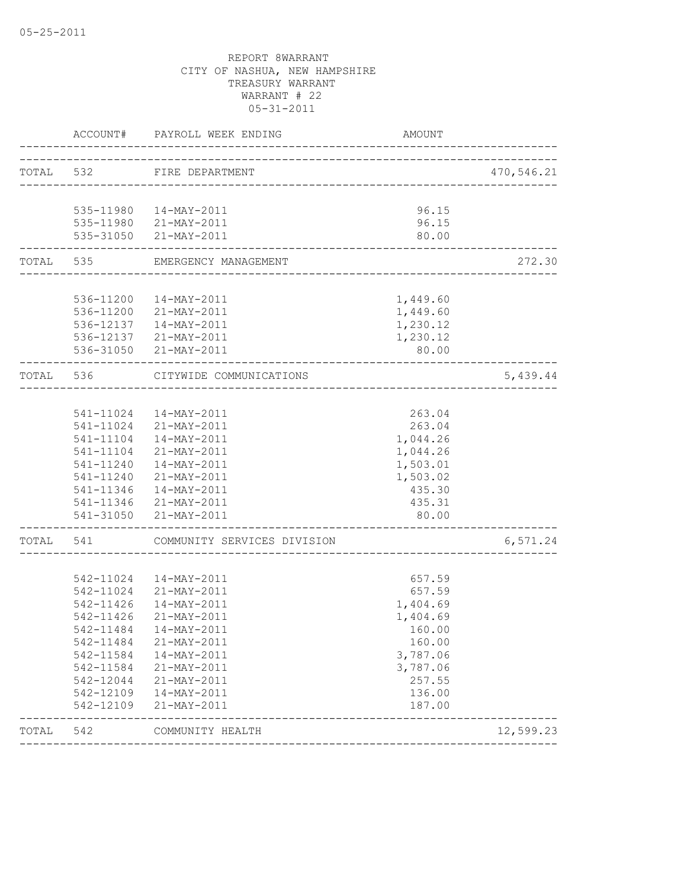|           |                | ACCOUNT# PAYROLL WEEK ENDING                             | AMOUNT   |            |
|-----------|----------------|----------------------------------------------------------|----------|------------|
| TOTAL 532 |                | FIRE DEPARTMENT                                          |          | 470,546.21 |
|           |                |                                                          |          |            |
|           |                | 535-11980  14-MAY-2011                                   | 96.15    |            |
|           |                | 535-11980 21-MAY-2011                                    | 96.15    |            |
|           | -------------- | 535-31050 21-MAY-2011                                    | 80.00    |            |
|           |                | TOTAL 535 EMERGENCY MANAGEMENT<br>______________________ |          | 272.30     |
|           |                |                                                          |          |            |
|           |                | 536-11200  14-MAY-2011                                   | 1,449.60 |            |
|           |                | 536-11200 21-MAY-2011                                    | 1,449.60 |            |
|           |                | 536-12137  14-MAY-2011                                   | 1,230.12 |            |
|           |                | 536-12137 21-MAY-2011                                    | 1,230.12 |            |
|           |                | 536-31050 21-MAY-2011                                    | 80.00    |            |
| TOTAL 536 |                | CITYWIDE COMMUNICATIONS<br>_______________________       |          | 5,439.44   |
|           |                |                                                          |          |            |
|           |                | 541-11024  14-MAY-2011                                   | 263.04   |            |
|           |                | 541-11024 21-MAY-2011                                    | 263.04   |            |
|           | 541-11104      | 14-MAY-2011                                              | 1,044.26 |            |
|           |                | 541-11104 21-MAY-2011                                    | 1,044.26 |            |
|           | 541-11240      | 14-MAY-2011                                              | 1,503.01 |            |
|           | 541-11240      | 21-MAY-2011                                              | 1,503.02 |            |
|           |                | 541-11346  14-MAY-2011                                   | 435.30   |            |
|           |                | 541-11346 21-MAY-2011                                    | 435.31   |            |
|           |                | 541-31050 21-MAY-2011                                    | 80.00    |            |
| TOTAL 541 |                | COMMUNITY SERVICES DIVISION                              |          | 6,571.24   |
|           |                |                                                          |          |            |
|           | 542-11024      | 14-MAY-2011                                              | 657.59   |            |
|           |                | 542-11024 21-MAY-2011                                    | 657.59   |            |
|           |                | 542-11426  14-MAY-2011                                   | 1,404.69 |            |
|           | 542-11426      | 21-MAY-2011                                              | 1,404.69 |            |
|           | 542-11484      | 14-MAY-2011                                              | 160.00   |            |
|           | 542-11484      | 21-MAY-2011                                              | 160.00   |            |
|           | 542-11584      | $14 - MAX - 2011$                                        | 3,787.06 |            |
|           | 542-11584      | 21-MAY-2011                                              | 3,787.06 |            |
|           | 542-12044      | 21-MAY-2011                                              | 257.55   |            |
|           | 542-12109      | 14-MAY-2011                                              | 136.00   |            |
|           | 542-12109      | 21-MAY-2011                                              | 187.00   |            |
| TOTAL     | 542            | COMMUNITY HEALTH                                         |          | 12,599.23  |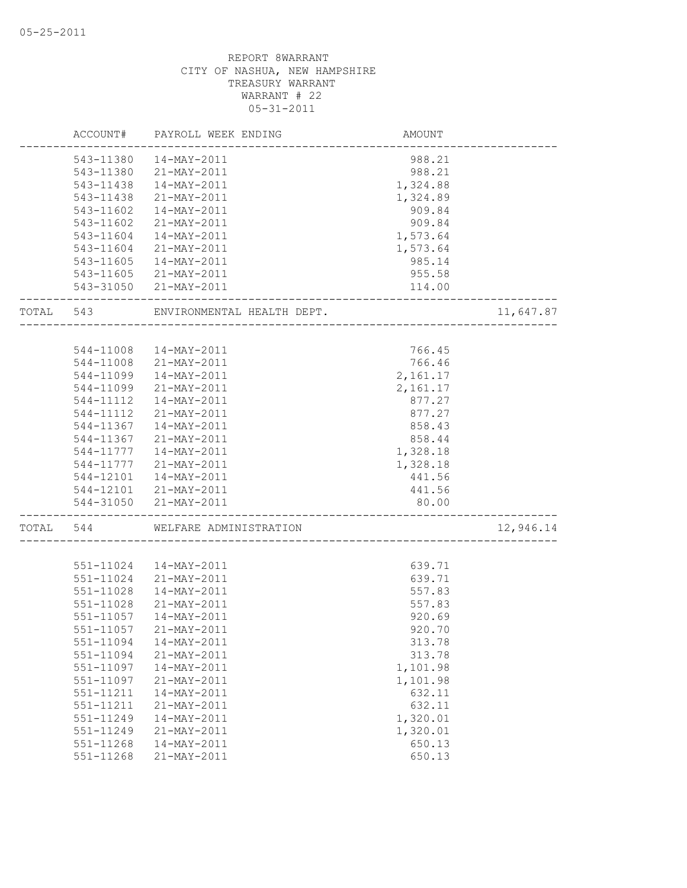|       | ACCOUNT#  | PAYROLL WEEK ENDING        | AMOUNT   |           |
|-------|-----------|----------------------------|----------|-----------|
|       | 543-11380 | 14-MAY-2011                | 988.21   |           |
|       | 543-11380 | 21-MAY-2011                | 988.21   |           |
|       | 543-11438 | 14-MAY-2011                | 1,324.88 |           |
|       | 543-11438 | 21-MAY-2011                | 1,324.89 |           |
|       | 543-11602 | 14-MAY-2011                | 909.84   |           |
|       | 543-11602 | 21-MAY-2011                | 909.84   |           |
|       | 543-11604 | 14-MAY-2011                | 1,573.64 |           |
|       | 543-11604 | 21-MAY-2011                | 1,573.64 |           |
|       | 543-11605 | 14-MAY-2011                | 985.14   |           |
|       |           | 543-11605 21-MAY-2011      | 955.58   |           |
|       |           | 543-31050 21-MAY-2011      | 114.00   |           |
| TOTAL | 543       | ENVIRONMENTAL HEALTH DEPT. |          | 11,647.87 |
|       |           |                            |          |           |
|       | 544-11008 | 14-MAY-2011                | 766.45   |           |
|       | 544-11008 | 21-MAY-2011                | 766.46   |           |
|       | 544-11099 | 14-MAY-2011                | 2,161.17 |           |
|       | 544-11099 | 21-MAY-2011                | 2,161.17 |           |
|       | 544-11112 | $14 - \text{MAX} - 2011$   | 877.27   |           |
|       | 544-11112 | 21-MAY-2011                | 877.27   |           |
|       | 544-11367 | 14-MAY-2011                | 858.43   |           |
|       | 544-11367 | 21-MAY-2011                | 858.44   |           |
|       | 544-11777 | 14-MAY-2011                | 1,328.18 |           |
|       | 544-11777 | 21-MAY-2011                | 1,328.18 |           |
|       | 544-12101 | 14-MAY-2011                | 441.56   |           |
|       |           | 544-12101 21-MAY-2011      | 441.56   |           |
|       |           | 544-31050 21-MAY-2011      | 80.00    |           |
| TOTAL | 544       | WELFARE ADMINISTRATION     |          | 12,946.14 |
|       |           |                            |          |           |
|       | 551-11024 | 14-MAY-2011                | 639.71   |           |
|       | 551-11024 | 21-MAY-2011                | 639.71   |           |
|       | 551-11028 | 14-MAY-2011                | 557.83   |           |
|       | 551-11028 | 21-MAY-2011                | 557.83   |           |
|       | 551-11057 | 14-MAY-2011                | 920.69   |           |
|       | 551-11057 | 21-MAY-2011                | 920.70   |           |
|       | 551-11094 | 14-MAY-2011                | 313.78   |           |
|       | 551-11094 | 21-MAY-2011                | 313.78   |           |
|       | 551-11097 | $14 - MAX - 2011$          | 1,101.98 |           |
|       | 551-11097 | 21-MAY-2011                | 1,101.98 |           |
|       | 551-11211 | 14-MAY-2011                | 632.11   |           |
|       | 551-11211 | 21-MAY-2011                | 632.11   |           |
|       | 551-11249 | 14-MAY-2011                | 1,320.01 |           |
|       | 551-11249 | 21-MAY-2011                | 1,320.01 |           |
|       | 551-11268 | 14-MAY-2011                | 650.13   |           |
|       | 551-11268 | 21-MAY-2011                | 650.13   |           |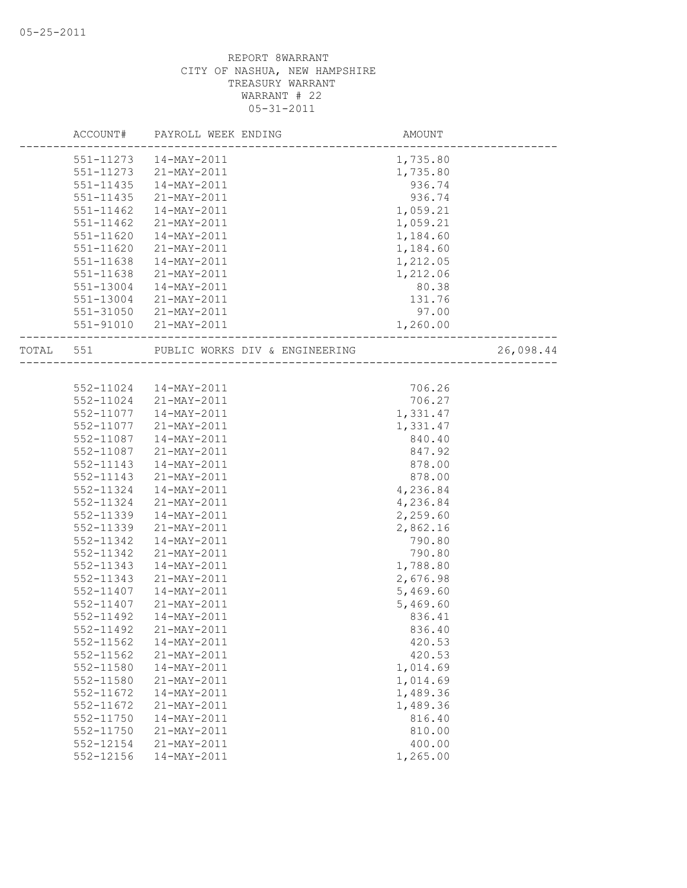|       | ACCOUNT#  | PAYROLL WEEK ENDING            | AMOUNT   |           |
|-------|-----------|--------------------------------|----------|-----------|
|       | 551-11273 | 14-MAY-2011                    | 1,735.80 |           |
|       | 551-11273 | 21-MAY-2011                    | 1,735.80 |           |
|       | 551-11435 | 14-MAY-2011                    | 936.74   |           |
|       | 551-11435 | 21-MAY-2011                    | 936.74   |           |
|       | 551-11462 | 14-MAY-2011                    | 1,059.21 |           |
|       | 551-11462 | 21-MAY-2011                    | 1,059.21 |           |
|       | 551-11620 | 14-MAY-2011                    | 1,184.60 |           |
|       | 551-11620 | 21-MAY-2011                    | 1,184.60 |           |
|       | 551-11638 | 14-MAY-2011                    | 1,212.05 |           |
|       | 551-11638 | 21-MAY-2011                    | 1,212.06 |           |
|       | 551-13004 | 14-MAY-2011                    | 80.38    |           |
|       | 551-13004 | 21-MAY-2011                    | 131.76   |           |
|       | 551-31050 | 21-MAY-2011                    | 97.00    |           |
|       | 551-91010 | 21-MAY-2011                    | 1,260.00 |           |
| TOTAL | 551       | PUBLIC WORKS DIV & ENGINEERING |          | 26,098.44 |
|       |           |                                |          |           |
|       |           | 552-11024  14-MAY-2011         | 706.26   |           |
|       | 552-11024 | 21-MAY-2011                    | 706.27   |           |
|       | 552-11077 | 14-MAY-2011                    | 1,331.47 |           |
|       | 552-11077 | 21-MAY-2011                    | 1,331.47 |           |
|       | 552-11087 | 14-MAY-2011                    | 840.40   |           |
|       | 552-11087 | 21-MAY-2011                    | 847.92   |           |
|       | 552-11143 | 14-MAY-2011                    | 878.00   |           |
|       | 552-11143 | 21-MAY-2011                    | 878.00   |           |
|       | 552-11324 | 14-MAY-2011                    | 4,236.84 |           |
|       | 552-11324 | 21-MAY-2011                    | 4,236.84 |           |
|       | 552-11339 | 14-MAY-2011                    | 2,259.60 |           |
|       | 552-11339 | 21-MAY-2011                    | 2,862.16 |           |
|       | 552-11342 | $14 - MAX - 2011$              | 790.80   |           |
|       | 552-11342 | 21-MAY-2011                    | 790.80   |           |
|       | 552-11343 | 14-MAY-2011                    | 1,788.80 |           |
|       | 552-11343 | 21-MAY-2011                    | 2,676.98 |           |
|       | 552-11407 | $14 - MAX - 2011$              | 5,469.60 |           |
|       | 552-11407 | 21-MAY-2011                    | 5,469.60 |           |
|       | 552-11492 | $14 - MAX - 2011$              | 836.41   |           |
|       | 552-11492 | $21 - MAX - 2011$              | 836.40   |           |
|       | 552-11562 | 14-MAY-2011                    | 420.53   |           |
|       | 552-11562 | 21-MAY-2011                    | 420.53   |           |
|       | 552-11580 | 14-MAY-2011                    | 1,014.69 |           |
|       | 552-11580 | 21-MAY-2011                    | 1,014.69 |           |
|       | 552-11672 | 14-MAY-2011                    | 1,489.36 |           |
|       | 552-11672 | 21-MAY-2011                    | 1,489.36 |           |
|       | 552-11750 | 14-MAY-2011                    | 816.40   |           |
|       | 552-11750 | 21-MAY-2011                    | 810.00   |           |
|       | 552-12154 | 21-MAY-2011                    | 400.00   |           |
|       | 552-12156 | 14-MAY-2011                    | 1,265.00 |           |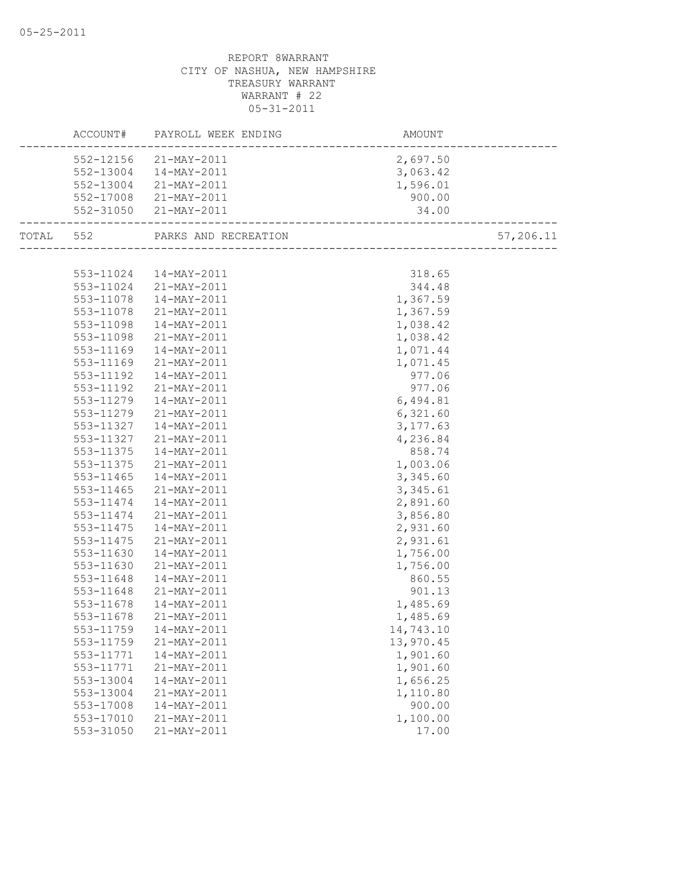|                        | ACCOUNT# PAYROLL WEEK ENDING            | AMOUNT<br>------------------------ |           |
|------------------------|-----------------------------------------|------------------------------------|-----------|
|                        | 552-12156 21-MAY-2011                   | 2,697.50                           |           |
|                        | 552-13004  14-MAY-2011                  | 3,063.42                           |           |
|                        | 552-13004 21-MAY-2011                   | 1,596.01                           |           |
|                        | 552-17008 21-MAY-2011                   | 900.00                             |           |
|                        | 552-31050 21-MAY-2011                   | 34.00                              |           |
|                        | TOTAL 552 PARKS AND RECREATION          |                                    | 57,206.11 |
|                        |                                         |                                    |           |
|                        | 553-11024  14-MAY-2011                  | 318.65                             |           |
|                        | 553-11024 21-MAY-2011                   | 344.48                             |           |
|                        | 553-11078  14-MAY-2011                  | 1,367.59                           |           |
| 553-11078              | 21-MAY-2011                             | 1,367.59                           |           |
| 553-11098              | $14 - \text{MAX} - 2011$                | 1,038.42                           |           |
| 553-11098              | 21-MAY-2011                             | 1,038.42                           |           |
| 553-11169              | 14-MAY-2011                             | 1,071.44                           |           |
| 553-11169              | 21-MAY-2011                             | 1,071.45                           |           |
| 553-11192              | 14-MAY-2011                             | 977.06                             |           |
| 553-11192              | 21-MAY-2011                             | 977.06                             |           |
|                        | 553-11279  14-MAY-2011                  | 6,494.81                           |           |
|                        | 553-11279 21-MAY-2011                   | 6,321.60                           |           |
|                        | 553-11327  14-MAY-2011                  | 3, 177.63                          |           |
|                        | 553-11327 21-MAY-2011                   | 4,236.84                           |           |
| 553-11375              | 14-MAY-2011                             | 858.74                             |           |
| 553-11375              | $21 - \text{MAX} - 2011$                | 1,003.06                           |           |
| 553-11465              | $14 - MAY - 2011$                       | 3,345.60                           |           |
| 553-11465              | 21-MAY-2011                             | 3,345.61                           |           |
|                        | 553-11474  14-MAY-2011                  | 2,891.60                           |           |
|                        | 553-11474 21-MAY-2011                   | 3,856.80                           |           |
| 553-11475              | 14-MAY-2011                             | 2,931.60                           |           |
| 553-11475              | 21-MAY-2011                             | 2,931.61                           |           |
| 553-11630              | 14-MAY-2011                             | 1,756.00                           |           |
| 553-11630              | 21-MAY-2011                             | 1,756.00                           |           |
| 553-11648<br>553-11648 | 14-MAY-2011                             | 860.55                             |           |
|                        | 21-MAY-2011<br>$14 - \text{MAX} - 2011$ | 901.13                             |           |
| 553-11678<br>553-11678 | 21-MAY-2011                             | 1,485.69                           |           |
|                        |                                         | 1,485.69                           |           |
|                        | 553-11759  14-MAY-2011                  | 14,743.10                          |           |
| 553-11759              | 21-MAY-2011<br>14-MAY-2011              | 13,970.45<br>1,901.60              |           |
| 553-11771<br>553-11771 | 21-MAY-2011                             | 1,901.60                           |           |
| 553-13004              | 14-MAY-2011                             | 1,656.25                           |           |
| 553-13004              | 21-MAY-2011                             | 1,110.80                           |           |
| 553-17008              | 14-MAY-2011                             | 900.00                             |           |
| 553-17010              | 21-MAY-2011                             | 1,100.00                           |           |
| 553-31050              | 21-MAY-2011                             | 17.00                              |           |
|                        |                                         |                                    |           |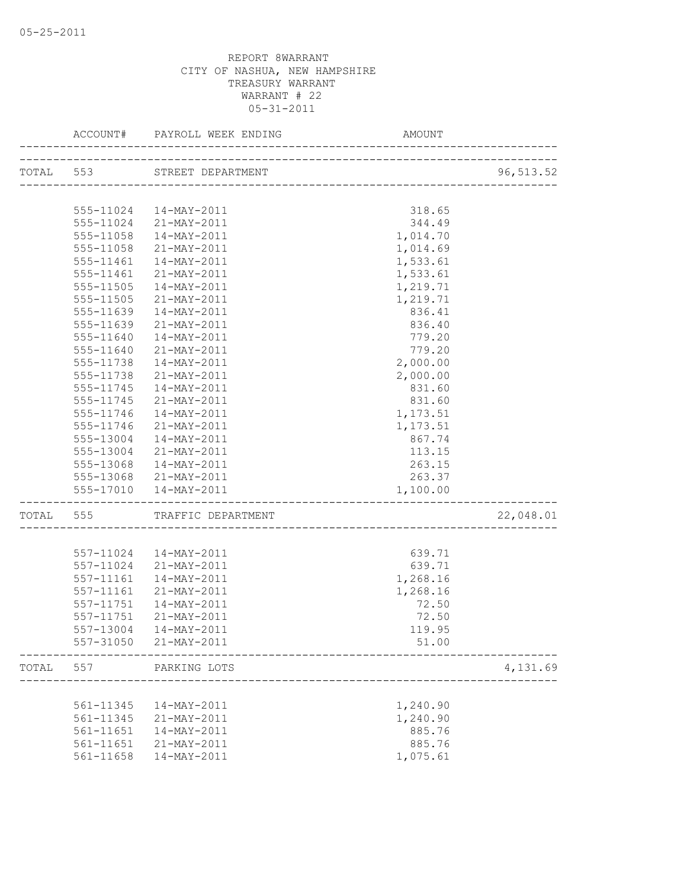|           |               | ACCOUNT# PAYROLL WEEK ENDING AMO                         | AMOUNT                               |            |
|-----------|---------------|----------------------------------------------------------|--------------------------------------|------------|
|           |               | TOTAL 553 STREET DEPARTMENT                              | ___________________________________  | 96, 513.52 |
|           |               |                                                          |                                      |            |
|           |               | 555-11024  14-MAY-2011                                   | 318.65                               |            |
|           |               | 555-11024 21-MAY-2011                                    | 344.49                               |            |
|           | 555-11058     | 14-MAY-2011                                              | 1,014.70                             |            |
|           | 555-11058     | 21-MAY-2011                                              | 1,014.69                             |            |
|           | 555-11461     | 14-MAY-2011                                              | 1,533.61                             |            |
|           | 555-11461     | 21-MAY-2011                                              | 1,533.61                             |            |
|           | 555-11505     | 14-MAY-2011                                              | 1,219.71                             |            |
|           | $555 - 11505$ | 21-MAY-2011                                              | 1,219.71                             |            |
|           | 555-11639     | 14-MAY-2011                                              | 836.41                               |            |
|           | 555-11639     | 21-MAY-2011                                              | 836.40                               |            |
|           | 555-11640     | 14-MAY-2011                                              | 779.20                               |            |
|           | 555-11640     | 21-MAY-2011                                              | 779.20                               |            |
|           | 555-11738     | 14-MAY-2011                                              | 2,000.00                             |            |
|           | 555-11738     | 21-MAY-2011                                              | 2,000.00                             |            |
|           | 555-11745     | 14-MAY-2011                                              | 831.60                               |            |
|           | 555-11745     | 21-MAY-2011                                              | 831.60                               |            |
|           | 555-11746     | 14-MAY-2011                                              | 1,173.51                             |            |
|           | 555-11746     | 21-MAY-2011                                              | 1,173.51                             |            |
|           |               | 555-13004  14-MAY-2011                                   | 867.74                               |            |
|           |               | 555-13004 21-MAY-2011                                    | 113.15                               |            |
|           |               | 555-13068  14-MAY-2011                                   | 263.15                               |            |
|           |               | 555-13068 21-MAY-2011                                    | 263.37                               |            |
|           |               | 555-17010  14-MAY-2011<br>------------------------------ | 1,100.00                             |            |
| TOTAL 555 |               | TRAFFIC DEPARTMENT                                       | ------------------------------------ | 22,048.01  |
|           |               | 557-11024  14-MAY-2011                                   | 639.71                               |            |
|           |               | 557-11024 21-MAY-2011                                    | 639.71                               |            |
|           | 557-11161     | 14-MAY-2011                                              | 1,268.16                             |            |
|           | 557-11161     | 21-MAY-2011                                              | 1,268.16                             |            |
|           | 557-11751     | 14-MAY-2011                                              | 72.50                                |            |
|           | 557-11751     | 21-MAY-2011                                              | 72.50                                |            |
|           |               | 557-13004  14-MAY-2011                                   | 119.95                               |            |
|           |               | 557-31050 21-MAY-2011                                    | 51.00                                |            |
| TOTAL     | 557           | PARKING LOTS                                             | ___________________________          | 4,131.69   |
|           |               |                                                          |                                      |            |
|           | 561-11345     | 14-MAY-2011                                              | 1,240.90                             |            |
|           | 561-11345     | 21-MAY-2011                                              | 1,240.90                             |            |
|           | 561-11651     | 14-MAY-2011                                              | 885.76                               |            |
|           |               | 561-11651 21-MAY-2011                                    | 885.76                               |            |
|           |               | 561-11658  14-MAY-2011                                   | 1,075.61                             |            |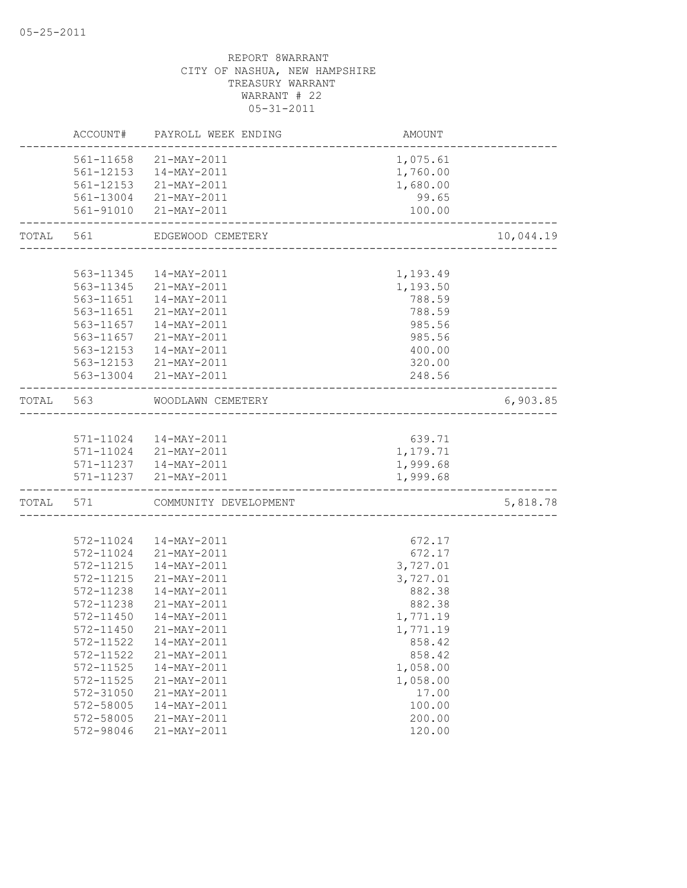|           |                    | ACCOUNT# PAYROLL WEEK ENDING                      | AMOUNT   |           |
|-----------|--------------------|---------------------------------------------------|----------|-----------|
|           |                    | 561-11658 21-MAY-2011                             | 1,075.61 |           |
|           |                    | 561-12153  14-MAY-2011                            | 1,760.00 |           |
|           |                    | 561-12153 21-MAY-2011                             | 1,680.00 |           |
|           |                    | 561-13004 21-MAY-2011                             | 99.65    |           |
|           |                    | 561-91010 21-MAY-2011                             | 100.00   |           |
| TOTAL 561 |                    | EDGEWOOD CEMETERY<br>____________________________ |          | 10,044.19 |
|           |                    |                                                   |          |           |
|           |                    | 563-11345  14-MAY-2011                            | 1,193.49 |           |
|           |                    | 563-11345 21-MAY-2011                             | 1,193.50 |           |
|           |                    | 563-11651  14-MAY-2011                            | 788.59   |           |
|           |                    | 563-11651 21-MAY-2011                             | 788.59   |           |
|           |                    | 563-11657  14-MAY-2011                            | 985.56   |           |
|           | 563-11657          | 21-MAY-2011                                       | 985.56   |           |
|           | 563-12153          | 14-MAY-2011                                       | 400.00   |           |
|           |                    | 563-12153 21-MAY-2011                             | 320.00   |           |
|           |                    | 563-13004 21-MAY-2011                             | 248.56   |           |
| TOTAL 563 |                    | WOODLAWN CEMETERY                                 |          | 6,903.85  |
|           |                    |                                                   |          |           |
|           |                    | 571-11024  14-MAY-2011                            | 639.71   |           |
|           |                    | 571-11024 21-MAY-2011<br>571-11237 14-MAY-2011    | 1,179.71 |           |
|           |                    |                                                   | 1,999.68 |           |
|           | ------------------ | 571-11237 21-MAY-2011                             | 1,999.68 |           |
|           |                    | TOTAL 571 COMMUNITY DEVELOPMENT                   |          | 5,818.78  |
|           |                    |                                                   |          |           |
|           | 572-11024          | 14-MAY-2011                                       | 672.17   |           |
|           | 572-11024          | 21-MAY-2011                                       | 672.17   |           |
|           | 572-11215          | 14-MAY-2011                                       | 3,727.01 |           |
|           | 572-11215          | 21-MAY-2011                                       | 3,727.01 |           |
|           | 572-11238          | 14-MAY-2011                                       | 882.38   |           |
|           | 572-11238          | 21-MAY-2011                                       | 882.38   |           |
|           | 572-11450          | 14-MAY-2011                                       | 1,771.19 |           |
|           | 572-11450          | 21-MAY-2011                                       | 1,771.19 |           |
|           | 572-11522          | 14-MAY-2011                                       | 858.42   |           |
|           | 572-11522          | 21-MAY-2011                                       | 858.42   |           |
|           | 572-11525          | 14-MAY-2011                                       | 1,058.00 |           |
|           | 572-11525          | 21-MAY-2011                                       | 1,058.00 |           |
|           | 572-31050          | 21-MAY-2011                                       | 17.00    |           |
|           | 572-58005          | 14-MAY-2011                                       | 100.00   |           |
|           | 572-58005          | 21-MAY-2011                                       | 200.00   |           |
|           | 572-98046          | 21-MAY-2011                                       | 120.00   |           |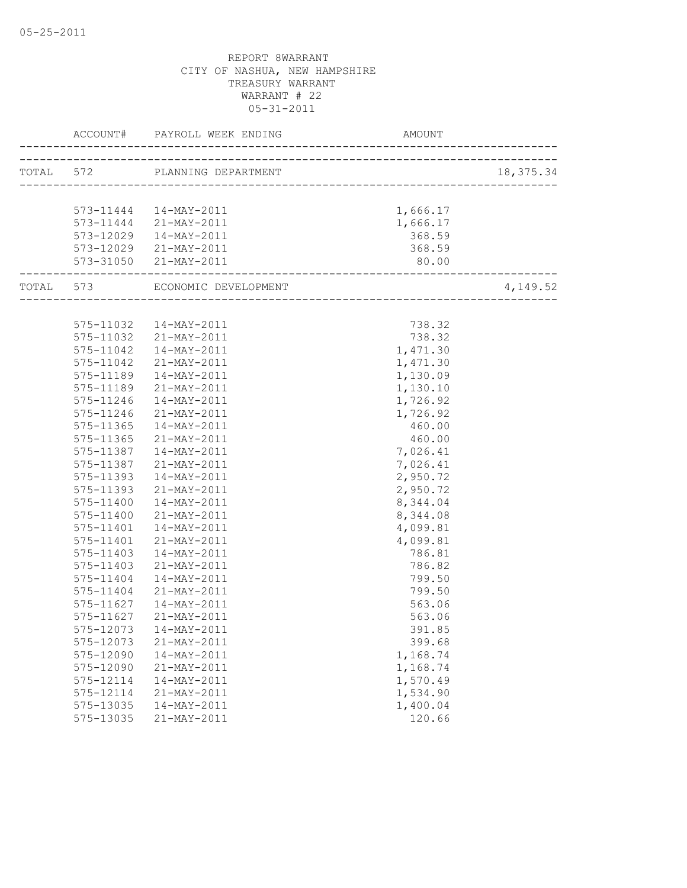|                        | ACCOUNT# PAYROLL WEEK ENDING AMOUNT AMOUNT# | AMOUNT                                     |            |
|------------------------|---------------------------------------------|--------------------------------------------|------------|
|                        | TOTAL 572 PLANNING DEPARTMENT               |                                            | 18, 375.34 |
|                        |                                             |                                            |            |
|                        | 573-11444  14-MAY-2011                      | 1,666.17                                   |            |
|                        | 573-11444 21-MAY-2011                       | 1,666.17                                   |            |
|                        | 573-12029  14-MAY-2011                      | 368.59                                     |            |
|                        | 573-12029 21-MAY-2011                       | 368.59                                     |            |
| -----------------      | 573-31050 21-MAY-2011                       | 80.00<br>--------------------------------- |            |
|                        | TOTAL 573 ECONOMIC DEVELOPMENT              |                                            | 4,149.52   |
|                        |                                             |                                            |            |
|                        | 575-11032  14-MAY-2011                      | 738.32                                     |            |
|                        | 575-11032 21-MAY-2011                       | 738.32                                     |            |
|                        | 575-11042  14-MAY-2011                      | 1,471.30                                   |            |
| 575-11042              | 21-MAY-2011<br>$14 - \text{MAX} - 2011$     | 1,471.30                                   |            |
| 575-11189<br>575-11189 | 21-MAY-2011                                 | 1,130.09<br>1,130.10                       |            |
| $575 - 11246$          | 14-MAY-2011                                 | 1,726.92                                   |            |
|                        | 575-11246 21-MAY-2011                       | 1,726.92                                   |            |
|                        | 575-11365  14-MAY-2011                      | 460.00                                     |            |
|                        | 575-11365 21-MAY-2011                       | 460.00                                     |            |
|                        | 575-11387  14-MAY-2011                      | 7,026.41                                   |            |
|                        | 575-11387 21-MAY-2011                       | 7,026.41                                   |            |
| 575-11393              | 14-MAY-2011                                 | 2,950.72                                   |            |
| 575-11393              | 21-MAY-2011                                 | 2,950.72                                   |            |
| 575-11400              | $14 - \text{MAX} - 2011$                    | 8,344.04                                   |            |
| 575-11400              | 21-MAY-2011                                 | 8,344.08                                   |            |
|                        | 575-11401  14-MAY-2011                      | 4,099.81                                   |            |
|                        | 575-11401 21-MAY-2011                       | 4,099.81                                   |            |
| 575-11403              | 14-MAY-2011                                 | 786.81                                     |            |
| 575-11403              | 21-MAY-2011                                 | 786.82                                     |            |
| 575-11404              | 14-MAY-2011                                 | 799.50                                     |            |
| 575-11404              | 21-MAY-2011                                 | 799.50                                     |            |
| 575-11627              | 14-MAY-2011                                 | 563.06                                     |            |
| 575-11627              | 21-MAY-2011                                 | 563.06                                     |            |
|                        | 575-12073  14-MAY-2011                      | 391.85                                     |            |
| 575-12073              | 21-MAY-2011                                 | 399.68                                     |            |
| 575-12090              | 14-MAY-2011                                 | 1,168.74                                   |            |
| 575-12090              | 21-MAY-2011                                 | 1,168.74                                   |            |
| 575-12114              | 14-MAY-2011                                 | 1,570.49                                   |            |
| 575-12114              | 21-MAY-2011                                 | 1,534.90                                   |            |
| 575-13035              | 14-MAY-2011                                 | 1,400.04                                   |            |
| 575-13035              | 21-MAY-2011                                 | 120.66                                     |            |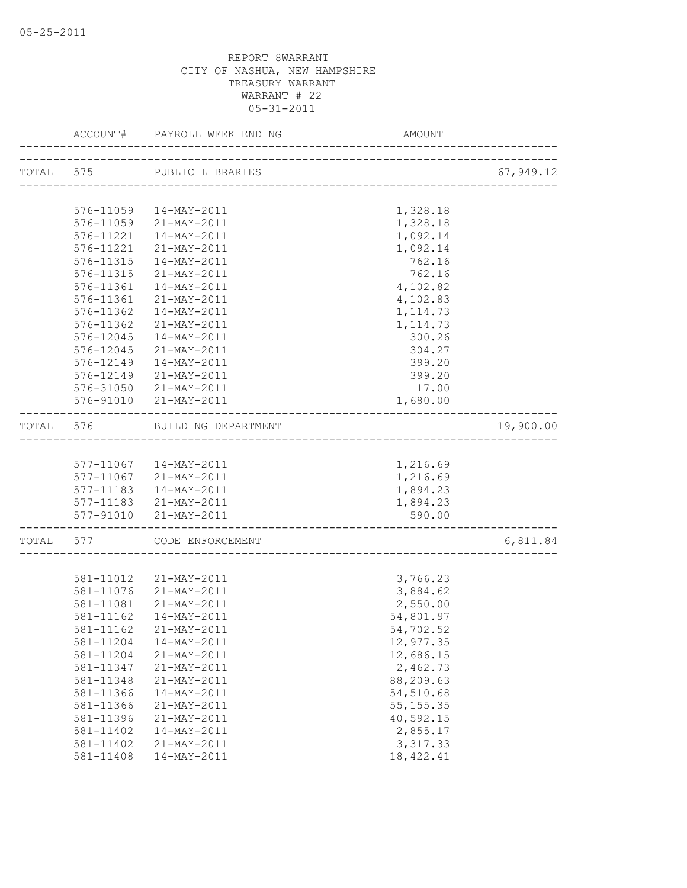|       |                               | ACCOUNT# PAYROLL WEEK ENDING | AMOUNT                              |           |
|-------|-------------------------------|------------------------------|-------------------------------------|-----------|
|       |                               | TOTAL 575 PUBLIC LIBRARIES   |                                     | 67,949.12 |
|       |                               |                              |                                     |           |
|       |                               | 576-11059  14-MAY-2011       | 1,328.18                            |           |
|       |                               | 576-11059 21-MAY-2011        | 1,328.18                            |           |
|       |                               | 576-11221  14-MAY-2011       | 1,092.14                            |           |
|       | 576-11221                     | 21-MAY-2011                  | 1,092.14                            |           |
|       | 576-11315                     | 14-MAY-2011                  | 762.16                              |           |
|       | 576-11315                     | 21-MAY-2011                  | 762.16                              |           |
|       | 576-11361                     | $14 - MAX - 2011$            | 4,102.82                            |           |
|       | 576-11361                     | 21-MAY-2011                  | 4,102.83                            |           |
|       | 576-11362                     | 14-MAY-2011                  | 1, 114.73                           |           |
|       | 576-11362                     | 21-MAY-2011                  | 1, 114.73                           |           |
|       | 576-12045                     | 14-MAY-2011                  | 300.26                              |           |
|       | 576-12045                     | 21-MAY-2011                  | 304.27                              |           |
|       | 576-12149                     | 14-MAY-2011                  | 399.20                              |           |
|       | 576-12149                     | 21-MAY-2011                  | 399.20                              |           |
|       | 576-31050                     | 21-MAY-2011                  | 17.00                               |           |
|       |                               | 576-91010 21-MAY-2011        | 1,680.00                            |           |
| TOTAL | 576                           | BUILDING DEPARTMENT          | ----------------------------------- | 19,900.00 |
|       |                               |                              |                                     |           |
|       |                               | 577-11067  14-MAY-2011       | 1,216.69                            |           |
|       |                               | 577-11067 21-MAY-2011        | 1,216.69                            |           |
|       |                               | 577-11183  14-MAY-2011       | 1,894.23                            |           |
|       |                               | 577-11183 21-MAY-2011        | 1,894.23                            |           |
|       | 577-91010<br>---------------- | 21-MAY-2011                  | 590.00                              |           |
|       |                               | TOTAL 577 CODE ENFORCEMENT   |                                     | 6,811.84  |
|       |                               |                              |                                     |           |
|       |                               | 581-11012 21-MAY-2011        | 3,766.23                            |           |
|       |                               | 581-11076 21-MAY-2011        | 3,884.62                            |           |
|       |                               | 581-11081 21-MAY-2011        | 2,550.00                            |           |
|       | 581-11162                     | 14-MAY-2011                  | 54,801.97                           |           |
|       |                               | 581-11162 21-MAY-2011        | 54,702.52                           |           |
|       | 581-11204                     | 14-MAY-2011                  | 12,977.35                           |           |
|       | 581-11204                     | 21-MAY-2011                  | 12,686.15                           |           |
|       | 581-11347                     | 21-MAY-2011                  | 2,462.73                            |           |
|       | 581-11348                     | 21-MAY-2011                  | 88,209.63                           |           |
|       | 581-11366                     | 14-MAY-2011                  | 54,510.68                           |           |
|       | 581-11366                     | 21-MAY-2011                  | 55, 155. 35                         |           |
|       | 581-11396                     | 21-MAY-2011                  | 40,592.15                           |           |
|       | 581-11402                     | 14-MAY-2011                  | 2,855.17                            |           |
|       | 581-11402                     | 21-MAY-2011                  | 3, 317.33                           |           |
|       | 581-11408                     | 14-MAY-2011                  | 18, 422.41                          |           |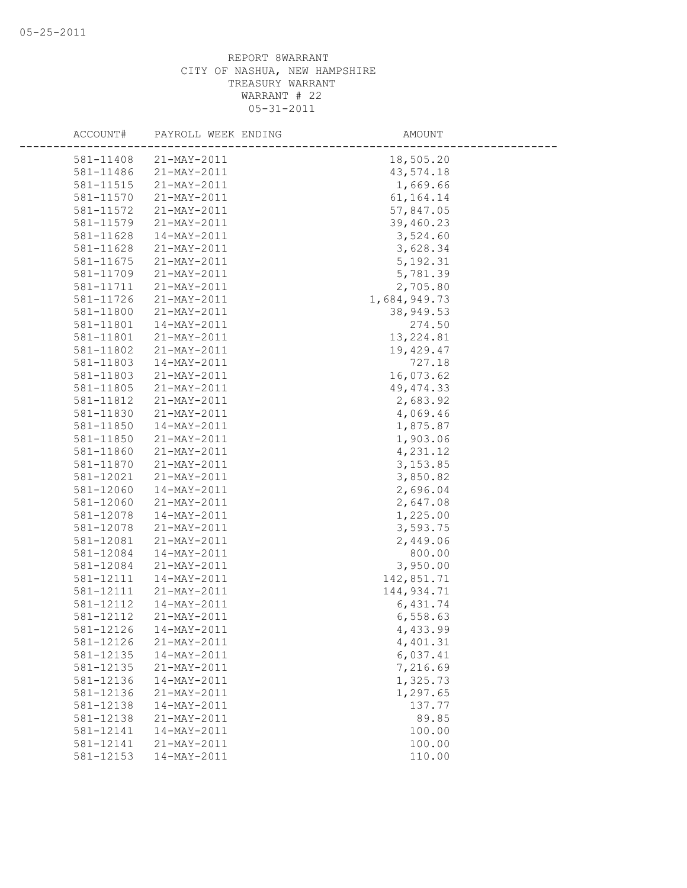| ACCOUNT#  | PAYROLL WEEK ENDING      | AMOUNT       |  |
|-----------|--------------------------|--------------|--|
| 581-11408 | $21 - MAX - 2011$        | 18,505.20    |  |
| 581-11486 | 21-MAY-2011              | 43,574.18    |  |
| 581-11515 | 21-MAY-2011              | 1,669.66     |  |
| 581-11570 | 21-MAY-2011              | 61, 164. 14  |  |
| 581-11572 | 21-MAY-2011              | 57,847.05    |  |
| 581-11579 | 21-MAY-2011              | 39,460.23    |  |
| 581-11628 | 14-MAY-2011              | 3,524.60     |  |
| 581-11628 | $21 - MAX - 2011$        | 3,628.34     |  |
| 581-11675 | 21-MAY-2011              | 5, 192.31    |  |
| 581-11709 | 21-MAY-2011              | 5,781.39     |  |
| 581-11711 | 21-MAY-2011              | 2,705.80     |  |
| 581-11726 | 21-MAY-2011              | 1,684,949.73 |  |
| 581-11800 | 21-MAY-2011              | 38,949.53    |  |
| 581-11801 | 14-MAY-2011              | 274.50       |  |
| 581-11801 | 21-MAY-2011              | 13, 224.81   |  |
| 581-11802 | 21-MAY-2011              | 19,429.47    |  |
| 581-11803 | 14-MAY-2011              | 727.18       |  |
| 581-11803 | 21-MAY-2011              | 16,073.62    |  |
| 581-11805 | 21-MAY-2011              | 49, 474.33   |  |
| 581-11812 | 21-MAY-2011              | 2,683.92     |  |
| 581-11830 | 21-MAY-2011              | 4,069.46     |  |
| 581-11850 | 14-MAY-2011              | 1,875.87     |  |
| 581-11850 | 21-MAY-2011              | 1,903.06     |  |
| 581-11860 | 21-MAY-2011              | 4,231.12     |  |
| 581-11870 | 21-MAY-2011              | 3,153.85     |  |
| 581-12021 | 21-MAY-2011              | 3,850.82     |  |
| 581-12060 | 14-MAY-2011              | 2,696.04     |  |
| 581-12060 | 21-MAY-2011              | 2,647.08     |  |
| 581-12078 | 14-MAY-2011              | 1,225.00     |  |
| 581-12078 | 21-MAY-2011              | 3,593.75     |  |
| 581-12081 | 21-MAY-2011              | 2,449.06     |  |
| 581-12084 | $14 - \text{MAX} - 2011$ | 800.00       |  |
| 581-12084 | 21-MAY-2011              | 3,950.00     |  |
| 581-12111 | 14-MAY-2011              | 142,851.71   |  |
| 581-12111 | 21-MAY-2011              | 144,934.71   |  |
| 581-12112 | 14-MAY-2011              | 6,431.74     |  |
| 581-12112 | 21-MAY-2011              | 6,558.63     |  |
| 581-12126 | 14-MAY-2011              | 4,433.99     |  |
| 581-12126 | 21-MAY-2011              | 4,401.31     |  |
| 581-12135 | 14-MAY-2011              | 6,037.41     |  |
| 581-12135 | 21-MAY-2011              | 7,216.69     |  |
| 581-12136 | 14-MAY-2011              | 1,325.73     |  |
| 581-12136 | 21-MAY-2011              | 1,297.65     |  |
| 581-12138 | 14-MAY-2011              | 137.77       |  |
| 581-12138 | 21-MAY-2011              | 89.85        |  |
| 581-12141 | 14-MAY-2011              | 100.00       |  |
| 581-12141 | 21-MAY-2011              | 100.00       |  |
| 581-12153 | 14-MAY-2011              | 110.00       |  |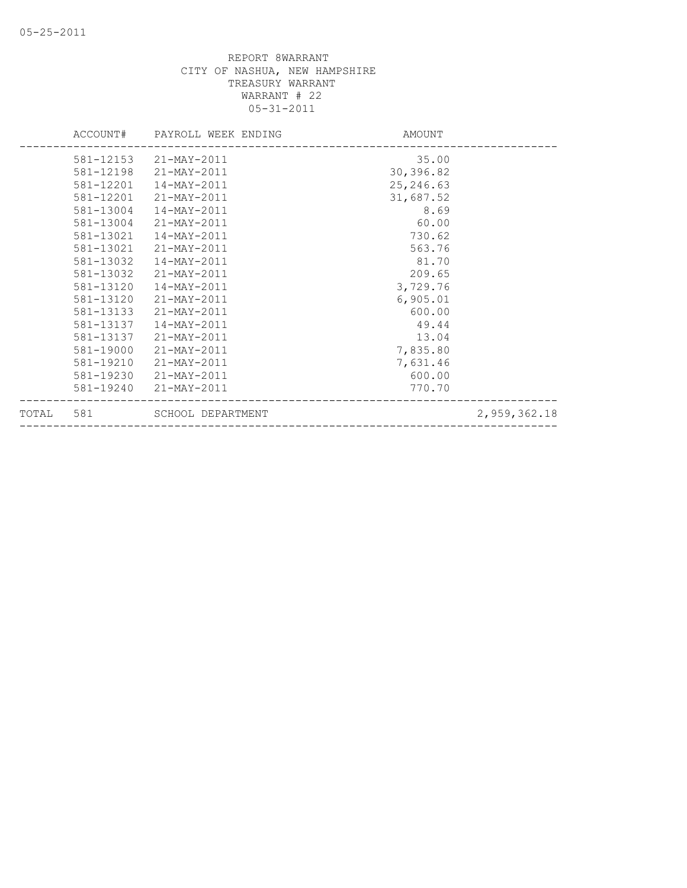|           |           | ACCOUNT# PAYROLL WEEK ENDING | AMOUNT    |              |
|-----------|-----------|------------------------------|-----------|--------------|
|           |           | 581-12153 21-MAY-2011        | 35.00     |              |
|           | 581-12198 | 21-MAY-2011                  | 30,396.82 |              |
|           | 581-12201 | 14-MAY-2011                  | 25,246.63 |              |
|           | 581-12201 | 21-MAY-2011                  | 31,687.52 |              |
|           | 581-13004 | 14-MAY-2011                  | 8.69      |              |
|           | 581-13004 | 21-MAY-2011                  | 60.00     |              |
|           | 581-13021 | 14-MAY-2011                  | 730.62    |              |
|           | 581-13021 | 21-MAY-2011                  | 563.76    |              |
|           | 581-13032 | $14 - MAX - 2011$            | 81.70     |              |
|           | 581-13032 | 21-MAY-2011                  | 209.65    |              |
|           | 581-13120 | 14-MAY-2011                  | 3,729.76  |              |
|           | 581-13120 | 21-MAY-2011                  | 6,905.01  |              |
|           | 581-13133 | 21-MAY-2011                  | 600.00    |              |
|           | 581-13137 | 14-MAY-2011                  | 49.44     |              |
|           | 581-13137 | 21-MAY-2011                  | 13.04     |              |
|           | 581-19000 | 21-MAY-2011                  | 7,835.80  |              |
|           | 581-19210 | 21-MAY-2011                  | 7,631.46  |              |
|           | 581-19230 | 21-MAY-2011                  | 600.00    |              |
|           | 581-19240 | 21-MAY-2011                  | 770.70    |              |
| TOTAL 581 |           | SCHOOL DEPARTMENT            |           | 2,959,362.18 |
|           |           |                              |           |              |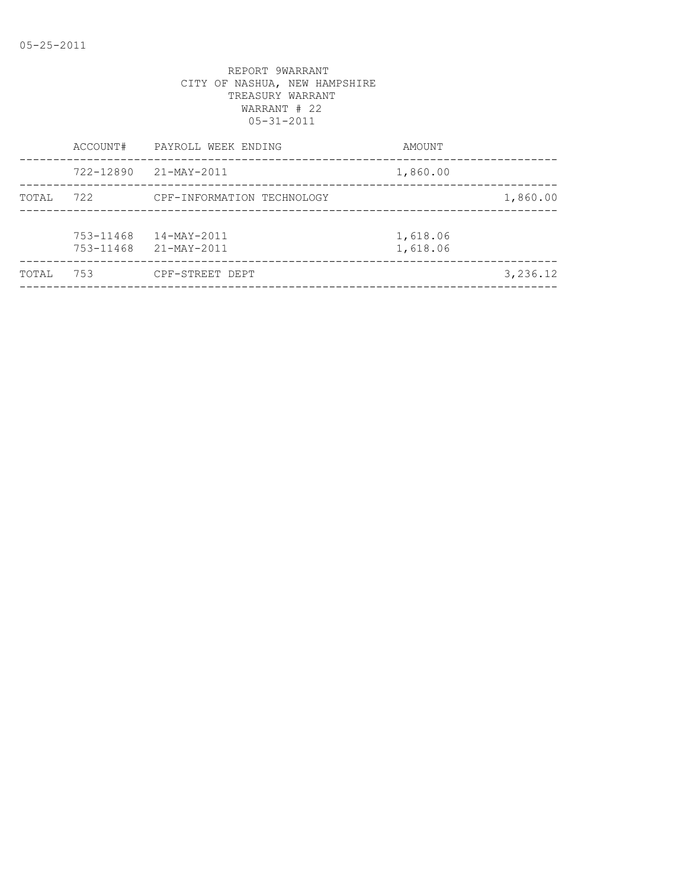|       | ACCOUNT#               | PAYROLL WEEK ENDING        | AMOUNT               |          |
|-------|------------------------|----------------------------|----------------------|----------|
|       | 722-12890              | 21-MAY-2011                | 1,860.00             |          |
| TOTAL | 722                    | CPF-INFORMATION TECHNOLOGY |                      | 1,860.00 |
|       | 753-11468<br>753-11468 | 14-MAY-2011<br>21-MAY-2011 | 1,618.06<br>1,618.06 |          |
| TOTAL | 753                    | CPF-STREET DEPT            |                      | 3,236.12 |
|       |                        |                            |                      |          |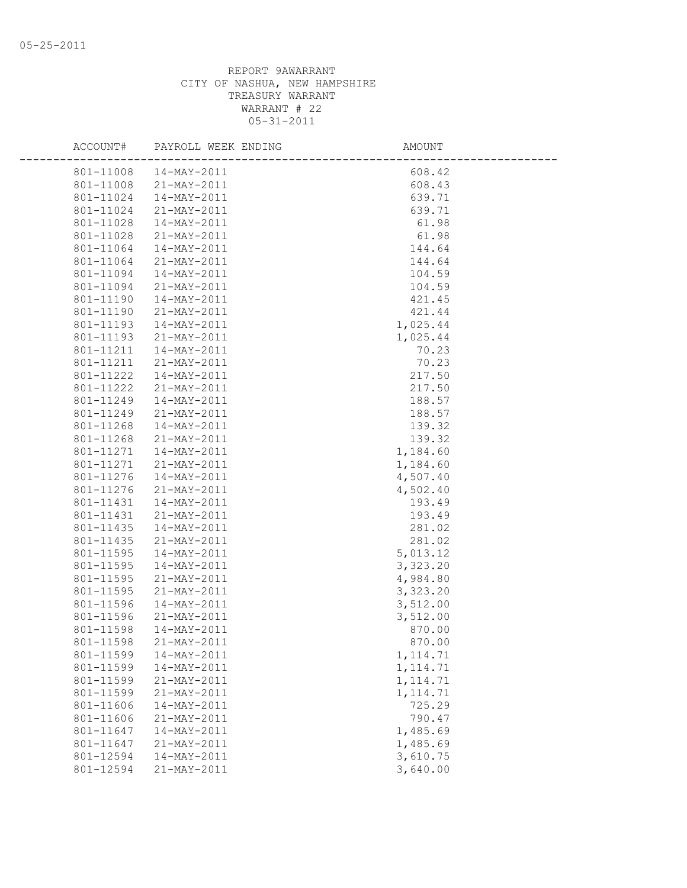| ACCOUNT#  | PAYROLL WEEK ENDING      | <b>AMOUNT</b> |
|-----------|--------------------------|---------------|
| 801-11008 | 14-MAY-2011              | 608.42        |
| 801-11008 | 21-MAY-2011              | 608.43        |
| 801-11024 | 14-MAY-2011              | 639.71        |
| 801-11024 | 21-MAY-2011              | 639.71        |
| 801-11028 | 14-MAY-2011              | 61.98         |
| 801-11028 | 21-MAY-2011              | 61.98         |
| 801-11064 | 14-MAY-2011              | 144.64        |
| 801-11064 | 21-MAY-2011              | 144.64        |
| 801-11094 | 14-MAY-2011              | 104.59        |
| 801-11094 | 21-MAY-2011              | 104.59        |
| 801-11190 | 14-MAY-2011              | 421.45        |
| 801-11190 | 21-MAY-2011              | 421.44        |
| 801-11193 | 14-MAY-2011              | 1,025.44      |
| 801-11193 | 21-MAY-2011              | 1,025.44      |
| 801-11211 | 14-MAY-2011              | 70.23         |
| 801-11211 | 21-MAY-2011              | 70.23         |
| 801-11222 | 14-MAY-2011              | 217.50        |
| 801-11222 | 21-MAY-2011              | 217.50        |
| 801-11249 | $14 - MAX - 2011$        | 188.57        |
| 801-11249 | 21-MAY-2011              | 188.57        |
| 801-11268 | 14-MAY-2011              | 139.32        |
| 801-11268 | 21-MAY-2011              | 139.32        |
| 801-11271 | $14 - \text{MAX} - 2011$ | 1,184.60      |
| 801-11271 | 21-MAY-2011              | 1,184.60      |
| 801-11276 | 14-MAY-2011              | 4,507.40      |
| 801-11276 | 21-MAY-2011              | 4,502.40      |
| 801-11431 | 14-MAY-2011              | 193.49        |
| 801-11431 | 21-MAY-2011              | 193.49        |
| 801-11435 | 14-MAY-2011              | 281.02        |
| 801-11435 | 21-MAY-2011              | 281.02        |
| 801-11595 | 14-MAY-2011              | 5,013.12      |
| 801-11595 | 14-MAY-2011              | 3,323.20      |
| 801-11595 | 21-MAY-2011              | 4,984.80      |
| 801-11595 | 21-MAY-2011              | 3,323.20      |
| 801-11596 | 14-MAY-2011              | 3,512.00      |
| 801-11596 | 21-MAY-2011              | 3,512.00      |
| 801-11598 | 14-MAY-2011              | 870.00        |
| 801-11598 | 21-MAY-2011              | 870.00        |
| 801-11599 | 14-MAY-2011              | 1, 114.71     |
| 801-11599 | 14-MAY-2011              | 1, 114.71     |
| 801-11599 | 21-MAY-2011              | 1, 114.71     |
| 801-11599 | 21-MAY-2011              | 1, 114.71     |
| 801-11606 | 14-MAY-2011              | 725.29        |
| 801-11606 | 21-MAY-2011              | 790.47        |
| 801-11647 | 14-MAY-2011              | 1,485.69      |
| 801-11647 | 21-MAY-2011              | 1,485.69      |
| 801-12594 | 14-MAY-2011              | 3,610.75      |
| 801-12594 | 21-MAY-2011              | 3,640.00      |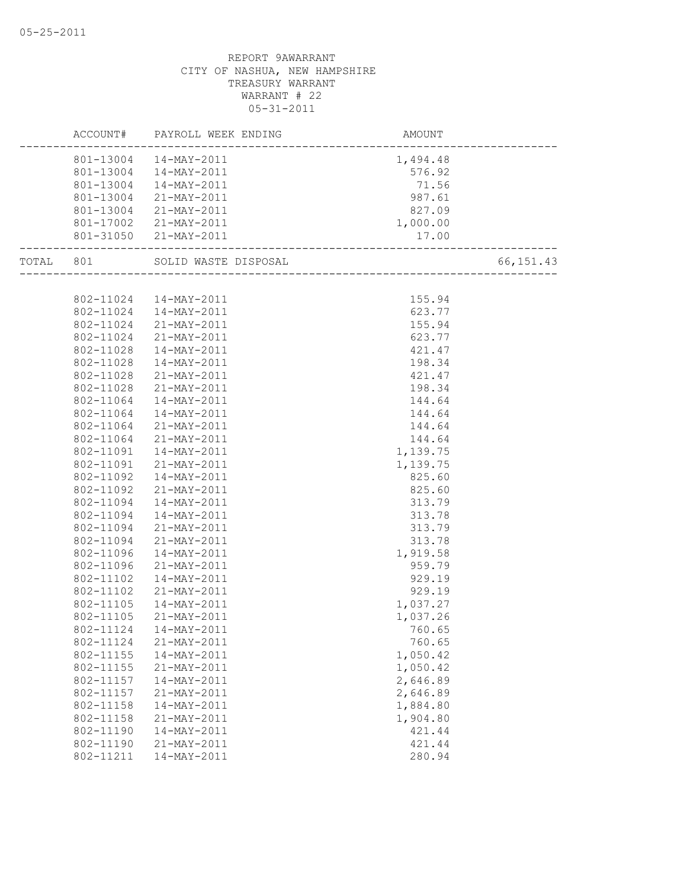|           | ACCOUNT#  | PAYROLL WEEK ENDING    | AMOUNT                         |            |
|-----------|-----------|------------------------|--------------------------------|------------|
|           |           | 801-13004  14-MAY-2011 | 1,494.48                       |            |
|           |           | 801-13004  14-MAY-2011 | 576.92                         |            |
|           |           | 801-13004  14-MAY-2011 | 71.56                          |            |
|           | 801-13004 | 21-MAY-2011            | 987.61                         |            |
|           | 801-13004 | 21-MAY-2011            | 827.09                         |            |
|           |           | 801-17002 21-MAY-2011  | 1,000.00                       |            |
|           |           | 801-31050 21-MAY-2011  | 17.00                          |            |
| TOTAL 801 |           | SOLID WASTE DISPOSAL   | <br>__________________________ | 66, 151.43 |
|           |           |                        |                                |            |
|           |           | 802-11024  14-MAY-2011 | 155.94                         |            |
|           |           | 802-11024  14-MAY-2011 | 623.77                         |            |
|           | 802-11024 | 21-MAY-2011            | 155.94                         |            |
|           | 802-11024 | 21-MAY-2011            | 623.77                         |            |
|           | 802-11028 | $14 - MAX - 2011$      | 421.47                         |            |
|           | 802-11028 | $14 - MAX - 2011$      | 198.34                         |            |
|           | 802-11028 | 21-MAY-2011            | 421.47                         |            |
|           | 802-11028 | 21-MAY-2011            | 198.34                         |            |
|           | 802-11064 | 14-MAY-2011            | 144.64                         |            |
|           | 802-11064 | 14-MAY-2011            | 144.64                         |            |
|           | 802-11064 | 21-MAY-2011            | 144.64                         |            |
|           | 802-11064 | 21-MAY-2011            | 144.64                         |            |
|           | 802-11091 | 14-MAY-2011            | 1,139.75                       |            |
|           | 802-11091 | 21-MAY-2011            | 1,139.75                       |            |
|           | 802-11092 | 14-MAY-2011            | 825.60                         |            |
|           | 802-11092 | 21-MAY-2011            | 825.60                         |            |
|           | 802-11094 | 14-MAY-2011            | 313.79                         |            |
|           | 802-11094 | 14-MAY-2011            | 313.78                         |            |
|           | 802-11094 | 21-MAY-2011            | 313.79                         |            |
|           | 802-11094 | 21-MAY-2011            | 313.78                         |            |
|           | 802-11096 | 14-MAY-2011            | 1,919.58                       |            |
|           | 802-11096 | 21-MAY-2011            | 959.79                         |            |
|           | 802-11102 | 14-MAY-2011            | 929.19                         |            |
|           | 802-11102 | 21-MAY-2011            | 929.19                         |            |
|           | 802-11105 | 14-MAY-2011            | 1,037.27                       |            |
|           | 802-11105 | 21-MAY-2011            | 1,037.26                       |            |
|           | 802-11124 | 14-MAY-2011            | 760.65                         |            |
|           | 802-11124 | 21-MAY-2011            | 760.65                         |            |
|           | 802-11155 | 14-MAY-2011            | 1,050.42                       |            |
|           | 802-11155 | 21-MAY-2011            | 1,050.42                       |            |
|           | 802-11157 | 14-MAY-2011            | 2,646.89                       |            |
|           | 802-11157 | 21-MAY-2011            | 2,646.89                       |            |
|           | 802-11158 | 14-MAY-2011            | 1,884.80                       |            |
|           | 802-11158 | 21-MAY-2011            | 1,904.80                       |            |
|           | 802-11190 | 14-MAY-2011            | 421.44                         |            |
|           | 802-11190 | 21-MAY-2011            | 421.44                         |            |
|           | 802-11211 | 14-MAY-2011            | 280.94                         |            |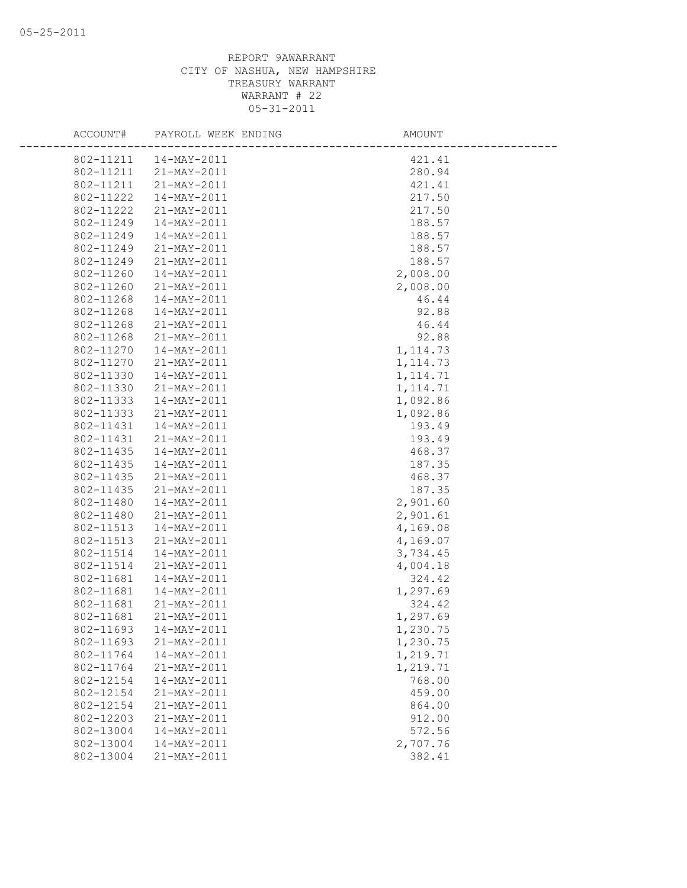| ACCOUNT#  | PAYROLL WEEK ENDING    | AMOUNT    |
|-----------|------------------------|-----------|
|           | 802-11211  14-MAY-2011 | 421.41    |
|           | 802-11211 21-MAY-2011  | 280.94    |
| 802-11211 | 21-MAY-2011            | 421.41    |
| 802-11222 | 14-MAY-2011            | 217.50    |
| 802-11222 | 21-MAY-2011            | 217.50    |
| 802-11249 | 14-MAY-2011            | 188.57    |
| 802-11249 | 14-MAY-2011            | 188.57    |
| 802-11249 | 21-MAY-2011            | 188.57    |
| 802-11249 | 21-MAY-2011            | 188.57    |
| 802-11260 | 14-MAY-2011            | 2,008.00  |
| 802-11260 | 21-MAY-2011            | 2,008.00  |
| 802-11268 | 14-MAY-2011            | 46.44     |
| 802-11268 | 14-MAY-2011            | 92.88     |
| 802-11268 | 21-MAY-2011            | 46.44     |
| 802-11268 | 21-MAY-2011            | 92.88     |
| 802-11270 | $14 - MAX - 2011$      | 1, 114.73 |
| 802-11270 | 21-MAY-2011            | 1, 114.73 |
| 802-11330 | 14-MAY-2011            | 1, 114.71 |
| 802-11330 | 21-MAY-2011            | 1, 114.71 |
| 802-11333 | $14 - MAX - 2011$      | 1,092.86  |
| 802-11333 | 21-MAY-2011            | 1,092.86  |
| 802-11431 | $14 - MAX - 2011$      | 193.49    |
| 802-11431 | 21-MAY-2011            | 193.49    |
| 802-11435 | $14 - MAX - 2011$      | 468.37    |
| 802-11435 | 14-MAY-2011            | 187.35    |
| 802-11435 | 21-MAY-2011            | 468.37    |
| 802-11435 | 21-MAY-2011            | 187.35    |
| 802-11480 | 14-MAY-2011            | 2,901.60  |
| 802-11480 | 21-MAY-2011            | 2,901.61  |
| 802-11513 | 14-MAY-2011            | 4,169.08  |
| 802-11513 | 21-MAY-2011            | 4,169.07  |
| 802-11514 | 14-MAY-2011            | 3,734.45  |
| 802-11514 | 21-MAY-2011            | 4,004.18  |
| 802-11681 | $14 - MAX - 2011$      | 324.42    |
| 802-11681 | 14-MAY-2011            | 1,297.69  |
| 802-11681 | 21-MAY-2011            | 324.42    |
| 802-11681 | 21-MAY-2011            | 1,297.69  |
| 802-11693 | 14-MAY-2011            | 1,230.75  |
| 802-11693 | 21-MAY-2011            | 1,230.75  |
| 802-11764 | $14 - MAX - 2011$      | 1,219.71  |
| 802-11764 | 21-MAY-2011            | 1,219.71  |
| 802-12154 | 14-MAY-2011            | 768.00    |
| 802-12154 | 21-MAY-2011            | 459.00    |
| 802-12154 | 21-MAY-2011            | 864.00    |
| 802-12203 | 21-MAY-2011            | 912.00    |
| 802-13004 | 14-MAY-2011            | 572.56    |
| 802-13004 | 14-MAY-2011            | 2,707.76  |
| 802-13004 | 21-MAY-2011            | 382.41    |